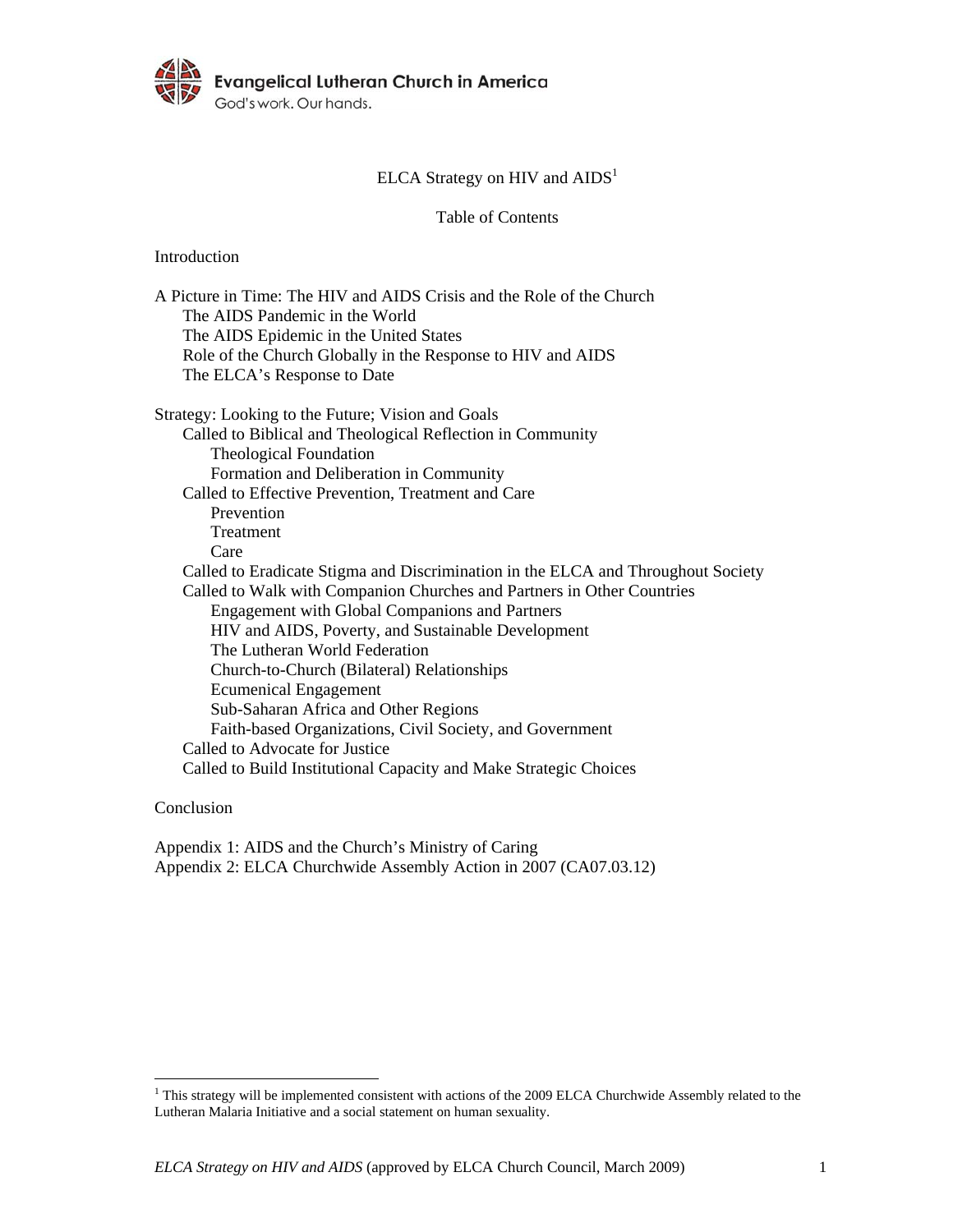

# ELCA Strategy on HIV and  $\text{AIDS}^1$

Table of Contents

Introduction

| A Picture in Time: The HIV and AIDS Crisis and the Role of the Church            |
|----------------------------------------------------------------------------------|
| The AIDS Pandemic in the World                                                   |
| The AIDS Epidemic in the United States                                           |
| Role of the Church Globally in the Response to HIV and AIDS                      |
| The ELCA's Response to Date                                                      |
| Strategy: Looking to the Future; Vision and Goals                                |
| Called to Biblical and Theological Reflection in Community                       |
| <b>Theological Foundation</b>                                                    |
| Formation and Deliberation in Community                                          |
| Called to Effective Prevention, Treatment and Care                               |
| Prevention                                                                       |
| Treatment                                                                        |
| Care                                                                             |
| Called to Eradicate Stigma and Discrimination in the ELCA and Throughout Society |
| Called to Walk with Companion Churches and Partners in Other Countries           |
| <b>Engagement with Global Companions and Partners</b>                            |
| HIV and AIDS, Poverty, and Sustainable Development                               |
| The Lutheran World Federation                                                    |
| Church-to-Church (Bilateral) Relationships                                       |
| <b>Ecumenical Engagement</b>                                                     |
| Sub-Saharan Africa and Other Regions                                             |
| Faith-based Organizations, Civil Society, and Government                         |
| Called to Advocate for Justice                                                   |
| Called to Build Institutional Capacity and Make Strategic Choices                |
|                                                                                  |

Conclusion

Appendix 1: AIDS and the Church's Ministry of Caring Appendix 2: ELCA Churchwide Assembly Action in 2007 (CA07.03.12)

This strategy will be implemented consistent with actions of the 2009 ELCA Churchwide Assembly related to the Lutheran Malaria Initiative and a social statement on human sexuality.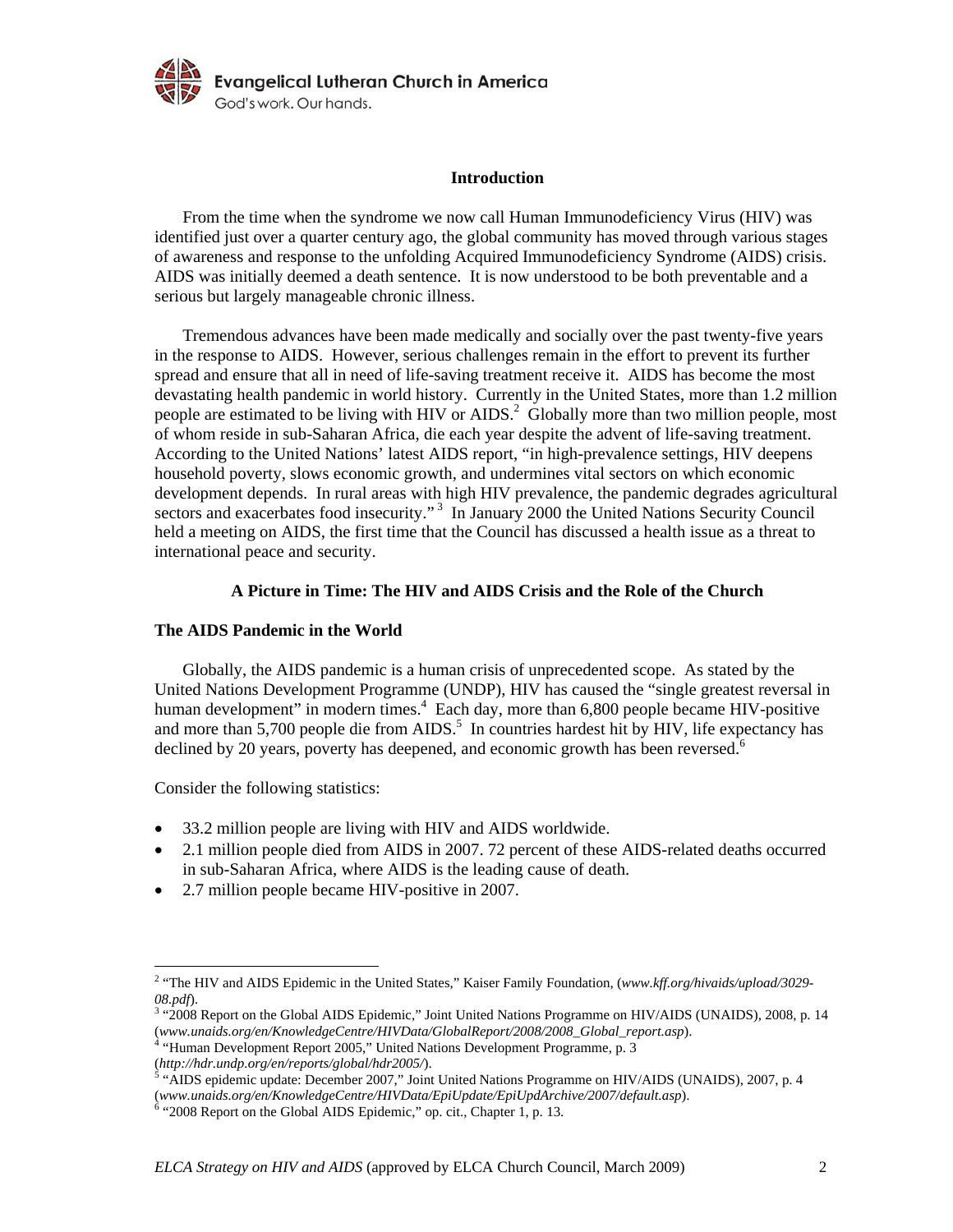

#### **Introduction**

From the time when the syndrome we now call Human Immunodeficiency Virus (HIV) was identified just over a quarter century ago, the global community has moved through various stages of awareness and response to the unfolding Acquired Immunodeficiency Syndrome (AIDS) crisis. AIDS was initially deemed a death sentence. It is now understood to be both preventable and a serious but largely manageable chronic illness.

Tremendous advances have been made medically and socially over the past twenty-five years in the response to AIDS. However, serious challenges remain in the effort to prevent its further spread and ensure that all in need of life-saving treatment receive it. AIDS has become the most devastating health pandemic in world history. Currently in the United States, more than 1.2 million people are estimated to be living with HIV or AIDS.<sup>2</sup> Globally more than two million people, most of whom reside in sub-Saharan Africa, die each year despite the advent of life-saving treatment. According to the United Nations' latest AIDS report, "in high-prevalence settings, HIV deepens household poverty, slows economic growth, and undermines vital sectors on which economic development depends. In rural areas with high HIV prevalence, the pandemic degrades agricultural sectors and exacerbates food insecurity."<sup>3</sup> In January 2000 the United Nations Security Council held a meeting on AIDS, the first time that the Council has discussed a health issue as a threat to international peace and security.

# **A Picture in Time: The HIV and AIDS Crisis and the Role of the Church**

# **The AIDS Pandemic in the World**

Globally, the AIDS pandemic is a human crisis of unprecedented scope. As stated by the United Nations Development Programme (UNDP), HIV has caused the "single greatest reversal in human development" in modern times.<sup>4</sup> Each day, more than 6,800 people became HIV-positive and more than  $5,700$  people die from AIDS.<sup>5</sup> In countries hardest hit by HIV, life expectancy has declined by 20 years, poverty has deepened, and economic growth has been reversed.<sup>6</sup>

Consider the following statistics:

- 33.2 million people are living with HIV and AIDS worldwide.
- 2.1 million people died from AIDS in 2007. 72 percent of these AIDS-related deaths occurred in sub-Saharan Africa, where AIDS is the leading cause of death.
- 2.7 million people became HIV-positive in 2007.

<sup>&</sup>lt;sup>2</sup> "The HIV and AIDS Epidemic in the United States," Kaiser Family Foundation, (*www.kff.org/hivaids/upload/3029-*08.pdf).

<sup>&</sup>lt;sup>3</sup> "2008 Report on the Global AIDS Epidemic," Joint United Nations Programme on HIV/AIDS (UNAIDS), 2008, p. 14 (*www.unaids.org/en/KnowledgeCentre/HIVData/GlobalReport/2008/2008\_Global\_report.asp*). 4

 $4$  "Human Development Report 2005," United Nations Development Programme, p. 3 (*http://hdr.undp.org/en/reports/global/hdr2005/*). 5

<sup>&</sup>lt;sup>5</sup> "AIDS epidemic update: December 2007," Joint United Nations Programme on HIV/AIDS (UNAIDS), 2007, p. 4 (*www.unaids.org/en/KnowledgeCentre/HIVData/EpiUpdate/EpiUpdArchive/2007/default.asp*). 6

 $6$  "2008 Report on the Global AIDS Epidemic," op. cit., Chapter 1, p. 13.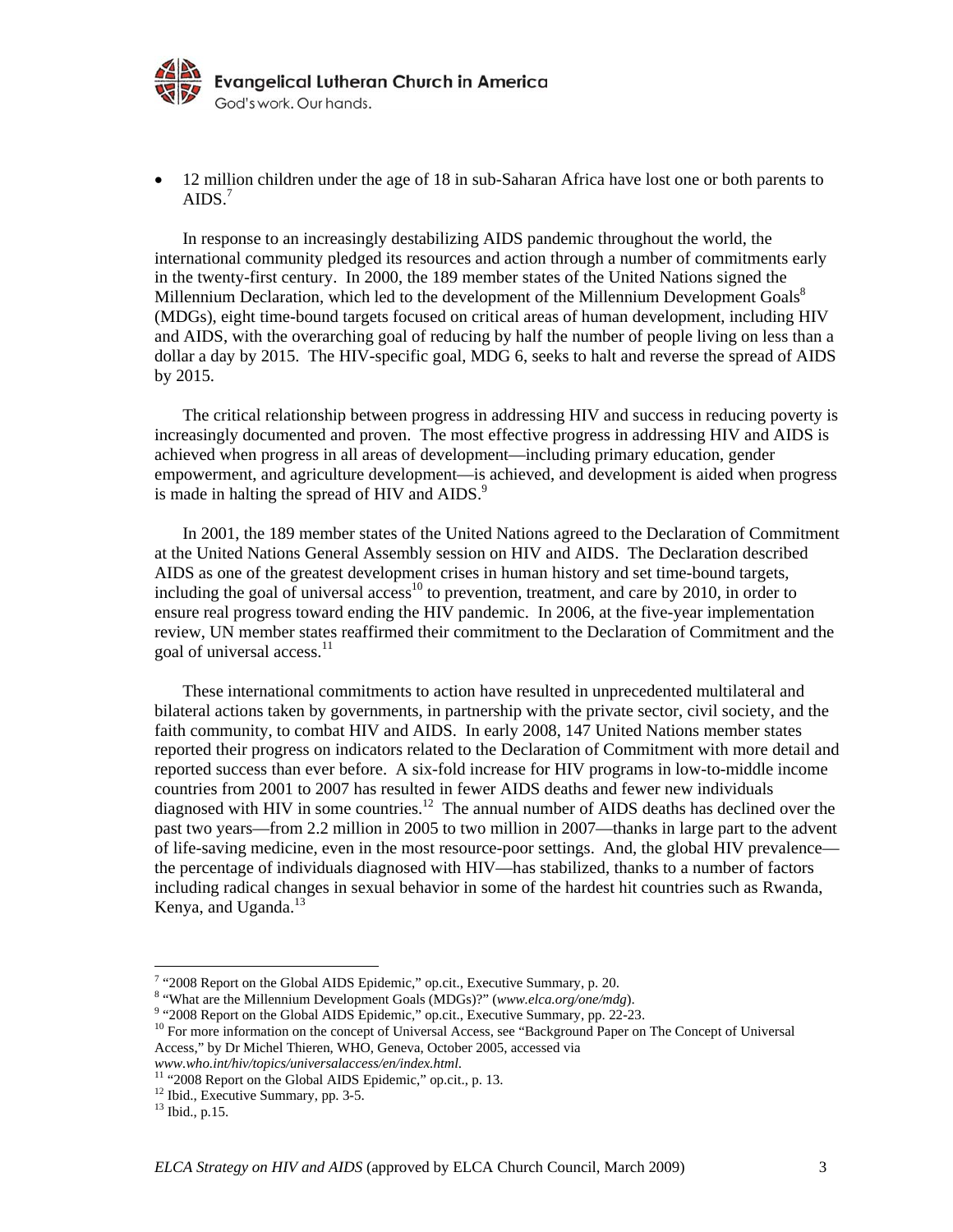

• 12 million children under the age of 18 in sub-Saharan Africa have lost one or both parents to AIDS.<sup>7</sup>

In response to an increasingly destabilizing AIDS pandemic throughout the world, the international community pledged its resources and action through a number of commitments early in the twenty-first century. In 2000, the 189 member states of the United Nations signed the Millennium Declaration, which led to the development of the Millennium Development Goals<sup>8</sup> (MDGs), eight time-bound targets focused on critical areas of human development, including HIV and AIDS, with the overarching goal of reducing by half the number of people living on less than a dollar a day by 2015. The HIV-specific goal, MDG 6, seeks to halt and reverse the spread of AIDS by 2015.

The critical relationship between progress in addressing HIV and success in reducing poverty is increasingly documented and proven. The most effective progress in addressing HIV and AIDS is achieved when progress in all areas of development—including primary education, gender empowerment, and agriculture development—is achieved, and development is aided when progress is made in halting the spread of HIV and AIDS.<sup>9</sup>

In 2001, the 189 member states of the United Nations agreed to the Declaration of Commitment at the United Nations General Assembly session on HIV and AIDS. The Declaration described AIDS as one of the greatest development crises in human history and set time-bound targets, including the goal of universal access<sup>10</sup> to prevention, treatment, and care by 2010, in order to ensure real progress toward ending the HIV pandemic. In 2006, at the five-year implementation review, UN member states reaffirmed their commitment to the Declaration of Commitment and the goal of universal access.<sup>11</sup>

These international commitments to action have resulted in unprecedented multilateral and bilateral actions taken by governments, in partnership with the private sector, civil society, and the faith community, to combat HIV and AIDS. In early 2008, 147 United Nations member states reported their progress on indicators related to the Declaration of Commitment with more detail and reported success than ever before. A six-fold increase for HIV programs in low-to-middle income countries from 2001 to 2007 has resulted in fewer AIDS deaths and fewer new individuals diagnosed with HIV in some countries.<sup>12</sup> The annual number of AIDS deaths has declined over the past two years—from 2.2 million in 2005 to two million in 2007—thanks in large part to the advent of life-saving medicine, even in the most resource-poor settings. And, the global HIV prevalence the percentage of individuals diagnosed with HIV—has stabilized, thanks to a number of factors including radical changes in sexual behavior in some of the hardest hit countries such as Rwanda, Kenya, and Uganda.<sup>13</sup>

<sup>&</sup>lt;sup>7</sup> "2008 Report on the Global AIDS Epidemic," op.cit., Executive Summary, p. 20.<br><sup>8</sup> "What are the Millennium Davelopment Gools (MDGe)?" (www.eles org/one/md/

<sup>&</sup>lt;sup>8</sup> "What are the Millennium Development Goals (MDGs)?" (*www.elca.org/one/mdg*).<br><sup>9</sup> "2008 Report on the Global AIDS Epidemic," op.cit., Executive Summary, pp. 22-23.

 $^{10}$  For more information on the concept of Universal Access, see "Background Paper on The Concept of Universal Access," by Dr Michel Thieren, WHO, Geneva, October 2005, accessed via

*www.who.int/hiv/topics/universalaccess/en/index.html*. 11 "2008 Report on the Global AIDS Epidemic," op.cit., p. 13.

<sup>&</sup>lt;sup>12</sup> Ibid., Executive Summary, pp. 3-5.

<sup>13</sup> Ibid., p.15.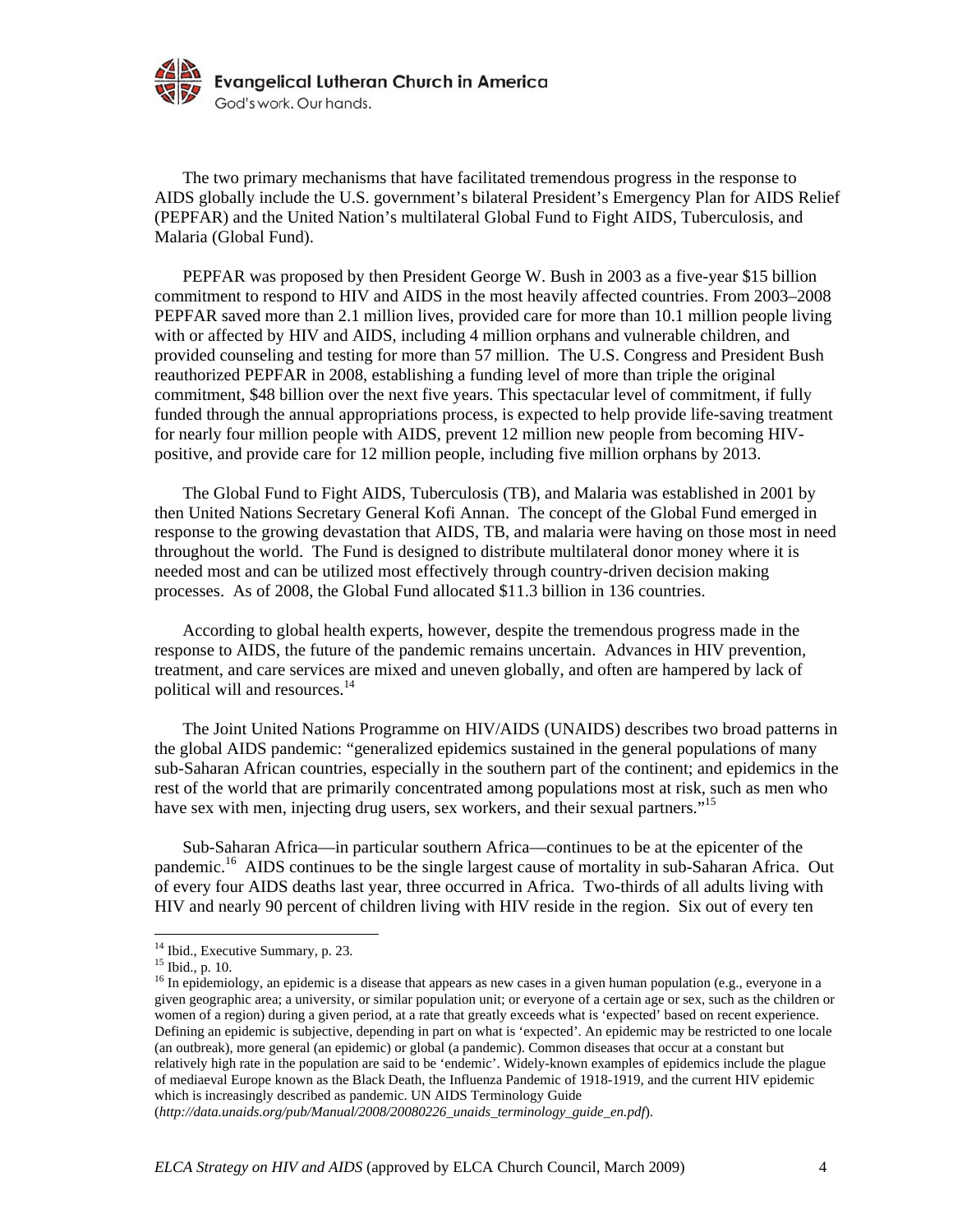

The two primary mechanisms that have facilitated tremendous progress in the response to AIDS globally include the U.S. government's bilateral President's Emergency Plan for AIDS Relief (PEPFAR) and the United Nation's multilateral Global Fund to Fight AIDS, Tuberculosis, and Malaria (Global Fund).

PEPFAR was proposed by then President George W. Bush in 2003 as a five-year \$15 billion commitment to respond to HIV and AIDS in the most heavily affected countries. From 2003–2008 PEPFAR saved more than 2.1 million lives, provided care for more than 10.1 million people living with or affected by HIV and AIDS, including 4 million orphans and vulnerable children, and provided counseling and testing for more than 57 million. The U.S. Congress and President Bush reauthorized PEPFAR in 2008, establishing a funding level of more than triple the original commitment, \$48 billion over the next five years. This spectacular level of commitment, if fully funded through the annual appropriations process, is expected to help provide life-saving treatment for nearly four million people with AIDS, prevent 12 million new people from becoming HIVpositive, and provide care for 12 million people, including five million orphans by 2013.

The Global Fund to Fight AIDS, Tuberculosis (TB), and Malaria was established in 2001 by then United Nations Secretary General Kofi Annan. The concept of the Global Fund emerged in response to the growing devastation that AIDS, TB, and malaria were having on those most in need throughout the world. The Fund is designed to distribute multilateral donor money where it is needed most and can be utilized most effectively through country-driven decision making processes. As of 2008, the Global Fund allocated \$11.3 billion in 136 countries.

According to global health experts, however, despite the tremendous progress made in the response to AIDS, the future of the pandemic remains uncertain. Advances in HIV prevention, treatment, and care services are mixed and uneven globally, and often are hampered by lack of political will and resources.<sup>14</sup>

The Joint United Nations Programme on HIV/AIDS (UNAIDS) describes two broad patterns in the global AIDS pandemic: "generalized epidemics sustained in the general populations of many sub-Saharan African countries, especially in the southern part of the continent; and epidemics in the rest of the world that are primarily concentrated among populations most at risk, such as men who have sex with men, injecting drug users, sex workers, and their sexual partners."<sup>15</sup>

Sub-Saharan Africa—in particular southern Africa—continues to be at the epicenter of the pandemic.16 AIDS continues to be the single largest cause of mortality in sub-Saharan Africa. Out of every four AIDS deaths last year, three occurred in Africa. Two-thirds of all adults living with HIV and nearly 90 percent of children living with HIV reside in the region. Six out of every ten

<sup>&</sup>lt;sup>14</sup> Ibid., Executive Summary, p. 23.

<sup>15</sup> Ibid., p. 10.

<sup>&</sup>lt;sup>16</sup> In epidemiology, an epidemic is a disease that appears as new cases in a given human population (e.g., everyone in a given geographic area; a university, or similar population unit; or everyone of a certain age or sex, such as the children or women of a region) during a given period, at a rate that greatly exceeds what is 'expected' based on recent experience. Defining an epidemic is subjective, depending in part on what is 'expected'. An epidemic may be restricted to one locale (an outbreak), more general (an epidemic) or global (a pandemic). Common diseases that occur at a constant but relatively high rate in the population are said to be 'endemic'. Widely-known examples of epidemics include the plague of mediaeval Europe known as the Black Death, the Influenza Pandemic of 1918-1919, and the current HIV epidemic which is increasingly described as pandemic. UN AIDS Terminology Guide

<sup>(</sup>*http://data.unaids.org/pub/Manual/2008/20080226\_unaids\_terminology\_guide\_en.pdf*).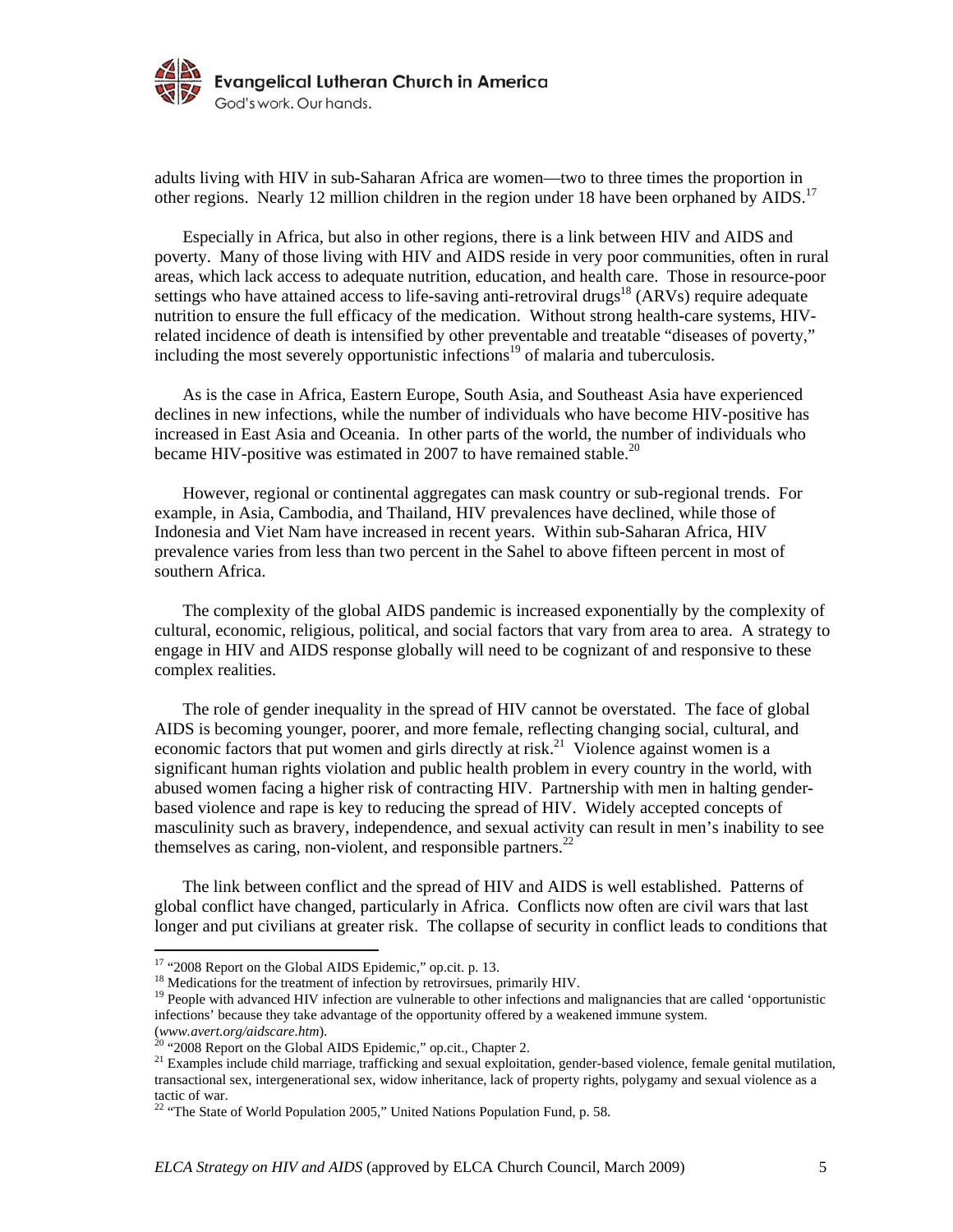

adults living with HIV in sub-Saharan Africa are women—two to three times the proportion in other regions. Nearly 12 million children in the region under 18 have been orphaned by AIDS.<sup>17</sup>

Especially in Africa, but also in other regions, there is a link between HIV and AIDS and poverty. Many of those living with HIV and AIDS reside in very poor communities, often in rural areas, which lack access to adequate nutrition, education, and health care. Those in resource-poor settings who have attained access to life-saving anti-retroviral drugs<sup>18</sup> (ARVs) require adequate nutrition to ensure the full efficacy of the medication. Without strong health-care systems, HIVrelated incidence of death is intensified by other preventable and treatable "diseases of poverty," including the most severely opportunistic infections<sup>19</sup> of malaria and tuberculosis.

As is the case in Africa, Eastern Europe, South Asia, and Southeast Asia have experienced declines in new infections, while the number of individuals who have become HIV-positive has increased in East Asia and Oceania. In other parts of the world, the number of individuals who became HIV-positive was estimated in 2007 to have remained stable.<sup>20</sup>

However, regional or continental aggregates can mask country or sub-regional trends. For example, in Asia, Cambodia, and Thailand, HIV prevalences have declined, while those of Indonesia and Viet Nam have increased in recent years. Within sub-Saharan Africa, HIV prevalence varies from less than two percent in the Sahel to above fifteen percent in most of southern Africa.

The complexity of the global AIDS pandemic is increased exponentially by the complexity of cultural, economic, religious, political, and social factors that vary from area to area. A strategy to engage in HIV and AIDS response globally will need to be cognizant of and responsive to these complex realities.

The role of gender inequality in the spread of HIV cannot be overstated. The face of global AIDS is becoming younger, poorer, and more female, reflecting changing social, cultural, and economic factors that put women and girls directly at risk.<sup>21</sup> Violence against women is a significant human rights violation and public health problem in every country in the world, with abused women facing a higher risk of contracting HIV. Partnership with men in halting genderbased violence and rape is key to reducing the spread of HIV. Widely accepted concepts of masculinity such as bravery, independence, and sexual activity can result in men's inability to see themselves as caring, non-violent, and responsible partners. $^{22}$ 

The link between conflict and the spread of HIV and AIDS is well established. Patterns of global conflict have changed, particularly in Africa. Conflicts now often are civil wars that last longer and put civilians at greater risk. The collapse of security in conflict leads to conditions that

<sup>&</sup>lt;sup>17</sup> "2008 Report on the Global AIDS Epidemic," op.cit. p. 13.<br><sup>18</sup> Medications for the treatment of infection by retrovirsues, primarily HIV.<br><sup>19</sup> People with advanced HIV infection are vulnerable to other infections and infections' because they take advantage of the opportunity offered by a weakened immune system.

<sup>(</sup>www.avert.org/aidscare.htm).<br><sup>20</sup> "2008 Report on the Global AIDS Epidemic," op.cit., Chapter 2.<br><sup>21</sup> Examples include child marriage, trafficking and sexual exploitation, gender-based violence, female genital mutilation, transactional sex, intergenerational sex, widow inheritance, lack of property rights, polygamy and sexual violence as a tactic of war.

<sup>&</sup>lt;sup>22</sup> "The State of World Population 2005," United Nations Population Fund, p. 58.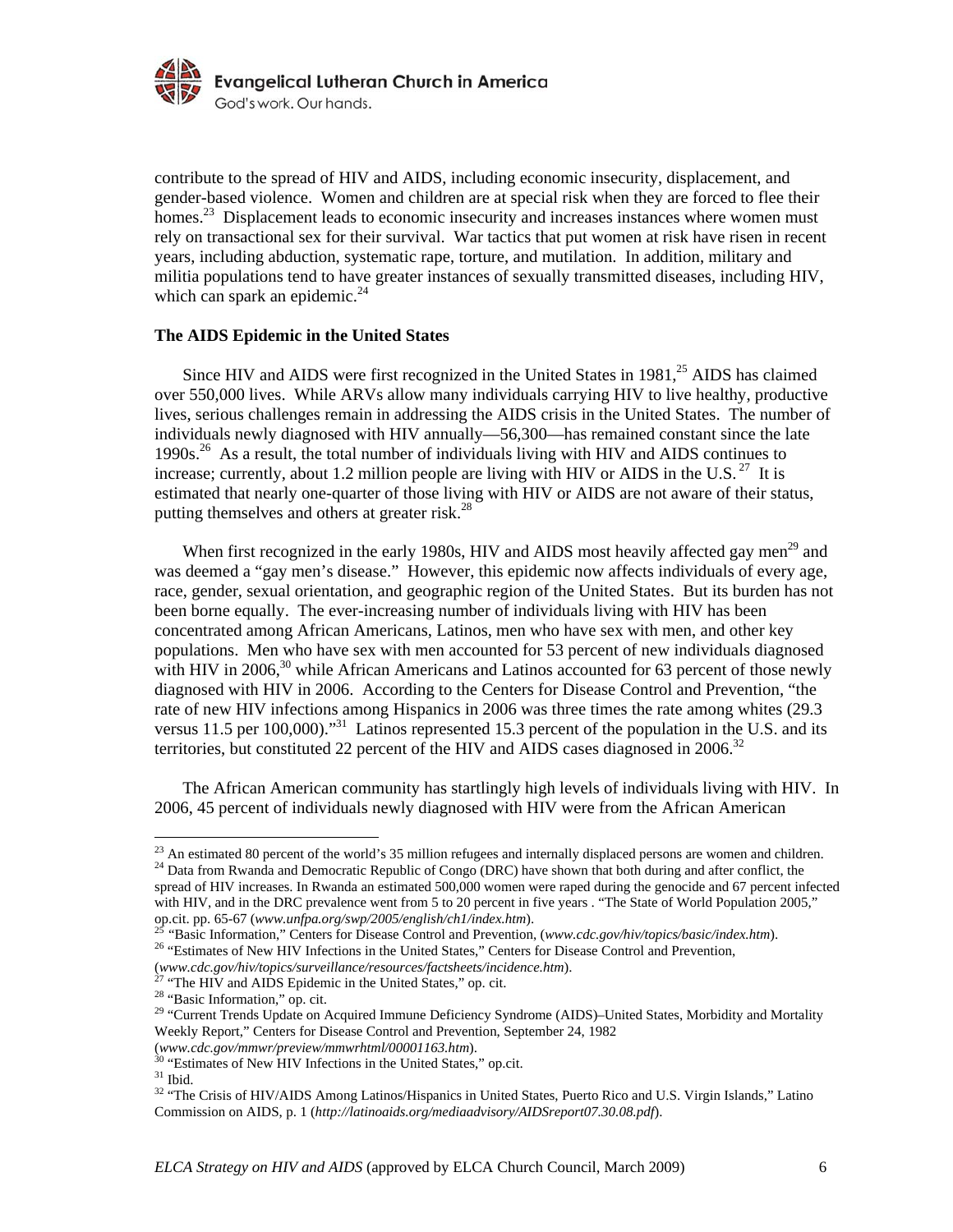

contribute to the spread of HIV and AIDS, including economic insecurity, displacement, and gender-based violence. Women and children are at special risk when they are forced to flee their homes.<sup>23</sup> Displacement leads to economic insecurity and increases instances where women must rely on transactional sex for their survival. War tactics that put women at risk have risen in recent years, including abduction, systematic rape, torture, and mutilation. In addition, military and militia populations tend to have greater instances of sexually transmitted diseases, including HIV, which can spark an epidemic.<sup>24</sup>

#### **The AIDS Epidemic in the United States**

Since HIV and AIDS were first recognized in the United States in  $1981<sup>25</sup>$  AIDS has claimed over 550,000 lives. While ARVs allow many individuals carrying HIV to live healthy, productive lives, serious challenges remain in addressing the AIDS crisis in the United States. The number of individuals newly diagnosed with HIV annually—56,300—has remained constant since the late 1990s.26 As a result, the total number of individuals living with HIV and AIDS continues to increase; currently, about 1.2 million people are living with HIV or AIDS in the U.S.<sup>27</sup> It is estimated that nearly one-quarter of those living with HIV or AIDS are not aware of their status, putting themselves and others at greater risk. $^{28}$ 

When first recognized in the early 1980s, HIV and AIDS most heavily affected gay men<sup>29</sup> and was deemed a "gay men's disease." However, this epidemic now affects individuals of every age, race, gender, sexual orientation, and geographic region of the United States. But its burden has not been borne equally. The ever-increasing number of individuals living with HIV has been concentrated among African Americans, Latinos, men who have sex with men, and other key populations. Men who have sex with men accounted for 53 percent of new individuals diagnosed with HIV in  $2006$ <sup>30</sup> while African Americans and Latinos accounted for 63 percent of those newly diagnosed with HIV in 2006. According to the Centers for Disease Control and Prevention, "the rate of new HIV infections among Hispanics in 2006 was three times the rate among whites (29.3 versus 11.5 per 100,000)."<sup>31</sup> Latinos represented 15.3 percent of the population in the U.S. and its territories, but constituted 22 percent of the HIV and AIDS cases diagnosed in 2006.<sup>32</sup>

The African American community has startlingly high levels of individuals living with HIV. In 2006, 45 percent of individuals newly diagnosed with HIV were from the African American

 $^{23}$  An estimated 80 percent of the world's 35 million refugees and internally displaced persons are women and children.<br><sup>24</sup> Data from Rwanda and Democratic Republic of Congo (DRC) have shown that both during and after spread of HIV increases. In Rwanda an estimated 500,000 women were raped during the genocide and 67 percent infected with HIV, and in the DRC prevalence went from 5 to 20 percent in five years . "The State of World Population 2005," op.cit. pp. 65-67 (www.unfpa.org/swp/2005/english/ch1/index.htm).

<sup>&</sup>lt;sup>25</sup> "Basic Information," Centers for Disease Control and Prevention, (www.cdc.gov/hiv/topics/basic/index.htm).<br><sup>26</sup> "Estimates of New HIV Infections in the United States," Centers for Disease Control and Prevention,

<sup>(</sup>*www.cdc.gov/hiv/topics/surveillance/resources/factsheets/incidence.htm*). 27 "The HIV and AIDS Epidemic in the United States," op. cit.

<sup>28 &</sup>quot;Basic Information," op. cit.

<sup>&</sup>lt;sup>29</sup> "Current Trends Update on Acquired Immune Deficiency Syndrome (AIDS)–United States, Morbidity and Mortality Weekly Report," Centers for Disease Control and Prevention, September 24, 1982

<sup>(</sup>*www.cdc.gov/mmwr/preview/mmwrhtml/00001163.htm*). 30 "Estimates of New HIV Infections in the United States," op.cit.

 $^{\rm 31}$  Ibid.

<sup>&</sup>lt;sup>32</sup> "The Crisis of HIV/AIDS Among Latinos/Hispanics in United States, Puerto Rico and U.S. Virgin Islands," Latino Commission on AIDS, p. 1 (*http://latinoaids.org/mediaadvisory/AIDSreport07.30.08.pdf*).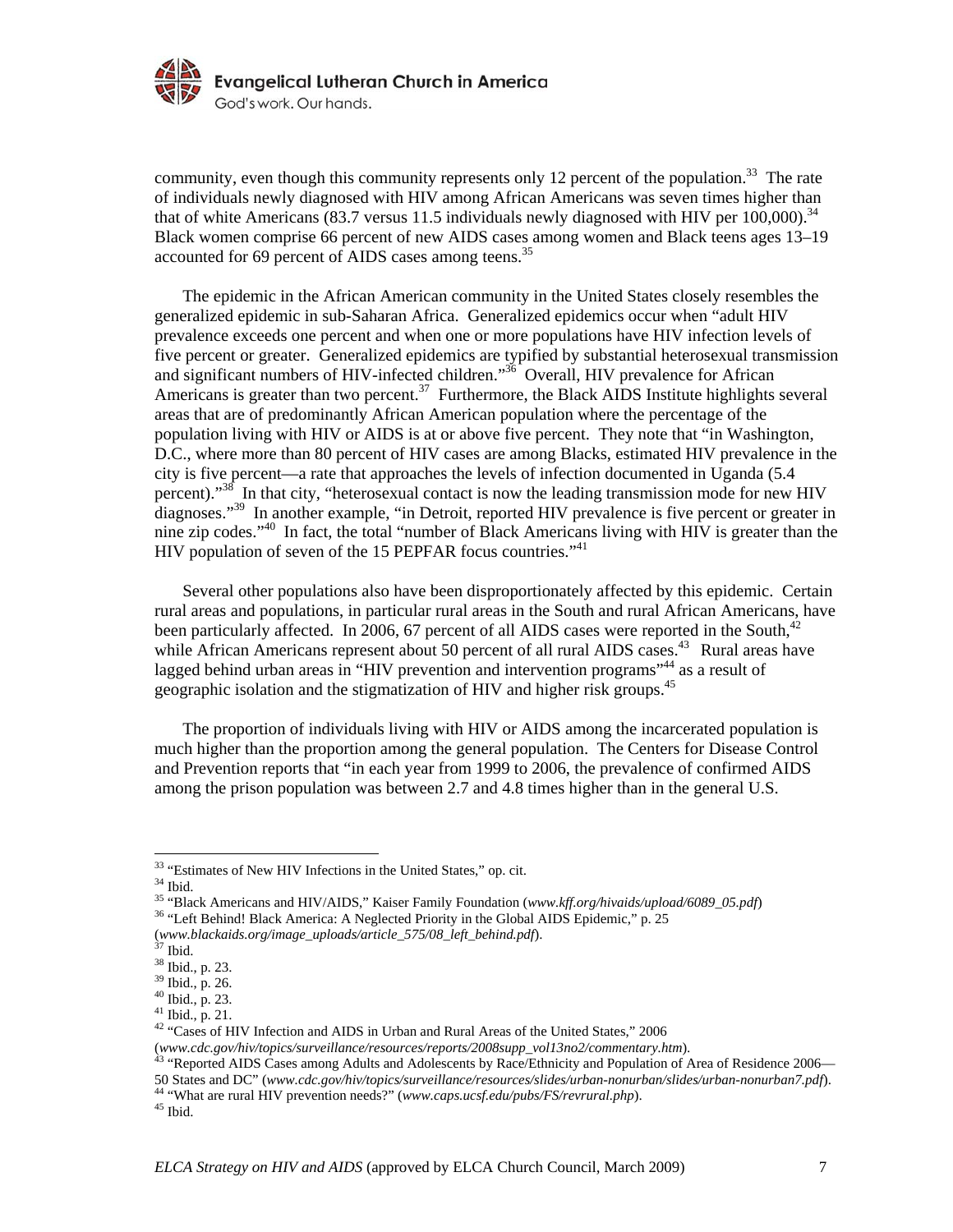

community, even though this community represents only 12 percent of the population.<sup>33</sup> The rate of individuals newly diagnosed with HIV among African Americans was seven times higher than that of white Americans (83.7 versus 11.5 individuals newly diagnosed with HIV per 100,000).<sup>34</sup> Black women comprise 66 percent of new AIDS cases among women and Black teens ages 13–19 accounted for 69 percent of AIDS cases among teens.<sup>35</sup>

The epidemic in the African American community in the United States closely resembles the generalized epidemic in sub-Saharan Africa. Generalized epidemics occur when "adult HIV prevalence exceeds one percent and when one or more populations have HIV infection levels of five percent or greater. Generalized epidemics are typified by substantial heterosexual transmission and significant numbers of HIV-infected children."<sup>36</sup> Overall, HIV prevalence for African Americans is greater than two percent.<sup>37</sup> Furthermore, the Black AIDS Institute highlights several areas that are of predominantly African American population where the percentage of the population living with HIV or AIDS is at or above five percent. They note that "in Washington, D.C., where more than 80 percent of HIV cases are among Blacks, estimated HIV prevalence in the city is five percent—a rate that approaches the levels of infection documented in Uganda (5.4 percent)."<sup>38</sup> In that city, "heterosexual contact is now the leading transmission mode for new HIV diagnoses."<sup>39</sup> In another example, "in Detroit, reported HIV prevalence is five percent or greater in nine zip codes."40 In fact, the total "number of Black Americans living with HIV is greater than the HIV population of seven of the 15 PEPFAR focus countries."<sup>41</sup>

Several other populations also have been disproportionately affected by this epidemic. Certain rural areas and populations, in particular rural areas in the South and rural African Americans, have been particularly affected. In 2006, 67 percent of all AIDS cases were reported in the South, $42$ while African Americans represent about 50 percent of all rural AIDS cases.<sup>43</sup> Rural areas have lagged behind urban areas in "HIV prevention and intervention programs"<sup>44</sup> as a result of geographic isolation and the stigmatization of HIV and higher risk groups.45

The proportion of individuals living with HIV or AIDS among the incarcerated population is much higher than the proportion among the general population. The Centers for Disease Control and Prevention reports that "in each year from 1999 to 2006, the prevalence of confirmed AIDS among the prison population was between 2.7 and 4.8 times higher than in the general U.S.

<sup>&</sup>lt;sup>33</sup> "Estimates of New HIV Infections in the United States," op. cit.

 $^{\rm 34}$  Ibid.

<sup>&</sup>lt;sup>35 "Black Americans and HIV/AIDS," Kaiser Family Foundation (*www.kff.org/hivaids/upload/6089\_05.pdf*)<sup>36</sup> "Left Behind! Black America: A Neglected Priority in the Global AIDS Epidemic," p. 25</sup>

<sup>(</sup>*www.blackaids.org/image\_uploads/article\_575/08\_left\_behind.pdf*). 37 Ibid.

<sup>38</sup> Ibid., p. 23.

<sup>39</sup> Ibid., p. 26.

<sup>40</sup> Ibid., p. 23.

<sup>41</sup> Ibid., p. 21.

<sup>&</sup>lt;sup>42</sup> "Cases of HIV Infection and AIDS in Urban and Rural Areas of the United States," 2006

<sup>(</sup>*www.cdc.gov/hiv/topics/surveillance/resources/reports/2008supp\_vol13no2/commentary.htm*).<br><sup>43</sup> "Reported AIDS Cases among Adults and Adolescents by Race/Ethnicity and Population of Area of Residence 2006—<br>50 States and D

<sup>&</sup>lt;sup>44</sup> "What are rural HIV prevention needs?" (*www.caps.ucsf.edu/pubs/FS/revrural.php*). <sup>45</sup> Ibid.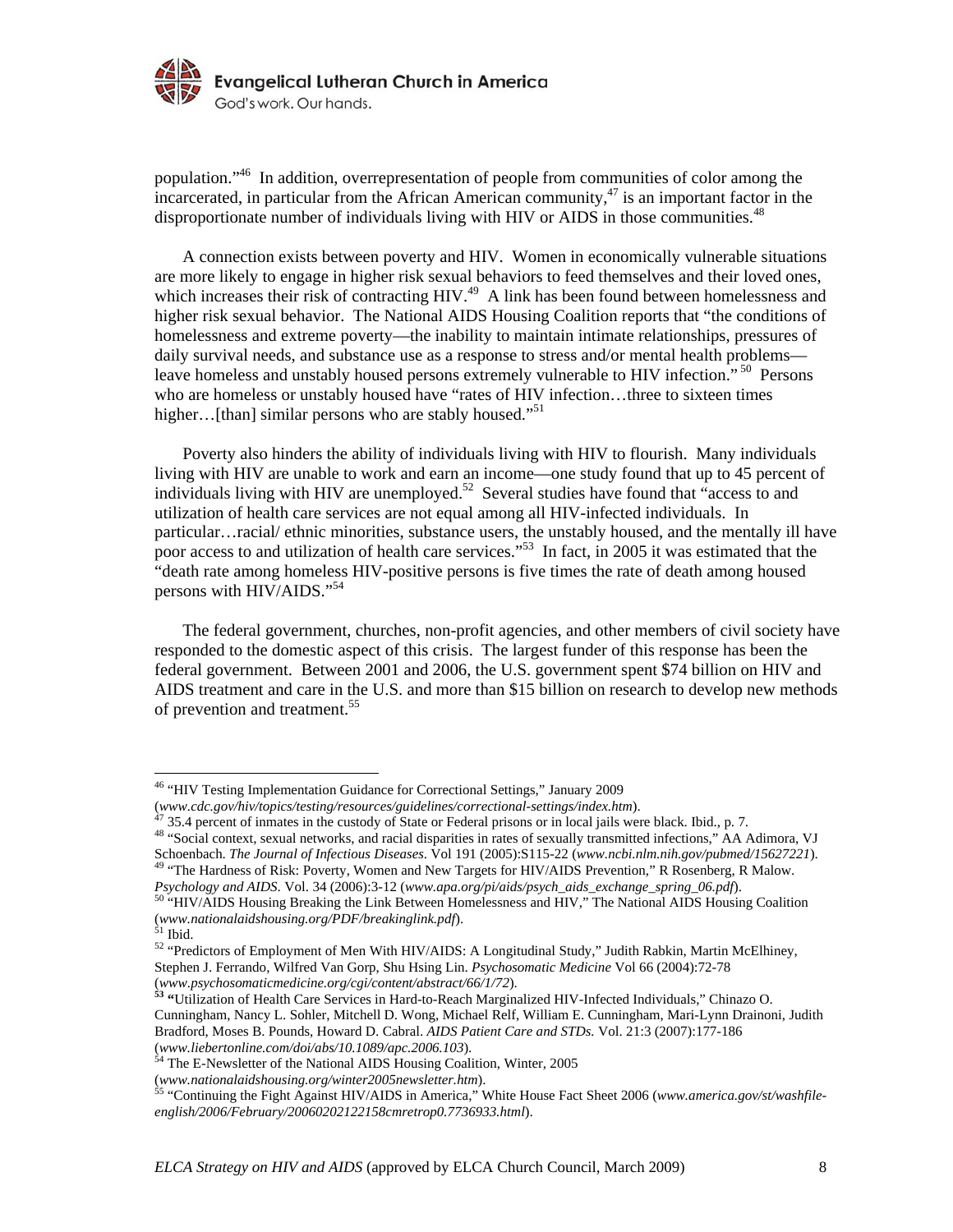

population."46 In addition, overrepresentation of people from communities of color among the incarcerated, in particular from the African American community, $47$  is an important factor in the disproportionate number of individuals living with HIV or AIDS in those communities.<sup>48</sup>

A connection exists between poverty and HIV. Women in economically vulnerable situations are more likely to engage in higher risk sexual behaviors to feed themselves and their loved ones, which increases their risk of contracting HIV.<sup>49</sup> A link has been found between homelessness and higher risk sexual behavior. The National AIDS Housing Coalition reports that "the conditions of homelessness and extreme poverty—the inability to maintain intimate relationships, pressures of daily survival needs, and substance use as a response to stress and/or mental health problems leave homeless and unstably housed persons extremely vulnerable to HIV infection."<sup>50</sup> Persons who are homeless or unstably housed have "rates of HIV infection...three to sixteen times higher... [than] similar persons who are stably housed."<sup>51</sup>

Poverty also hinders the ability of individuals living with HIV to flourish. Many individuals living with HIV are unable to work and earn an income—one study found that up to 45 percent of individuals living with HIV are unemployed.<sup>52</sup> Several studies have found that "access to and utilization of health care services are not equal among all HIV-infected individuals. In particular…racial/ ethnic minorities, substance users, the unstably housed, and the mentally ill have poor access to and utilization of health care services."<sup>53</sup> In fact, in 2005 it was estimated that the "death rate among homeless HIV-positive persons is five times the rate of death among housed persons with HIV/AIDS."<sup>54</sup>

 The federal government, churches, non-profit agencies, and other members of civil society have responded to the domestic aspect of this crisis. The largest funder of this response has been the federal government. Between 2001 and 2006, the U.S. government spent \$74 billion on HIV and AIDS treatment and care in the U.S. and more than \$15 billion on research to develop new methods of prevention and treatment.<sup>55</sup>

<sup>&</sup>lt;sup>46</sup> "HIV Testing Implementation Guidance for Correctional Settings," January 2009

<sup>(</sup>www.cdc.gov/hiv/topics/testing/resources/guidelines/correctional-settings/index.htm).<br><sup>47</sup> 35.4 percent of inmates in the custody of State or Federal prisons or in local jails were black. Ibid., p. 7.<br><sup>48</sup> "Social context Schoenbach. The Journal of Infectious Diseases. Vol 191 (2005):S115-22 (www.ncbi.nlm.nih.gov/pubmed/15627221).<br><sup>49</sup> "The Hardness of Risk: Poverty, Women and New Targets for HIV/AIDS Prevention," R Rosenberg, R Malow.

*Psychology and AIDS*. Vol. 34 (2006):3-12 (*www.apa.org/pi/aids/psych\_aids\_exchange\_spring\_06.pdf*). 50 "HIV/AIDS Housing Breaking the Link Between Homelessness and HIV," The National AIDS Housing Coalition

<sup>(</sup>*www.nationalaidshousing.org/PDF/breakinglink.pdf*). 51 Ibid.

<sup>52 &</sup>quot;Predictors of Employment of Men With HIV/AIDS: A Longitudinal Study," Judith Rabkin, Martin McElhiney, Stephen J. Ferrando, Wilfred Van Gorp, Shu Hsing Lin. *Psychosomatic Medicine* Vol 66 (2004):72-78 (*www.psychosomaticmedicine.org/cgi/content/abstract/66/1/72*). **53 "**Utilization of Health Care Services in Hard-to-Reach Marginalized HIV-Infected Individuals," Chinazo O.

Cunningham, Nancy L. Sohler, Mitchell D. Wong, Michael Relf, William E. Cunningham, Mari-Lynn Drainoni, Judith Bradford, Moses B. Pounds, Howard D. Cabral. *AIDS Patient Care and STDs.* Vol. 21:3 (2007):177-186 (*www.liebertonline.com/doi/abs/10.1089/apc.2006.103*). 54 The E-Newsletter of the National AIDS Housing Coalition, Winter, 2005

<sup>(</sup>*www.nationalaidshousing.org/winter2005newsletter.htm*). 55 "Continuing the Fight Against HIV/AIDS in America," White House Fact Sheet 2006 (*www.america.gov/st/washfileenglish/2006/February/20060202122158cmretrop0.7736933.html*).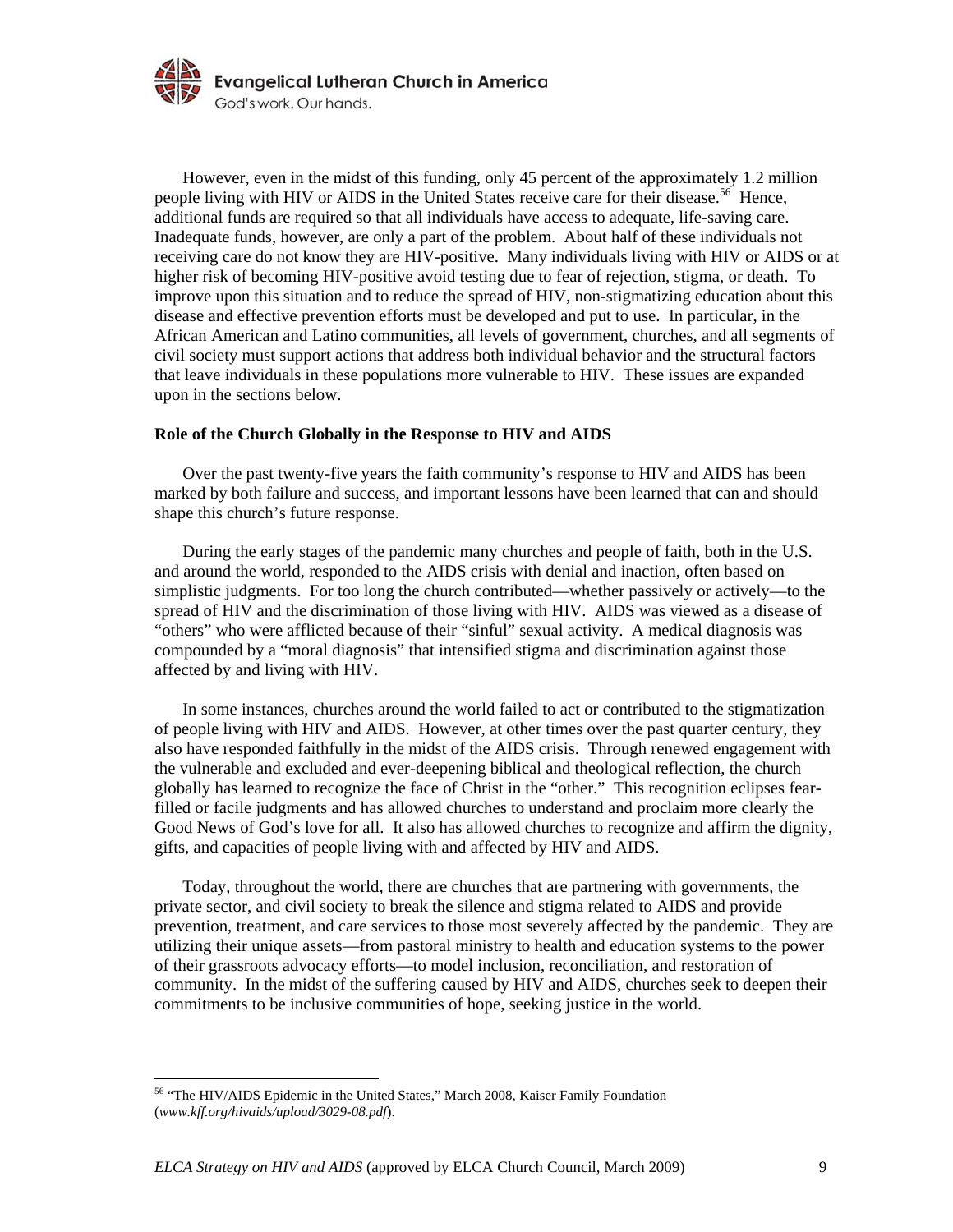

However, even in the midst of this funding, only 45 percent of the approximately 1.2 million people living with HIV or AIDS in the United States receive care for their disease.<sup>56</sup> Hence, additional funds are required so that all individuals have access to adequate, life-saving care. Inadequate funds, however, are only a part of the problem. About half of these individuals not receiving care do not know they are HIV-positive. Many individuals living with HIV or AIDS or at higher risk of becoming HIV-positive avoid testing due to fear of rejection, stigma, or death. To improve upon this situation and to reduce the spread of HIV, non-stigmatizing education about this disease and effective prevention efforts must be developed and put to use. In particular, in the African American and Latino communities, all levels of government, churches, and all segments of civil society must support actions that address both individual behavior and the structural factors that leave individuals in these populations more vulnerable to HIV. These issues are expanded upon in the sections below.

#### **Role of the Church Globally in the Response to HIV and AIDS**

Over the past twenty-five years the faith community's response to HIV and AIDS has been marked by both failure and success, and important lessons have been learned that can and should shape this church's future response.

During the early stages of the pandemic many churches and people of faith, both in the U.S. and around the world, responded to the AIDS crisis with denial and inaction, often based on simplistic judgments. For too long the church contributed—whether passively or actively—to the spread of HIV and the discrimination of those living with HIV. AIDS was viewed as a disease of "others" who were afflicted because of their "sinful" sexual activity. A medical diagnosis was compounded by a "moral diagnosis" that intensified stigma and discrimination against those affected by and living with HIV.

In some instances, churches around the world failed to act or contributed to the stigmatization of people living with HIV and AIDS. However, at other times over the past quarter century, they also have responded faithfully in the midst of the AIDS crisis. Through renewed engagement with the vulnerable and excluded and ever-deepening biblical and theological reflection, the church globally has learned to recognize the face of Christ in the "other." This recognition eclipses fearfilled or facile judgments and has allowed churches to understand and proclaim more clearly the Good News of God's love for all. It also has allowed churches to recognize and affirm the dignity, gifts, and capacities of people living with and affected by HIV and AIDS.

Today, throughout the world, there are churches that are partnering with governments, the private sector, and civil society to break the silence and stigma related to AIDS and provide prevention, treatment, and care services to those most severely affected by the pandemic. They are utilizing their unique assets—from pastoral ministry to health and education systems to the power of their grassroots advocacy efforts—to model inclusion, reconciliation, and restoration of community. In the midst of the suffering caused by HIV and AIDS, churches seek to deepen their commitments to be inclusive communities of hope, seeking justice in the world.

<sup>&</sup>lt;sup>56</sup> "The HIV/AIDS Epidemic in the United States," March 2008, Kaiser Family Foundation (*www.kff.org/hivaids/upload/3029-08.pdf*).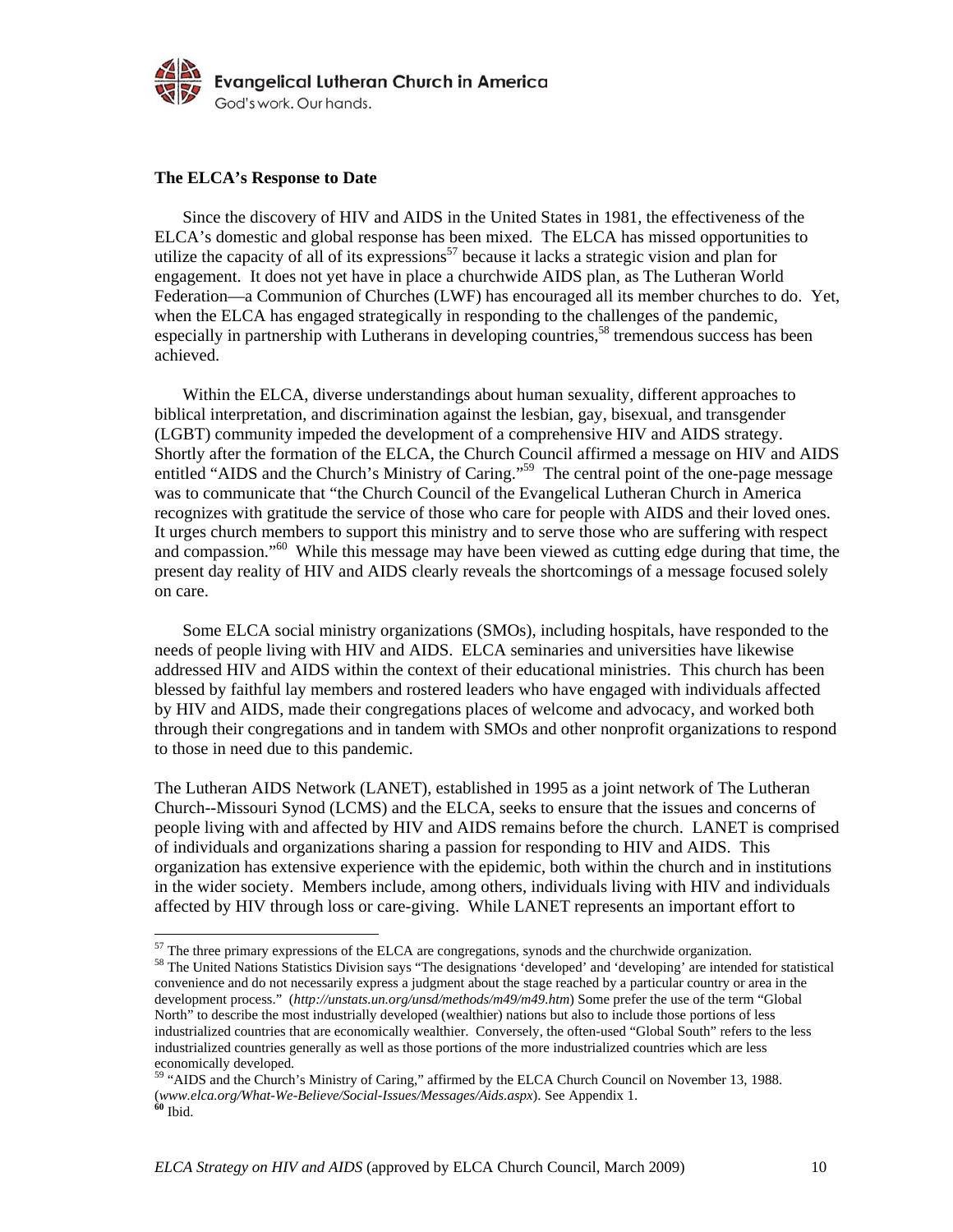

#### **The ELCA's Response to Date**

Since the discovery of HIV and AIDS in the United States in 1981, the effectiveness of the ELCA's domestic and global response has been mixed. The ELCA has missed opportunities to utilize the capacity of all of its expressions<sup>57</sup> because it lacks a strategic vision and plan for engagement. It does not yet have in place a churchwide AIDS plan, as The Lutheran World Federation—a Communion of Churches (LWF) has encouraged all its member churches to do. Yet, when the ELCA has engaged strategically in responding to the challenges of the pandemic, especially in partnership with Lutherans in developing countries,<sup>58</sup> tremendous success has been achieved.

Within the ELCA, diverse understandings about human sexuality, different approaches to biblical interpretation, and discrimination against the lesbian, gay, bisexual, and transgender (LGBT) community impeded the development of a comprehensive HIV and AIDS strategy. Shortly after the formation of the ELCA, the Church Council affirmed a message on HIV and AIDS entitled "AIDS and the Church's Ministry of Caring."<sup>59</sup> The central point of the one-page message was to communicate that "the Church Council of the Evangelical Lutheran Church in America recognizes with gratitude the service of those who care for people with AIDS and their loved ones. It urges church members to support this ministry and to serve those who are suffering with respect and compassion."<sup>60</sup> While this message may have been viewed as cutting edge during that time, the present day reality of HIV and AIDS clearly reveals the shortcomings of a message focused solely on care.

Some ELCA social ministry organizations (SMOs), including hospitals, have responded to the needs of people living with HIV and AIDS. ELCA seminaries and universities have likewise addressed HIV and AIDS within the context of their educational ministries. This church has been blessed by faithful lay members and rostered leaders who have engaged with individuals affected by HIV and AIDS, made their congregations places of welcome and advocacy, and worked both through their congregations and in tandem with SMOs and other nonprofit organizations to respond to those in need due to this pandemic.

The Lutheran AIDS Network (LANET), established in 1995 as a joint network of The Lutheran Church--Missouri Synod (LCMS) and the ELCA, seeks to ensure that the issues and concerns of people living with and affected by HIV and AIDS remains before the church. LANET is comprised of individuals and organizations sharing a passion for responding to HIV and AIDS. This organization has extensive experience with the epidemic, both within the church and in institutions in the wider society. Members include, among others, individuals living with HIV and individuals affected by HIV through loss or care-giving. While LANET represents an important effort to

 $57$  The three primary expressions of the ELCA are congregations, synods and the churchwide organization.

<sup>&</sup>lt;sup>58</sup> The United Nations Statistics Division says "The designations 'developed' and 'developing' are intended for statistical convenience and do not necessarily express a judgment about the stage reached by a particular country or area in the development process." (*http://unstats.un.org/unsd/methods/m49/m49.htm*) Some prefer the use of the term "Global North" to describe the most industrially developed (wealthier) nations but also to include those portions of less industrialized countries that are economically wealthier. Conversely, the often-used "Global South" refers to the less industrialized countries generally as well as those portions of the more industrialized countries which are less economically developed.

<sup>59 &</sup>quot;AIDS and the Church's Ministry of Caring," affirmed by the ELCA Church Council on November 13, 1988. (*www.elca.org/What-We-Believe/Social-Issues/Messages/Aids.aspx*). See Appendix 1. **<sup>60</sup>** Ibid.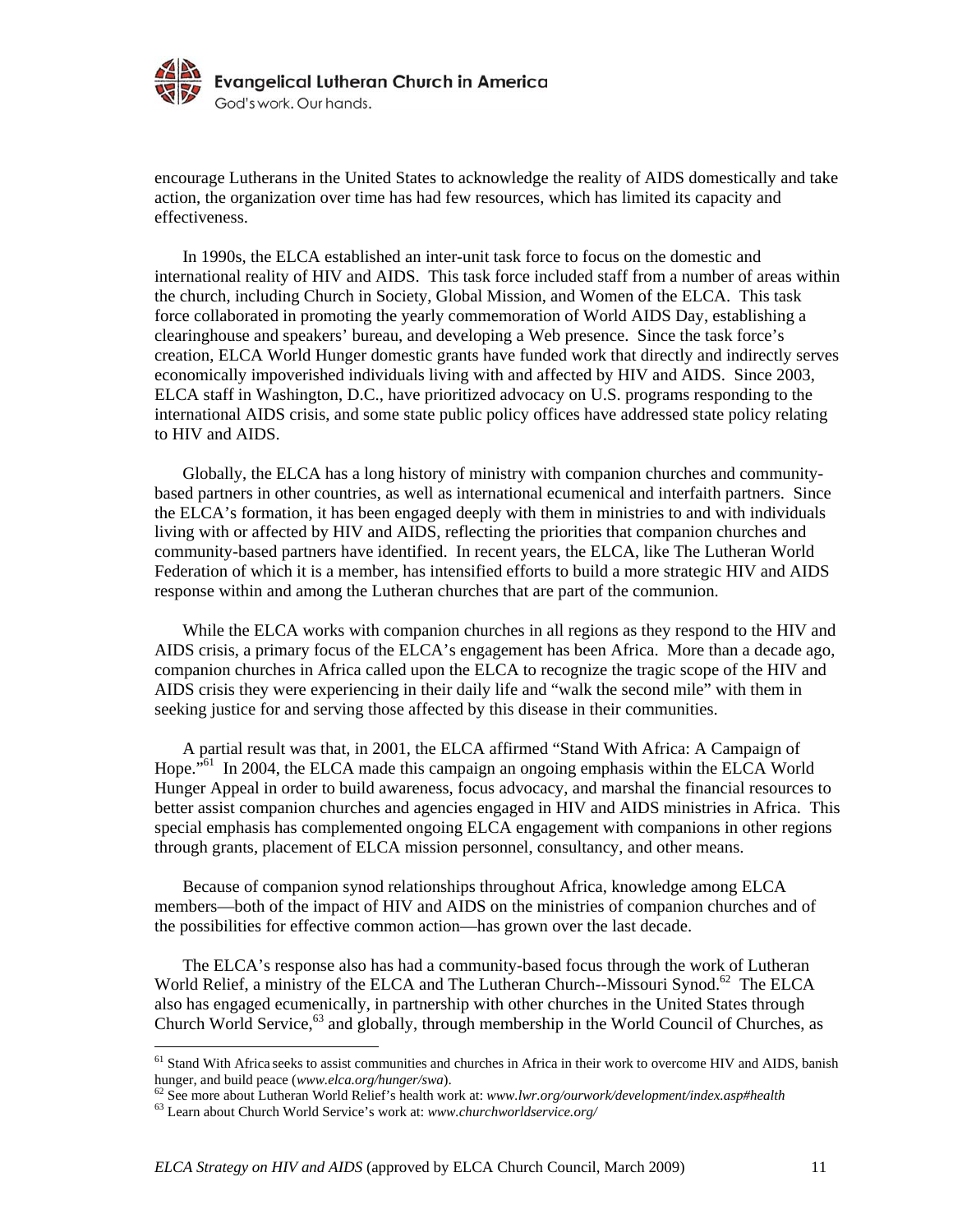

encourage Lutherans in the United States to acknowledge the reality of AIDS domestically and take action, the organization over time has had few resources, which has limited its capacity and effectiveness.

In 1990s, the ELCA established an inter-unit task force to focus on the domestic and international reality of HIV and AIDS. This task force included staff from a number of areas within the church, including Church in Society, Global Mission, and Women of the ELCA. This task force collaborated in promoting the yearly commemoration of World AIDS Day, establishing a clearinghouse and speakers' bureau, and developing a Web presence. Since the task force's creation, ELCA World Hunger domestic grants have funded work that directly and indirectly serves economically impoverished individuals living with and affected by HIV and AIDS. Since 2003, ELCA staff in Washington, D.C., have prioritized advocacy on U.S. programs responding to the international AIDS crisis, and some state public policy offices have addressed state policy relating to HIV and AIDS.

Globally, the ELCA has a long history of ministry with companion churches and communitybased partners in other countries, as well as international ecumenical and interfaith partners. Since the ELCA's formation, it has been engaged deeply with them in ministries to and with individuals living with or affected by HIV and AIDS, reflecting the priorities that companion churches and community-based partners have identified. In recent years, the ELCA, like The Lutheran World Federation of which it is a member, has intensified efforts to build a more strategic HIV and AIDS response within and among the Lutheran churches that are part of the communion.

While the ELCA works with companion churches in all regions as they respond to the HIV and AIDS crisis, a primary focus of the ELCA's engagement has been Africa. More than a decade ago, companion churches in Africa called upon the ELCA to recognize the tragic scope of the HIV and AIDS crisis they were experiencing in their daily life and "walk the second mile" with them in seeking justice for and serving those affected by this disease in their communities.

 A partial result was that, in 2001, the ELCA affirmed "Stand With Africa: A Campaign of Hope.<sup>"61</sup> In 2004, the ELCA made this campaign an ongoing emphasis within the ELCA World Hunger Appeal in order to build awareness, focus advocacy, and marshal the financial resources to better assist companion churches and agencies engaged in HIV and AIDS ministries in Africa. This special emphasis has complemented ongoing ELCA engagement with companions in other regions through grants, placement of ELCA mission personnel, consultancy, and other means.

 Because of companion synod relationships throughout Africa, knowledge among ELCA members—both of the impact of HIV and AIDS on the ministries of companion churches and of the possibilities for effective common action—has grown over the last decade.

 The ELCA's response also has had a community-based focus through the work of Lutheran World Relief, a ministry of the ELCA and The Lutheran Church--Missouri Synod.<sup>62</sup> The ELCA also has engaged ecumenically, in partnership with other churches in the United States through Church World Service,<sup>63</sup> and globally, through membership in the World Council of Churches, as

<sup>&</sup>lt;sup>61</sup> Stand With Africa seeks to assist communities and churches in Africa in their work to overcome HIV and AIDS, banish hunger, and build peace (www.elca.org/hunger/swa).<br>
<sup>62</sup> See more about Lutheran World Relief's health work at: www.lwr.org/ourwork/development/index.asp#health<br>
<sup>63</sup> Learn about Church World Service's work at: www.churchw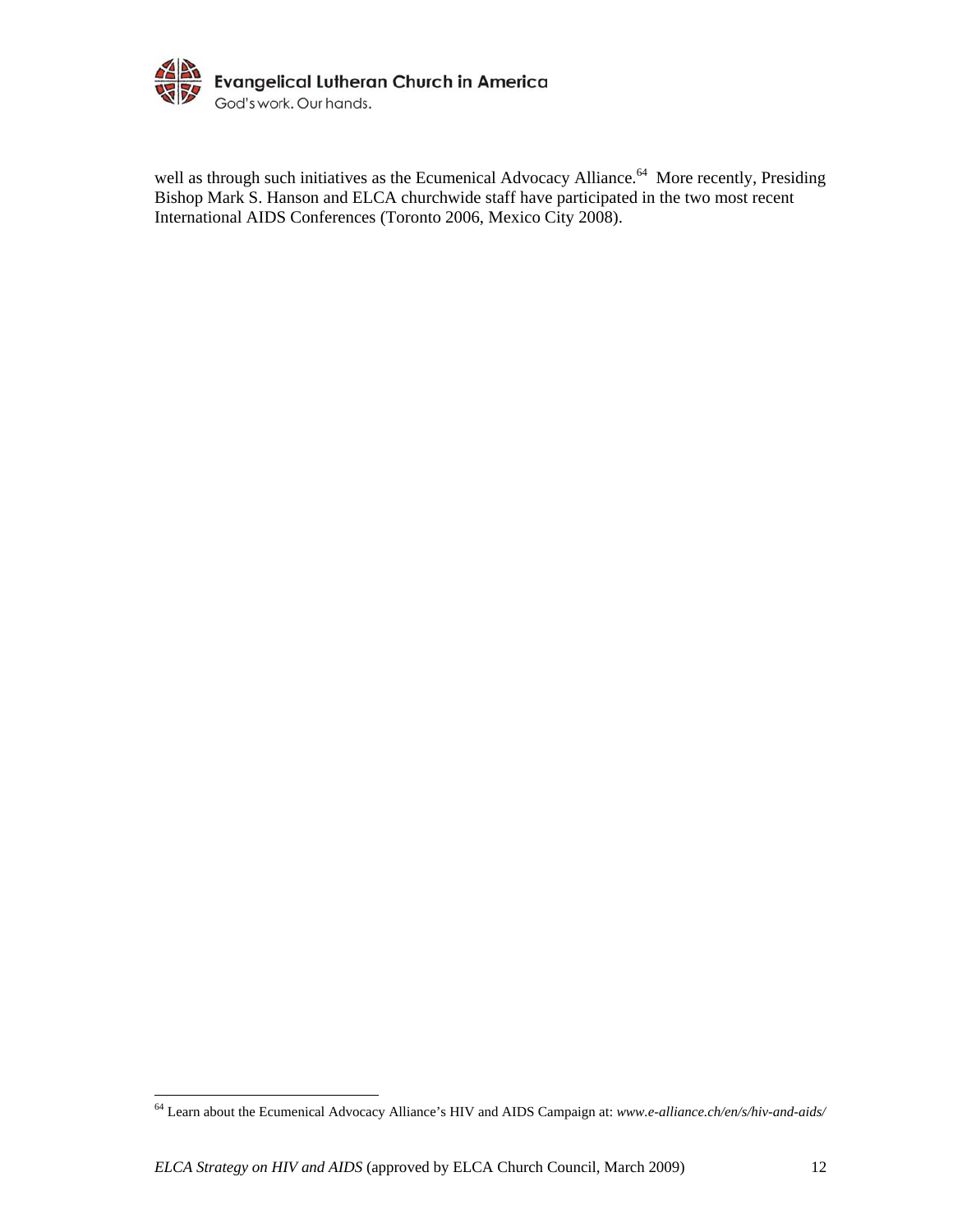

well as through such initiatives as the Ecumenical Advocacy Alliance.<sup>64</sup> More recently, Presiding Bishop Mark S. Hanson and ELCA churchwide staff have participated in the two most recent International AIDS Conferences (Toronto 2006, Mexico City 2008).

<sup>64</sup> Learn about the Ecumenical Advocacy Alliance's HIV and AIDS Campaign at: *www.e-alliance.ch/en/s/hiv-and-aids/*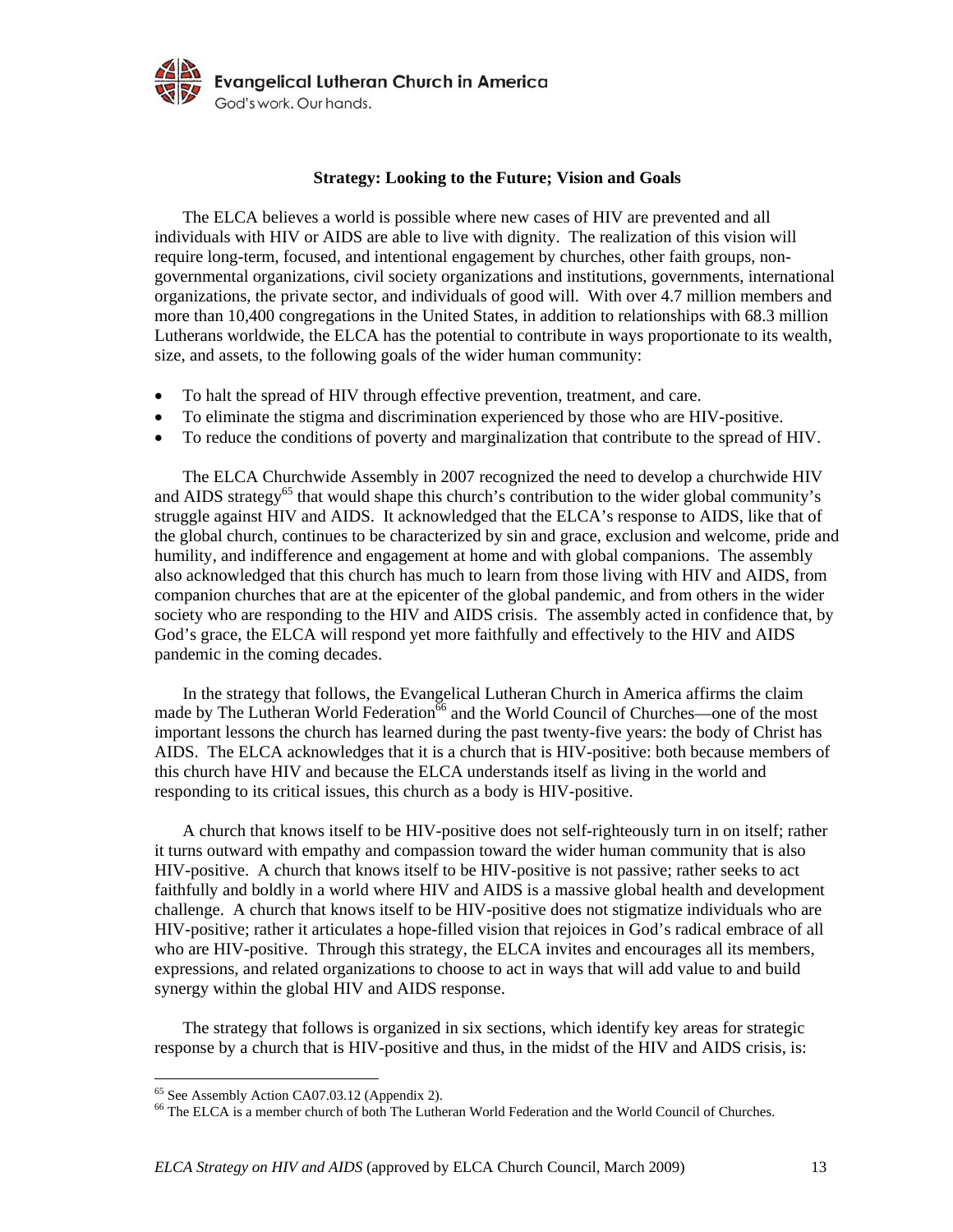

### **Strategy: Looking to the Future; Vision and Goals**

The ELCA believes a world is possible where new cases of HIV are prevented and all individuals with HIV or AIDS are able to live with dignity. The realization of this vision will require long-term, focused, and intentional engagement by churches, other faith groups, nongovernmental organizations, civil society organizations and institutions, governments, international organizations, the private sector, and individuals of good will. With over 4.7 million members and more than 10,400 congregations in the United States, in addition to relationships with 68.3 million Lutherans worldwide, the ELCA has the potential to contribute in ways proportionate to its wealth, size, and assets, to the following goals of the wider human community:

- To halt the spread of HIV through effective prevention, treatment, and care.
- To eliminate the stigma and discrimination experienced by those who are HIV-positive.
- To reduce the conditions of poverty and marginalization that contribute to the spread of HIV.

The ELCA Churchwide Assembly in 2007 recognized the need to develop a churchwide HIV and AIDS strategy<sup>65</sup> that would shape this church's contribution to the wider global community's struggle against HIV and AIDS. It acknowledged that the ELCA's response to AIDS, like that of the global church, continues to be characterized by sin and grace, exclusion and welcome, pride and humility, and indifference and engagement at home and with global companions. The assembly also acknowledged that this church has much to learn from those living with HIV and AIDS, from companion churches that are at the epicenter of the global pandemic, and from others in the wider society who are responding to the HIV and AIDS crisis. The assembly acted in confidence that, by God's grace, the ELCA will respond yet more faithfully and effectively to the HIV and AIDS pandemic in the coming decades.

 In the strategy that follows, the Evangelical Lutheran Church in America affirms the claim made by The Lutheran World Federation<sup>66</sup> and the World Council of Churches—one of the most important lessons the church has learned during the past twenty-five years: the body of Christ has AIDS. The ELCA acknowledges that it is a church that is HIV-positive: both because members of this church have HIV and because the ELCA understands itself as living in the world and responding to its critical issues, this church as a body is HIV-positive.

 A church that knows itself to be HIV-positive does not self-righteously turn in on itself; rather it turns outward with empathy and compassion toward the wider human community that is also HIV-positive. A church that knows itself to be HIV-positive is not passive; rather seeks to act faithfully and boldly in a world where HIV and AIDS is a massive global health and development challenge. A church that knows itself to be HIV-positive does not stigmatize individuals who are HIV-positive; rather it articulates a hope-filled vision that rejoices in God's radical embrace of all who are HIV-positive. Through this strategy, the ELCA invites and encourages all its members, expressions, and related organizations to choose to act in ways that will add value to and build synergy within the global HIV and AIDS response.

 The strategy that follows is organized in six sections, which identify key areas for strategic response by a church that is HIV-positive and thus, in the midst of the HIV and AIDS crisis, is:

<sup>&</sup>lt;sup>65</sup> See Assembly Action CA07.03.12 (Appendix 2).

<sup>66</sup> The ELCA is a member church of both The Lutheran World Federation and the World Council of Churches.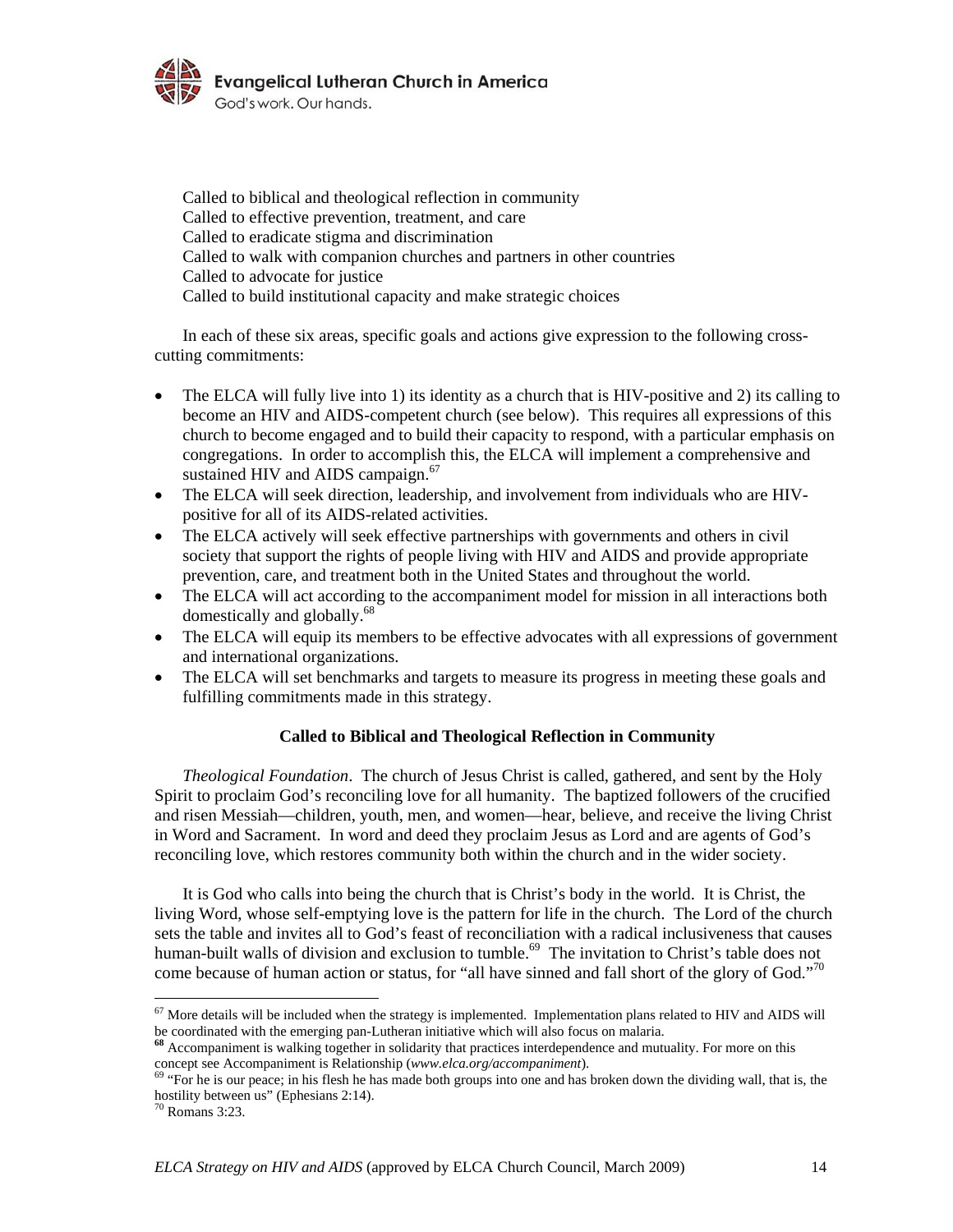

Called to biblical and theological reflection in community Called to effective prevention, treatment, and care Called to eradicate stigma and discrimination Called to walk with companion churches and partners in other countries Called to advocate for justice Called to build institutional capacity and make strategic choices

In each of these six areas, specific goals and actions give expression to the following crosscutting commitments:

- The ELCA will fully live into 1) its identity as a church that is HIV-positive and 2) its calling to become an HIV and AIDS-competent church (see below). This requires all expressions of this church to become engaged and to build their capacity to respond, with a particular emphasis on congregations. In order to accomplish this, the ELCA will implement a comprehensive and sustained HIV and AIDS campaign.<sup>67</sup>
- The ELCA will seek direction, leadership, and involvement from individuals who are HIVpositive for all of its AIDS-related activities.
- The ELCA actively will seek effective partnerships with governments and others in civil society that support the rights of people living with HIV and AIDS and provide appropriate prevention, care, and treatment both in the United States and throughout the world.
- The ELCA will act according to the accompaniment model for mission in all interactions both domestically and globally.<sup>68</sup>
- The ELCA will equip its members to be effective advocates with all expressions of government and international organizations.
- The ELCA will set benchmarks and targets to measure its progress in meeting these goals and fulfilling commitments made in this strategy.

# **Called to Biblical and Theological Reflection in Community**

*Theological Foundation*. The church of Jesus Christ is called, gathered, and sent by the Holy Spirit to proclaim God's reconciling love for all humanity. The baptized followers of the crucified and risen Messiah—children, youth, men, and women—hear, believe, and receive the living Christ in Word and Sacrament. In word and deed they proclaim Jesus as Lord and are agents of God's reconciling love, which restores community both within the church and in the wider society.

 It is God who calls into being the church that is Christ's body in the world. It is Christ, the living Word, whose self-emptying love is the pattern for life in the church. The Lord of the church sets the table and invites all to God's feast of reconciliation with a radical inclusiveness that causes human-built walls of division and exclusion to tumble.<sup>69</sup> The invitation to Christ's table does not come because of human action or status, for "all have sinned and fall short of the glory of God."<sup>70</sup>

 $<sup>67</sup>$  More details will be included when the strategy is implemented. Implementation plans related to HIV and AIDS will</sup> be coordinated with the emerging pan-Lutheran initiative which will also focus on malaria. **<sup>68</sup>** Accompaniment is walking together in solidarity that practices interdependence and mutuality. For more on this

concept see Accompaniment is Relationship (*www.elca.org/accompaniment*). 69 "For he is our peace; in his flesh he has made both groups into one and has broken down the dividing wall, that is, the

hostility between us" (Ephesians 2:14).

<sup>70</sup> Romans 3:23.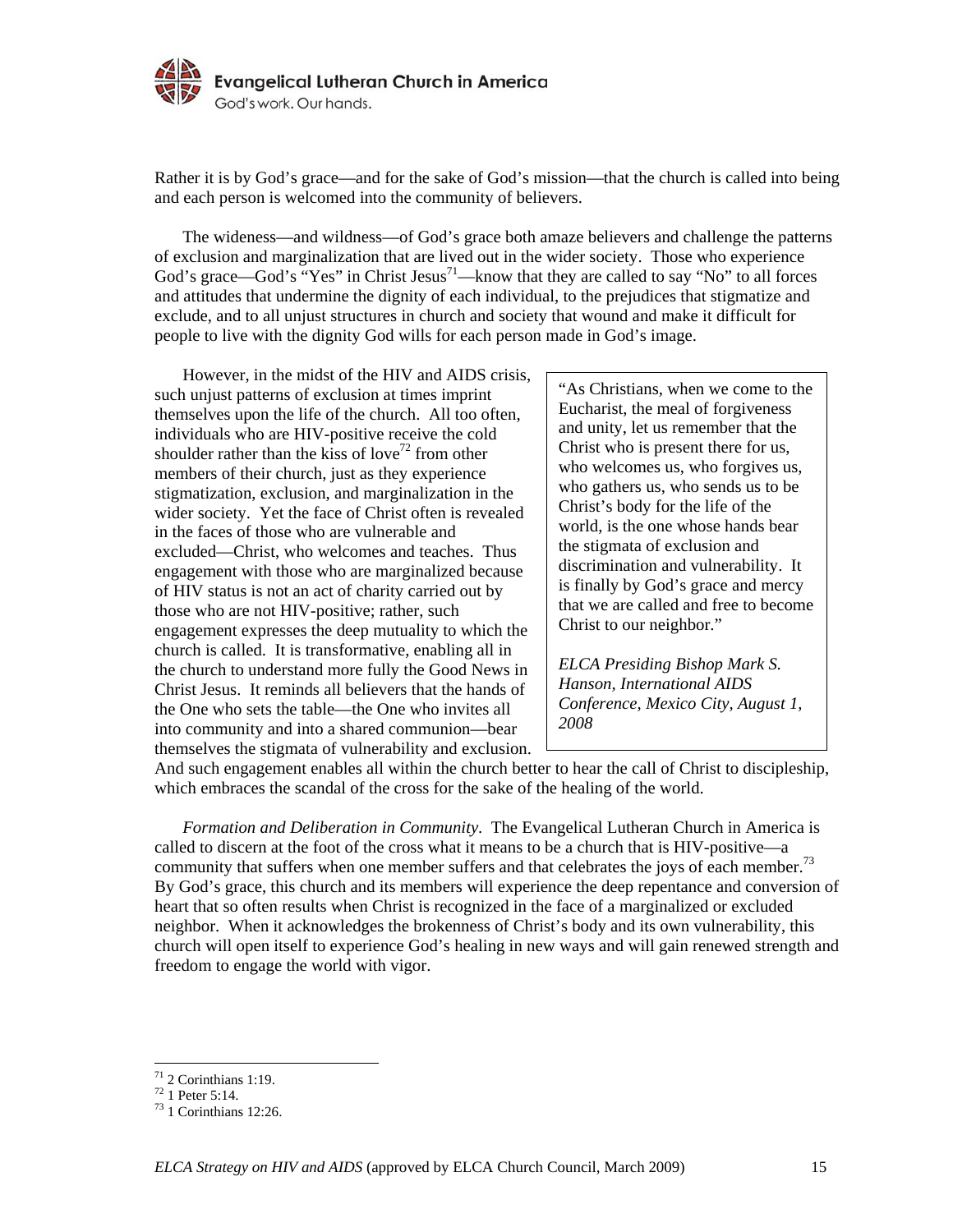

Rather it is by God's grace—and for the sake of God's mission—that the church is called into being and each person is welcomed into the community of believers.

 The wideness—and wildness—of God's grace both amaze believers and challenge the patterns of exclusion and marginalization that are lived out in the wider society. Those who experience God's grace—God's "Yes" in Christ Jesus<sup>71</sup>—know that they are called to say "No" to all forces and attitudes that undermine the dignity of each individual, to the prejudices that stigmatize and exclude, and to all unjust structures in church and society that wound and make it difficult for people to live with the dignity God wills for each person made in God's image.

 However, in the midst of the HIV and AIDS crisis, such unjust patterns of exclusion at times imprint themselves upon the life of the church. All too often, individuals who are HIV-positive receive the cold shoulder rather than the kiss of love<sup>72</sup> from other members of their church, just as they experience stigmatization, exclusion, and marginalization in the wider society. Yet the face of Christ often is revealed in the faces of those who are vulnerable and excluded—Christ, who welcomes and teaches. Thus engagement with those who are marginalized because of HIV status is not an act of charity carried out by those who are not HIV-positive; rather, such engagement expresses the deep mutuality to which the church is called. It is transformative, enabling all in the church to understand more fully the Good News in Christ Jesus. It reminds all believers that the hands of the One who sets the table—the One who invites all into community and into a shared communion—bear themselves the stigmata of vulnerability and exclusion.

"As Christians, when we come to the Eucharist, the meal of forgiveness and unity, let us remember that the Christ who is present there for us, who welcomes us, who forgives us, who gathers us, who sends us to be Christ's body for the life of the world, is the one whose hands bear the stigmata of exclusion and discrimination and vulnerability. It is finally by God's grace and mercy that we are called and free to become Christ to our neighbor."

*ELCA Presiding Bishop Mark S. Hanson, International AIDS Conference, Mexico City, August 1, 2008* 

And such engagement enables all within the church better to hear the call of Christ to discipleship, which embraces the scandal of the cross for the sake of the healing of the world.

*Formation and Deliberation in Community*. The Evangelical Lutheran Church in America is called to discern at the foot of the cross what it means to be a church that is HIV-positive—a community that suffers when one member suffers and that celebrates the joys of each member.<sup>73</sup> By God's grace, this church and its members will experience the deep repentance and conversion of heart that so often results when Christ is recognized in the face of a marginalized or excluded neighbor. When it acknowledges the brokenness of Christ's body and its own vulnerability, this church will open itself to experience God's healing in new ways and will gain renewed strength and freedom to engage the world with vigor.

<u>.</u>

 $71$  2 Corinthians 1:19.

<sup>72 1</sup> Peter 5:14.

<sup>73 1</sup> Corinthians 12:26.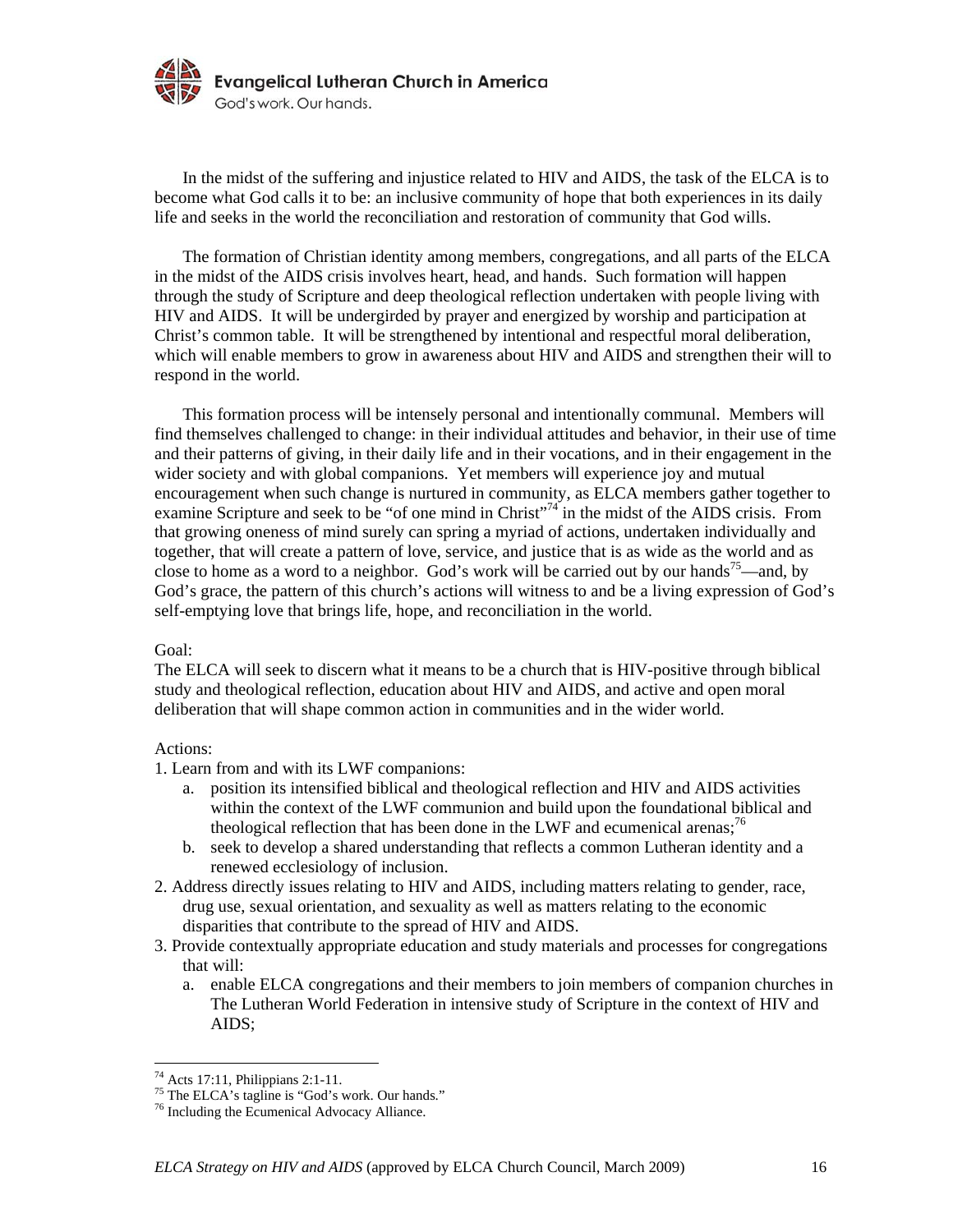

 In the midst of the suffering and injustice related to HIV and AIDS, the task of the ELCA is to become what God calls it to be: an inclusive community of hope that both experiences in its daily life and seeks in the world the reconciliation and restoration of community that God wills.

 The formation of Christian identity among members, congregations, and all parts of the ELCA in the midst of the AIDS crisis involves heart, head, and hands. Such formation will happen through the study of Scripture and deep theological reflection undertaken with people living with HIV and AIDS. It will be undergirded by prayer and energized by worship and participation at Christ's common table. It will be strengthened by intentional and respectful moral deliberation, which will enable members to grow in awareness about HIV and AIDS and strengthen their will to respond in the world.

 This formation process will be intensely personal and intentionally communal. Members will find themselves challenged to change: in their individual attitudes and behavior, in their use of time and their patterns of giving, in their daily life and in their vocations, and in their engagement in the wider society and with global companions. Yet members will experience joy and mutual encouragement when such change is nurtured in community, as ELCA members gather together to examine Scripture and seek to be "of one mind in Christ"<sup>74</sup> in the midst of the AIDS crisis. From that growing oneness of mind surely can spring a myriad of actions, undertaken individually and together, that will create a pattern of love, service, and justice that is as wide as the world and as close to home as a word to a neighbor. God's work will be carried out by our hands<sup>75</sup>—and, by God's grace, the pattern of this church's actions will witness to and be a living expression of God's self-emptying love that brings life, hope, and reconciliation in the world.

### Goal:

The ELCA will seek to discern what it means to be a church that is HIV-positive through biblical study and theological reflection, education about HIV and AIDS, and active and open moral deliberation that will shape common action in communities and in the wider world.

#### Actions:

<u>.</u>

1. Learn from and with its LWF companions:

- a. position its intensified biblical and theological reflection and HIV and AIDS activities within the context of the LWF communion and build upon the foundational biblical and theological reflection that has been done in the LWF and ecumenical arenas;<sup>76</sup>
- b. seek to develop a shared understanding that reflects a common Lutheran identity and a renewed ecclesiology of inclusion.
- 2. Address directly issues relating to HIV and AIDS, including matters relating to gender, race, drug use, sexual orientation, and sexuality as well as matters relating to the economic disparities that contribute to the spread of HIV and AIDS.
- 3. Provide contextually appropriate education and study materials and processes for congregations that will:
	- a. enable ELCA congregations and their members to join members of companion churches in The Lutheran World Federation in intensive study of Scripture in the context of HIV and AIDS;

 $74$  Acts 17:11, Philippians 2:1-11.

<sup>&</sup>lt;sup>75</sup> The ELCA's tagline is "God's work. Our hands."

<sup>76</sup> Including the Ecumenical Advocacy Alliance.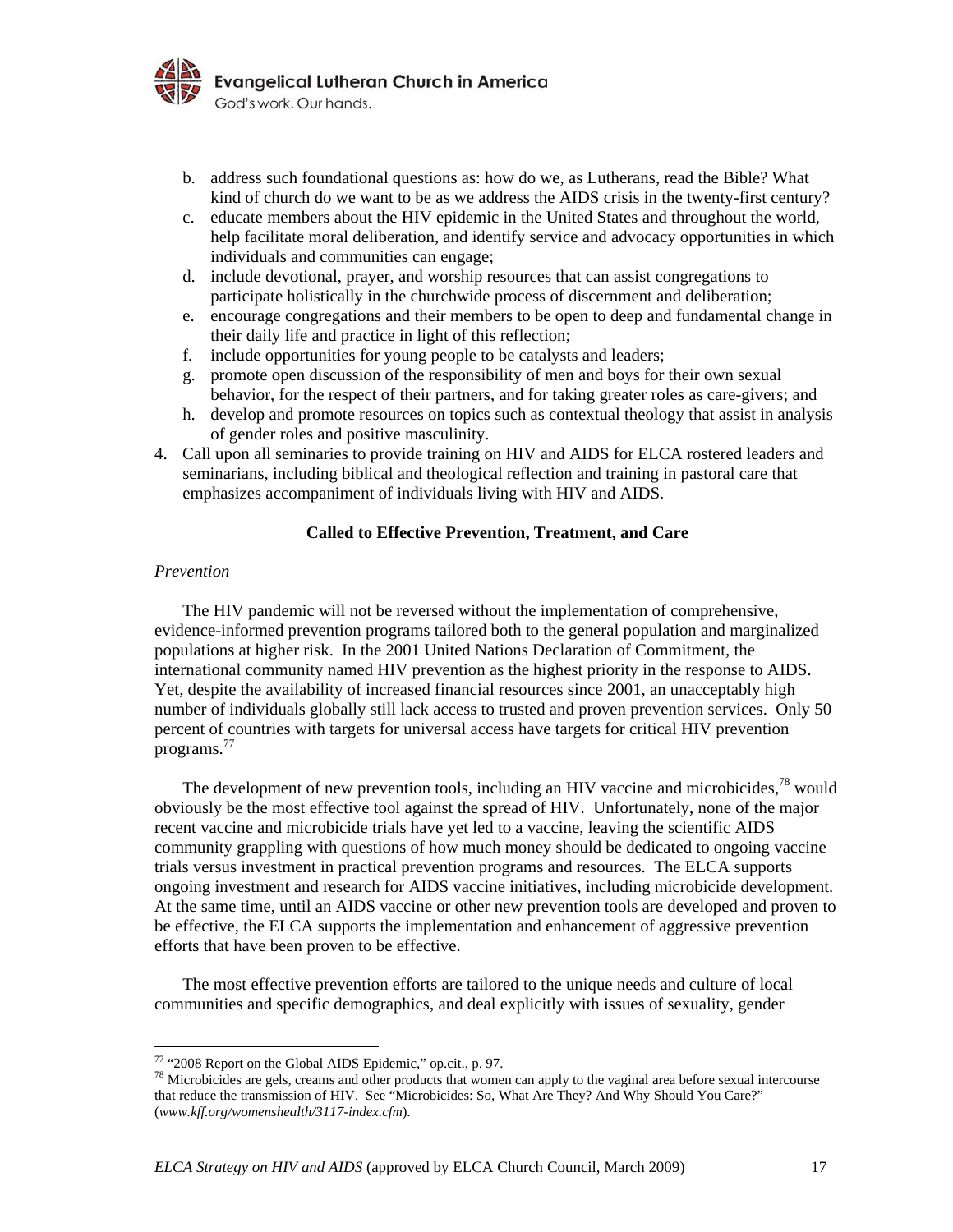

- b. address such foundational questions as: how do we, as Lutherans, read the Bible? What kind of church do we want to be as we address the AIDS crisis in the twenty-first century?
- c. educate members about the HIV epidemic in the United States and throughout the world, help facilitate moral deliberation, and identify service and advocacy opportunities in which individuals and communities can engage;
- d. include devotional, prayer, and worship resources that can assist congregations to participate holistically in the churchwide process of discernment and deliberation;
- e. encourage congregations and their members to be open to deep and fundamental change in their daily life and practice in light of this reflection;
- f. include opportunities for young people to be catalysts and leaders;
- g. promote open discussion of the responsibility of men and boys for their own sexual behavior, for the respect of their partners, and for taking greater roles as care-givers; and
- h. develop and promote resources on topics such as contextual theology that assist in analysis of gender roles and positive masculinity.
- 4. Call upon all seminaries to provide training on HIV and AIDS for ELCA rostered leaders and seminarians, including biblical and theological reflection and training in pastoral care that emphasizes accompaniment of individuals living with HIV and AIDS.

### **Called to Effective Prevention, Treatment, and Care**

#### *Prevention*

1

The HIV pandemic will not be reversed without the implementation of comprehensive, evidence-informed prevention programs tailored both to the general population and marginalized populations at higher risk. In the 2001 United Nations Declaration of Commitment, the international community named HIV prevention as the highest priority in the response to AIDS. Yet, despite the availability of increased financial resources since 2001, an unacceptably high number of individuals globally still lack access to trusted and proven prevention services. Only 50 percent of countries with targets for universal access have targets for critical HIV prevention programs.<sup>77</sup>

The development of new prevention tools, including an HIV vaccine and microbicides,  $^{78}$  would obviously be the most effective tool against the spread of HIV. Unfortunately, none of the major recent vaccine and microbicide trials have yet led to a vaccine, leaving the scientific AIDS community grappling with questions of how much money should be dedicated to ongoing vaccine trials versus investment in practical prevention programs and resources. The ELCA supports ongoing investment and research for AIDS vaccine initiatives, including microbicide development. At the same time, until an AIDS vaccine or other new prevention tools are developed and proven to be effective, the ELCA supports the implementation and enhancement of aggressive prevention efforts that have been proven to be effective.

 The most effective prevention efforts are tailored to the unique needs and culture of local communities and specific demographics, and deal explicitly with issues of sexuality, gender

<sup>&</sup>lt;sup>77</sup> "2008 Report on the Global AIDS Epidemic," op.cit., p. 97.

<sup>&</sup>lt;sup>78</sup> Microbicides are gels, creams and other products that women can apply to the vaginal area before sexual intercourse that reduce the transmission of HIV. See "Microbicides: So, What Are They? And Why Should You Care?" (*www.kff.org/womenshealth/3117-index.cfm*).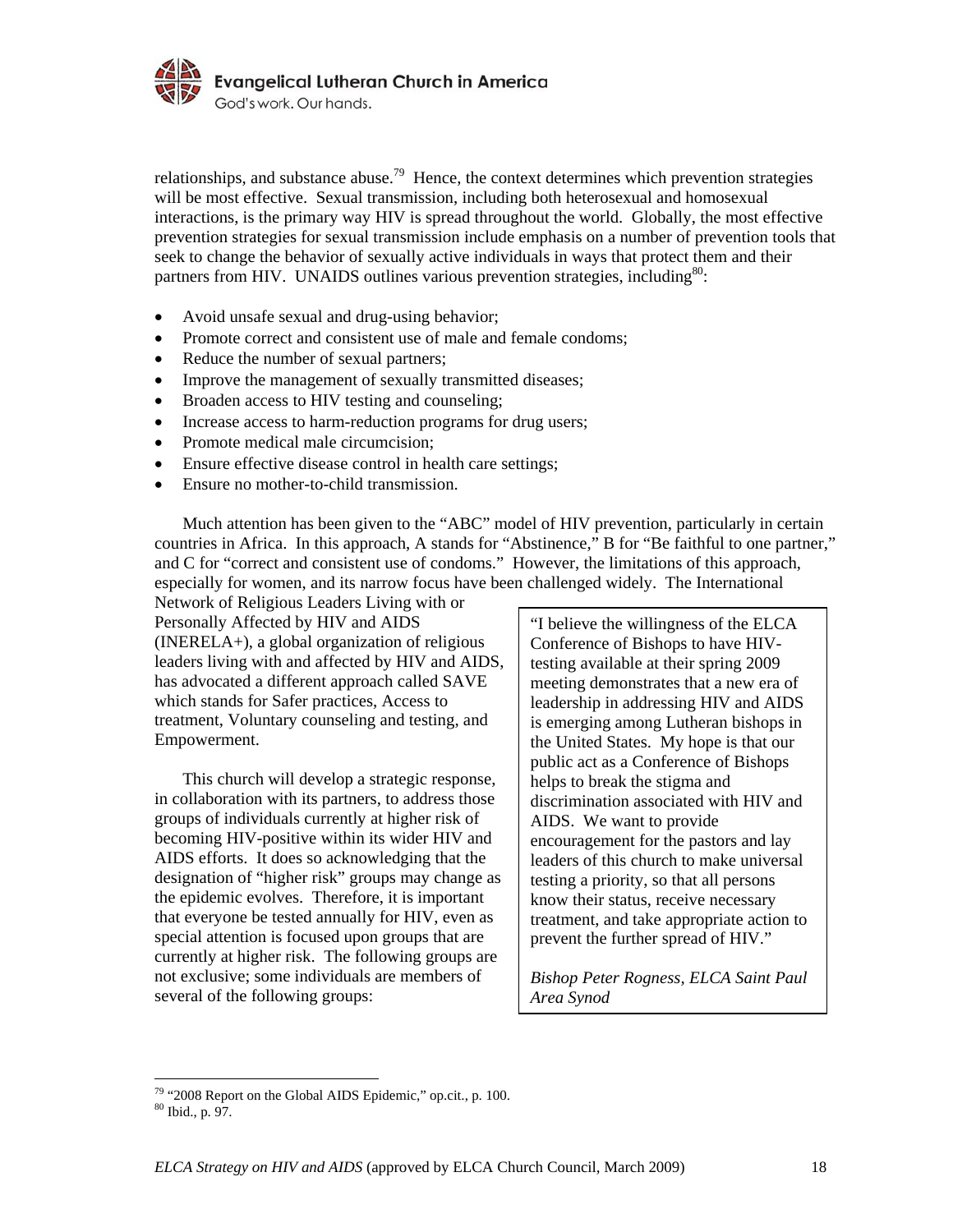

relationships, and substance abuse.<sup>79</sup> Hence, the context determines which prevention strategies will be most effective. Sexual transmission, including both heterosexual and homosexual interactions, is the primary way HIV is spread throughout the world. Globally, the most effective prevention strategies for sexual transmission include emphasis on a number of prevention tools that seek to change the behavior of sexually active individuals in ways that protect them and their partners from HIV. UNAIDS outlines various prevention strategies, including<sup>80</sup>:

- Avoid unsafe sexual and drug-using behavior;
- Promote correct and consistent use of male and female condoms;
- Reduce the number of sexual partners;
- Improve the management of sexually transmitted diseases;
- Broaden access to HIV testing and counseling;
- Increase access to harm-reduction programs for drug users;
- Promote medical male circumcision;
- Ensure effective disease control in health care settings;
- Ensure no mother-to-child transmission.

 Much attention has been given to the "ABC" model of HIV prevention, particularly in certain countries in Africa. In this approach, A stands for "Abstinence," B for "Be faithful to one partner," and C for "correct and consistent use of condoms." However, the limitations of this approach, especially for women, and its narrow focus have been challenged widely. The International

Network of Religious Leaders Living with or Personally Affected by HIV and AIDS (INERELA+), a global organization of religious leaders living with and affected by HIV and AIDS, has advocated a different approach called SAVE which stands for Safer practices, Access to treatment, Voluntary counseling and testing, and Empowerment.

 This church will develop a strategic response, in collaboration with its partners, to address those groups of individuals currently at higher risk of becoming HIV-positive within its wider HIV and AIDS efforts. It does so acknowledging that the designation of "higher risk" groups may change as the epidemic evolves. Therefore, it is important that everyone be tested annually for HIV, even as special attention is focused upon groups that are currently at higher risk. The following groups are not exclusive; some individuals are members of several of the following groups:

"I believe the willingness of the ELCA Conference of Bishops to have HIVtesting available at their spring 2009 meeting demonstrates that a new era of leadership in addressing HIV and AIDS is emerging among Lutheran bishops in the United States. My hope is that our public act as a Conference of Bishops helps to break the stigma and discrimination associated with HIV and AIDS. We want to provide encouragement for the pastors and lay leaders of this church to make universal testing a priority, so that all persons know their status, receive necessary treatment, and take appropriate action to prevent the further spread of HIV."

*Bishop Peter Rogness, ELCA Saint Paul Area Synod* 

 $79$  "2008 Report on the Global AIDS Epidemic," op.cit., p. 100.

<sup>80</sup> Ibid., p. 97.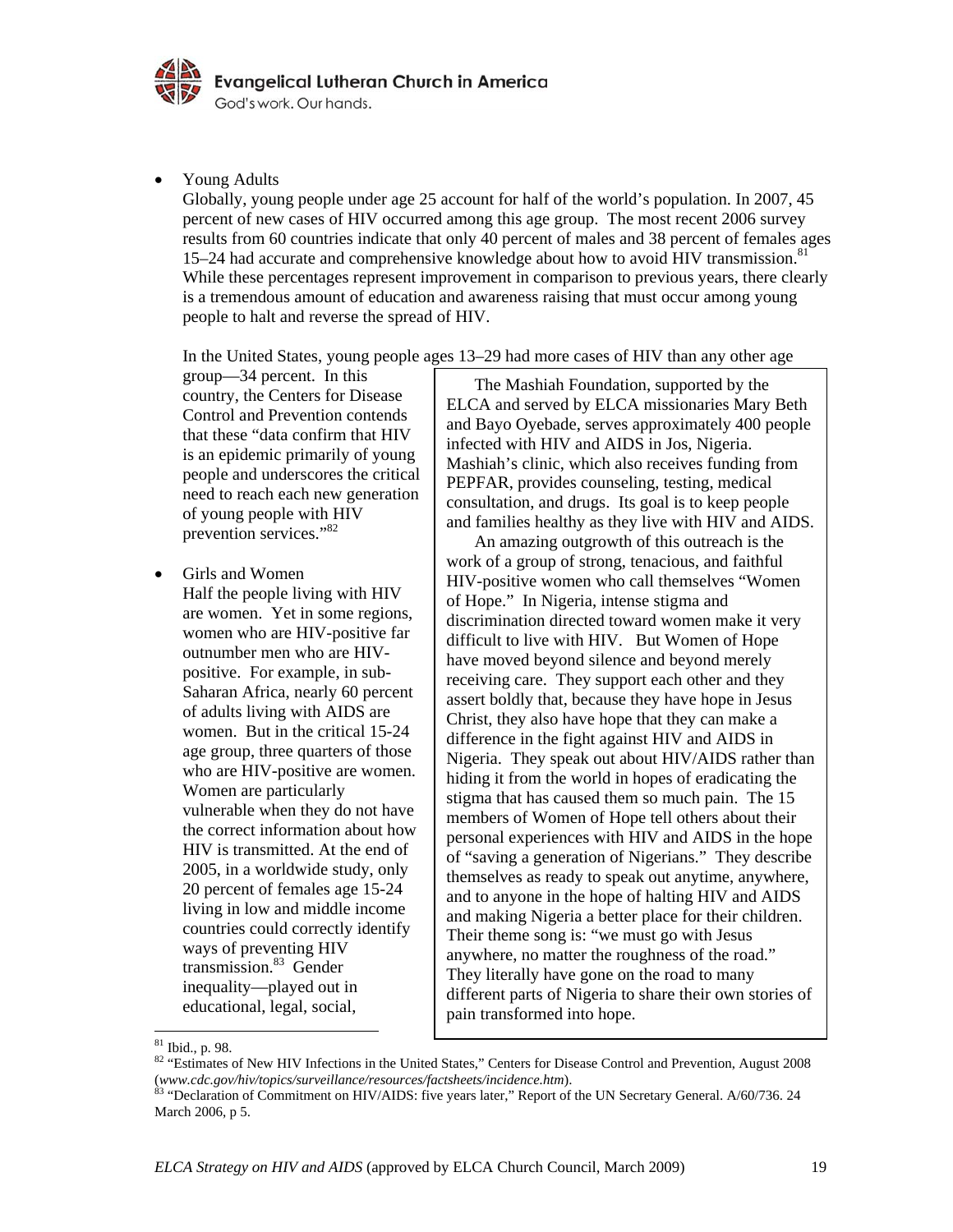

• Young Adults

Globally, young people under age 25 account for half of the world's population. In 2007, 45 percent of new cases of HIV occurred among this age group. The most recent 2006 survey results from 60 countries indicate that only 40 percent of males and 38 percent of females ages  $15-24$  had accurate and comprehensive knowledge about how to avoid HIV transmission.<sup>8</sup> While these percentages represent improvement in comparison to previous years, there clearly is a tremendous amount of education and awareness raising that must occur among young people to halt and reverse the spread of HIV.

In the United States, young people ages 13–29 had more cases of HIV than any other age

group—34 percent. In this country, the Centers for Disease Control and Prevention contends that these "data confirm that HIV is an epidemic primarily of young people and underscores the critical need to reach each new generation of young people with HIV prevention services."<sup>82</sup>

• Girls and Women

Half the people living with HIV are women. Yet in some regions, women who are HIV-positive far outnumber men who are HIVpositive. For example, in sub-Saharan Africa, nearly 60 percent of adults living with AIDS are women. But in the critical 15-24 age group, three quarters of those who are HIV-positive are women. Women are particularly vulnerable when they do not have the correct information about how HIV is transmitted. At the end of 2005, in a worldwide study, only 20 percent of females age 15-24 living in low and middle income countries could correctly identify ways of preventing HIV transmission.83 Gender inequality—played out in educational, legal, social,

The Mashiah Foundation, supported by the ELCA and served by ELCA missionaries Mary Beth and Bayo Oyebade, serves approximately 400 people infected with HIV and AIDS in Jos, Nigeria. Mashiah's clinic, which also receives funding from PEPFAR, provides counseling, testing, medical consultation, and drugs. Its goal is to keep people and families healthy as they live with HIV and AIDS.

 An amazing outgrowth of this outreach is the work of a group of strong, tenacious, and faithful HIV-positive women who call themselves "Women of Hope." In Nigeria, intense stigma and discrimination directed toward women make it very difficult to live with HIV. But Women of Hope have moved beyond silence and beyond merely receiving care. They support each other and they assert boldly that, because they have hope in Jesus Christ, they also have hope that they can make a difference in the fight against HIV and AIDS in Nigeria. They speak out about HIV/AIDS rather than hiding it from the world in hopes of eradicating the stigma that has caused them so much pain. The 15 members of Women of Hope tell others about their personal experiences with HIV and AIDS in the hope of "saving a generation of Nigerians." They describe themselves as ready to speak out anytime, anywhere, and to anyone in the hope of halting HIV and AIDS and making Nigeria a better place for their children. Their theme song is: "we must go with Jesus anywhere, no matter the roughness of the road." They literally have gone on the road to many different parts of Nigeria to share their own stories of pain transformed into hope.

<sup>1</sup>  $81$  Ibid., p. 98.

<sup>82 &</sup>quot;Estimates of New HIV Infections in the United States," Centers for Disease Control and Prevention, August 2008 (*www.cdc.gov/hiv/topics/surveillance/resources/factsheets/incidence.htm*). 83 "Declaration of Commitment on HIV/AIDS: five years later," Report of the UN Secretary General. A/60/736. 24

March 2006, p 5.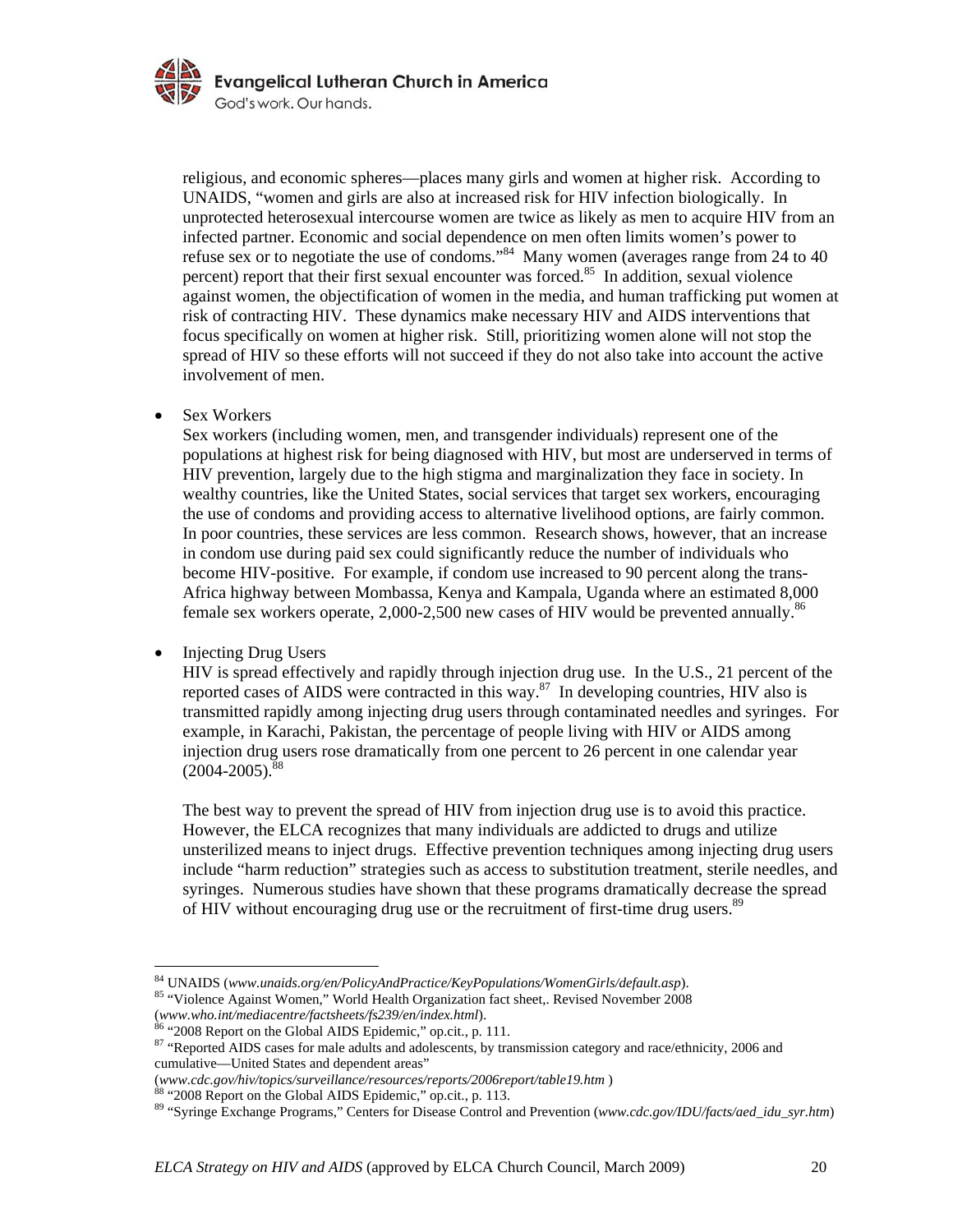

religious, and economic spheres—places many girls and women at higher risk. According to UNAIDS, "women and girls are also at increased risk for HIV infection biologically. In unprotected heterosexual intercourse women are twice as likely as men to acquire HIV from an infected partner. Economic and social dependence on men often limits women's power to refuse sex or to negotiate the use of condoms."<sup>84</sup> Many women (averages range from 24 to 40 percent) report that their first sexual encounter was forced. $85$  In addition, sexual violence against women, the objectification of women in the media, and human trafficking put women at risk of contracting HIV. These dynamics make necessary HIV and AIDS interventions that focus specifically on women at higher risk. Still, prioritizing women alone will not stop the spread of HIV so these efforts will not succeed if they do not also take into account the active involvement of men.

Sex Workers

Sex workers (including women, men, and transgender individuals) represent one of the populations at highest risk for being diagnosed with HIV, but most are underserved in terms of HIV prevention, largely due to the high stigma and marginalization they face in society. In wealthy countries, like the United States, social services that target sex workers, encouraging the use of condoms and providing access to alternative livelihood options, are fairly common. In poor countries, these services are less common. Research shows, however, that an increase in condom use during paid sex could significantly reduce the number of individuals who become HIV-positive. For example, if condom use increased to 90 percent along the trans-Africa highway between Mombassa, Kenya and Kampala, Uganda where an estimated 8,000 female sex workers operate,  $2,000$ -2,500 new cases of HIV would be prevented annually.<sup>86</sup>

• Injecting Drug Users

1

HIV is spread effectively and rapidly through injection drug use. In the U.S., 21 percent of the reported cases of AIDS were contracted in this way.87 In developing countries, HIV also is transmitted rapidly among injecting drug users through contaminated needles and syringes. For example, in Karachi, Pakistan, the percentage of people living with HIV or AIDS among injection drug users rose dramatically from one percent to 26 percent in one calendar year  $(2004 - 2005)^8$ 

The best way to prevent the spread of HIV from injection drug use is to avoid this practice. However, the ELCA recognizes that many individuals are addicted to drugs and utilize unsterilized means to inject drugs. Effective prevention techniques among injecting drug users include "harm reduction" strategies such as access to substitution treatment, sterile needles, and syringes. Numerous studies have shown that these programs dramatically decrease the spread of HIV without encouraging drug use or the recruitment of first-time drug users.<sup>89</sup>

<sup>84</sup> UNAIDS (*www.unaids.org/en/PolicyAndPractice/KeyPopulations/WomenGirls/default.asp*). 85 "Violence Against Women," World Health Organization fact sheet,. Revised November 2008

<sup>(</sup>*www.who.int/mediacentre/factsheets/fs239/en/index.html*). 86 "2008 Report on the Global AIDS Epidemic," op.cit., p. 111.

<sup>&</sup>lt;sup>87</sup> "Reported AIDS cases for male adults and adolescents, by transmission category and race/ethnicity, 2006 and cumulative—United States and dependent areas"<br>(www.cdc.gov/hiv/topics/surveillance/resources/reports/2006report/table19.htm)

<sup>&</sup>lt;sup>88</sup> "2008 Report on the Global AIDS Epidemic," op.cit., p. 113.

<sup>89 &</sup>quot;Syringe Exchange Programs," Centers for Disease Control and Prevention (*www.cdc.gov/IDU/facts/aed\_idu\_syr.htm*)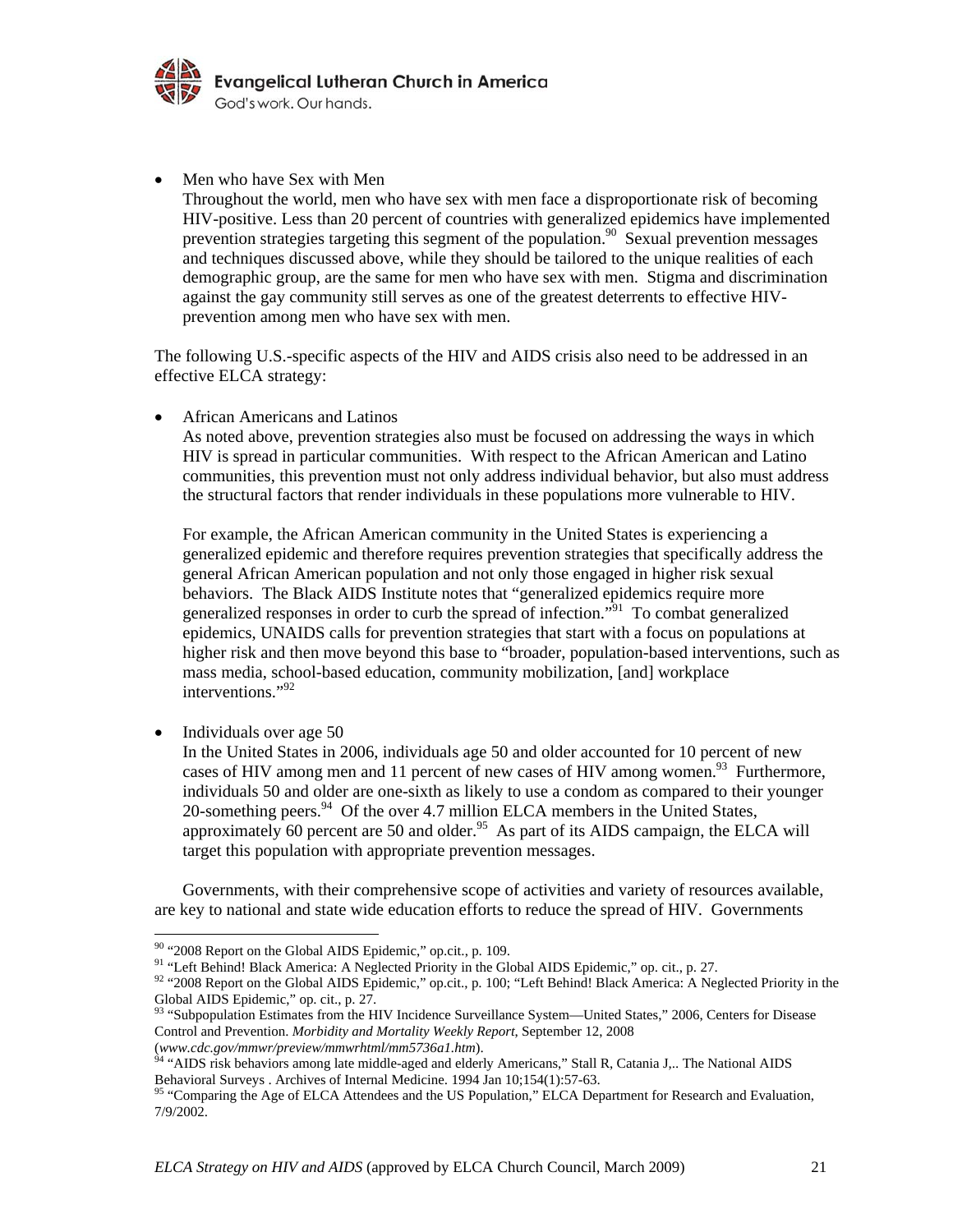

• Men who have Sex with Men Throughout the world, men who have sex with men face a disproportionate risk of becoming HIV-positive. Less than 20 percent of countries with generalized epidemics have implemented prevention strategies targeting this segment of the population.<sup>90</sup> Sexual prevention messages and techniques discussed above, while they should be tailored to the unique realities of each demographic group, are the same for men who have sex with men. Stigma and discrimination against the gay community still serves as one of the greatest deterrents to effective HIVprevention among men who have sex with men.

The following U.S.-specific aspects of the HIV and AIDS crisis also need to be addressed in an effective ELCA strategy:

• African Americans and Latinos

As noted above, prevention strategies also must be focused on addressing the ways in which HIV is spread in particular communities. With respect to the African American and Latino communities, this prevention must not only address individual behavior, but also must address the structural factors that render individuals in these populations more vulnerable to HIV.

For example, the African American community in the United States is experiencing a generalized epidemic and therefore requires prevention strategies that specifically address the general African American population and not only those engaged in higher risk sexual behaviors. The Black AIDS Institute notes that "generalized epidemics require more generalized responses in order to curb the spread of infection.<sup>"91</sup> To combat generalized epidemics, UNAIDS calls for prevention strategies that start with a focus on populations at higher risk and then move beyond this base to "broader, population-based interventions, such as mass media, school-based education, community mobilization, [and] workplace interventions."<sup>92</sup>

• Individuals over age 50

1

In the United States in 2006, individuals age 50 and older accounted for 10 percent of new cases of HIV among men and 11 percent of new cases of HIV among women.<sup>93</sup> Furthermore, individuals 50 and older are one-sixth as likely to use a condom as compared to their younger 20-something peers. $94$  Of the over 4.7 million ELCA members in the United States, approximately 60 percent are 50 and older.<sup>95</sup> As part of its AIDS campaign, the ELCA will target this population with appropriate prevention messages.

Governments, with their comprehensive scope of activities and variety of resources available, are key to national and state wide education efforts to reduce the spread of HIV. Governments

*ELCA Strategy on HIV and AIDS* (approved by ELCA Church Council, March 2009) 21

<sup>&</sup>lt;sup>90</sup> "2008 Report on the Global AIDS Epidemic," op.cit., p. 109.

<sup>&</sup>lt;sup>91</sup> "Left Behind! Black America: A Neglected Priority in the Global AIDS Epidemic," op. cit., p. 27. 92 "2008 Report on the Global AIDS Epidemic," op.cit., p. 100; "Left Behind! Black America: A Neglected Priority in the Global AIDS Epidemic," op. cit., p. 27.

 $93$  "Subpopulation Estimates from the HIV Incidence Surveillance System—United States," 2006, Centers for Disease Control and Prevention. *Morbidity and Mortality Weekly Report*, September 12, 2008

<sup>(</sup>*www.cdc.gov/mmwr/preview/mmwrhtml/mm5736a1.htm*).<br><sup>94</sup> "AIDS risk behaviors among late middle-aged and elderly Americans," Stall R, Catania J,.. The National AIDS<br>Behavioral Surveys . Archives of Internal Medicine. 1994

<sup>&</sup>lt;sup>95</sup> "Comparing the Age of ELCA Attendees and the US Population," ELCA Department for Research and Evaluation, 7/9/2002.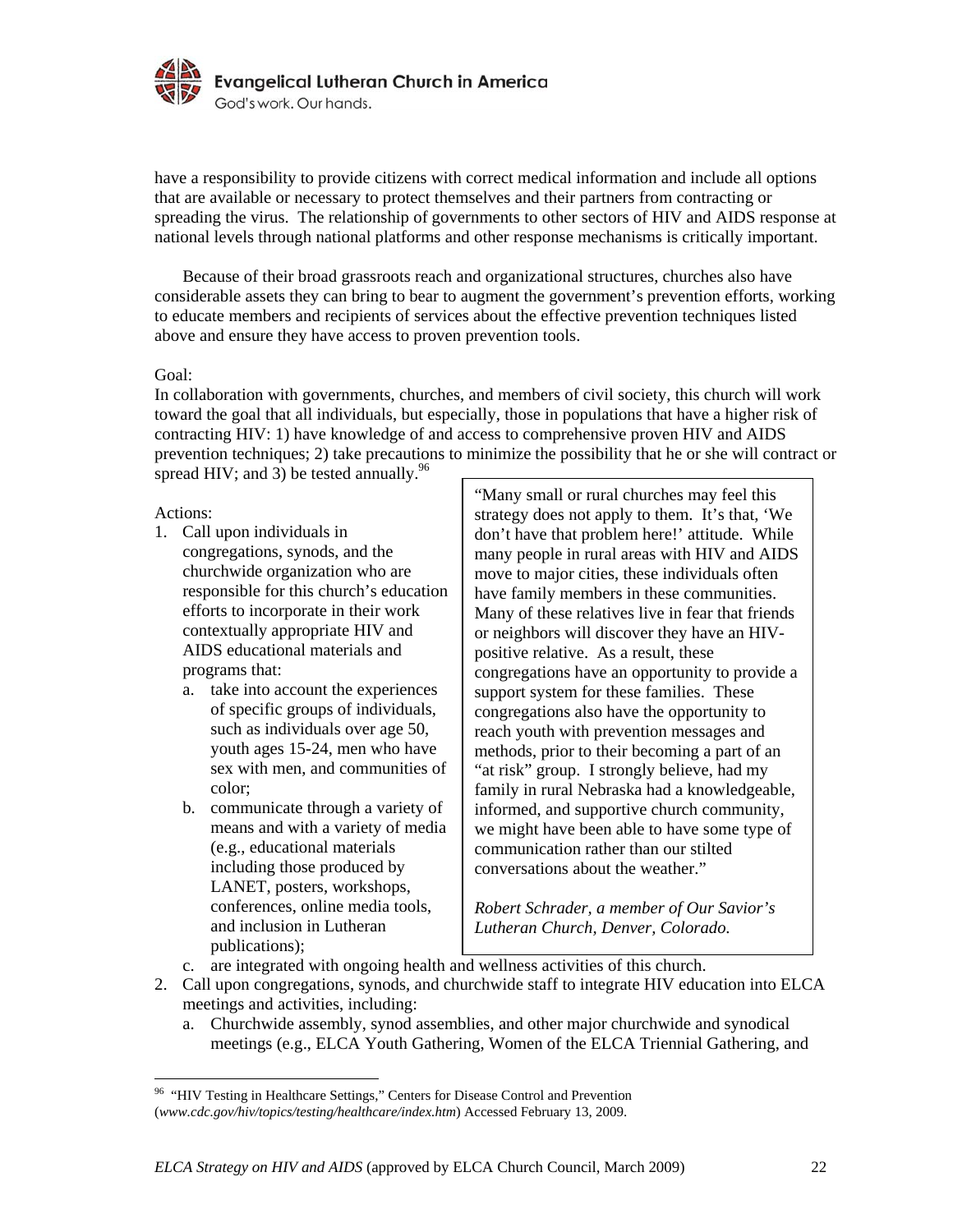

have a responsibility to provide citizens with correct medical information and include all options that are available or necessary to protect themselves and their partners from contracting or spreading the virus. The relationship of governments to other sectors of HIV and AIDS response at national levels through national platforms and other response mechanisms is critically important.

Because of their broad grassroots reach and organizational structures, churches also have considerable assets they can bring to bear to augment the government's prevention efforts, working to educate members and recipients of services about the effective prevention techniques listed above and ensure they have access to proven prevention tools.

#### Goal:

In collaboration with governments, churches, and members of civil society, this church will work toward the goal that all individuals, but especially, those in populations that have a higher risk of contracting HIV: 1) have knowledge of and access to comprehensive proven HIV and AIDS prevention techniques; 2) take precautions to minimize the possibility that he or she will contract or spread HIV; and 3) be tested annually. $96$ 

#### Actions:

1

- 1. Call upon individuals in congregations, synods, and the churchwide organization who are responsible for this church's education efforts to incorporate in their work contextually appropriate HIV and AIDS educational materials and programs that:
	- a. take into account the experiences of specific groups of individuals, such as individuals over age 50, youth ages 15-24, men who have sex with men, and communities of color;
	- b. communicate through a variety of means and with a variety of media (e.g., educational materials including those produced by LANET, posters, workshops, conferences, online media tools, and inclusion in Lutheran publications);

"Many small or rural churches may feel this strategy does not apply to them. It's that, 'We don't have that problem here!' attitude. While many people in rural areas with HIV and AIDS move to major cities, these individuals often have family members in these communities. Many of these relatives live in fear that friends or neighbors will discover they have an HIVpositive relative. As a result, these congregations have an opportunity to provide a support system for these families. These congregations also have the opportunity to reach youth with prevention messages and methods, prior to their becoming a part of an "at risk" group. I strongly believe, had my family in rural Nebraska had a knowledgeable, informed, and supportive church community, we might have been able to have some type of communication rather than our stilted conversations about the weather."

*Robert Schrader, a member of Our Savior's Lutheran Church, Denver, Colorado.*

- c. are integrated with ongoing health and wellness activities of this church.
- 2. Call upon congregations, synods, and churchwide staff to integrate HIV education into ELCA meetings and activities, including:
	- a. Churchwide assembly, synod assemblies, and other major churchwide and synodical meetings (e.g., ELCA Youth Gathering, Women of the ELCA Triennial Gathering, and

<sup>&</sup>lt;sup>96</sup> "HIV Testing in Healthcare Settings," Centers for Disease Control and Prevention (*www.cdc.gov/hiv/topics/testing/healthcare/index.htm*) Accessed February 13, 2009.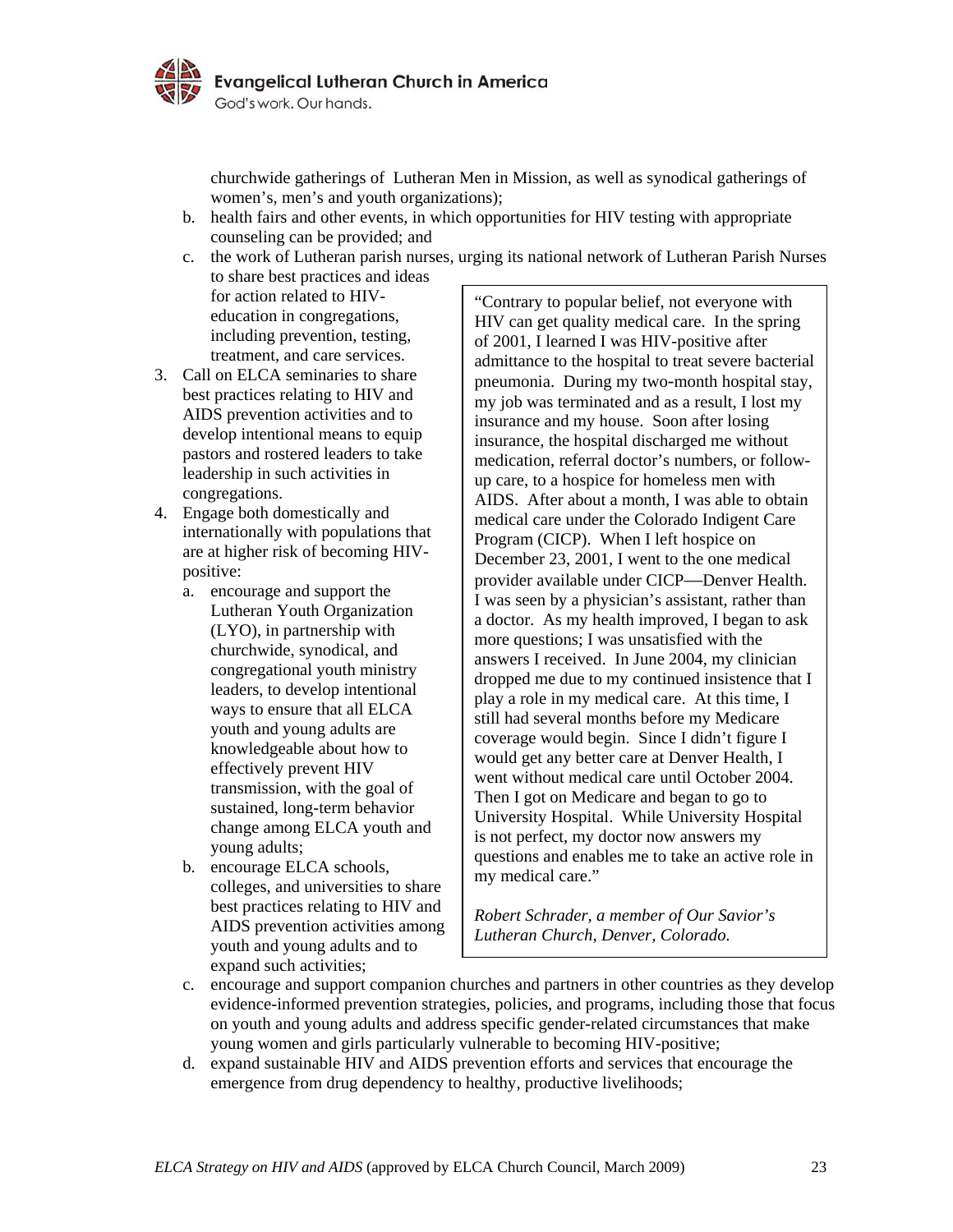

churchwide gatherings of Lutheran Men in Mission, as well as synodical gatherings of women's, men's and youth organizations);

- b. health fairs and other events, in which opportunities for HIV testing with appropriate counseling can be provided; and
- c. the work of Lutheran parish nurses, urging its national network of Lutheran Parish Nurses to share best practices and ideas

for action related to HIVeducation in congregations, including prevention, testing, treatment, and care services.

- 3. Call on ELCA seminaries to share best practices relating to HIV and AIDS prevention activities and to develop intentional means to equip pastors and rostered leaders to take leadership in such activities in congregations.
- 4. Engage both domestically and internationally with populations that are at higher risk of becoming HIVpositive:
	- a. encourage and support the Lutheran Youth Organization (LYO), in partnership with churchwide, synodical, and congregational youth ministry leaders, to develop intentional ways to ensure that all ELCA youth and young adults are knowledgeable about how to effectively prevent HIV transmission, with the goal of sustained, long-term behavior change among ELCA youth and young adults;
	- b. encourage ELCA schools, colleges, and universities to share best practices relating to HIV and AIDS prevention activities among youth and young adults and to expand such activities;

"Contrary to popular belief, not everyone with HIV can get quality medical care. In the spring of 2001, I learned I was HIV-positive after admittance to the hospital to treat severe bacterial pneumonia. During my two-month hospital stay, my job was terminated and as a result, I lost my insurance and my house. Soon after losing insurance, the hospital discharged me without medication, referral doctor's numbers, or followup care, to a hospice for homeless men with AIDS. After about a month, I was able to obtain medical care under the Colorado Indigent Care Program (CICP). When I left hospice on December 23, 2001, I went to the one medical provider available under CICP—Denver Health. I was seen by a physician's assistant, rather than a doctor. As my health improved, I began to ask more questions; I was unsatisfied with the answers I received. In June 2004, my clinician dropped me due to my continued insistence that I play a role in my medical care. At this time, I still had several months before my Medicare coverage would begin. Since I didn't figure I would get any better care at Denver Health, I went without medical care until October 2004. Then I got on Medicare and began to go to University Hospital. While University Hospital is not perfect, my doctor now answers my questions and enables me to take an active role in my medical care."

*Robert Schrader, a member of Our Savior's Lutheran Church, Denver, Colorado.* 

- c. encourage and support companion churches and partners in other countries as they develop evidence-informed prevention strategies, policies, and programs, including those that focus on youth and young adults and address specific gender-related circumstances that make young women and girls particularly vulnerable to becoming HIV-positive;
- d. expand sustainable HIV and AIDS prevention efforts and services that encourage the emergence from drug dependency to healthy, productive livelihoods;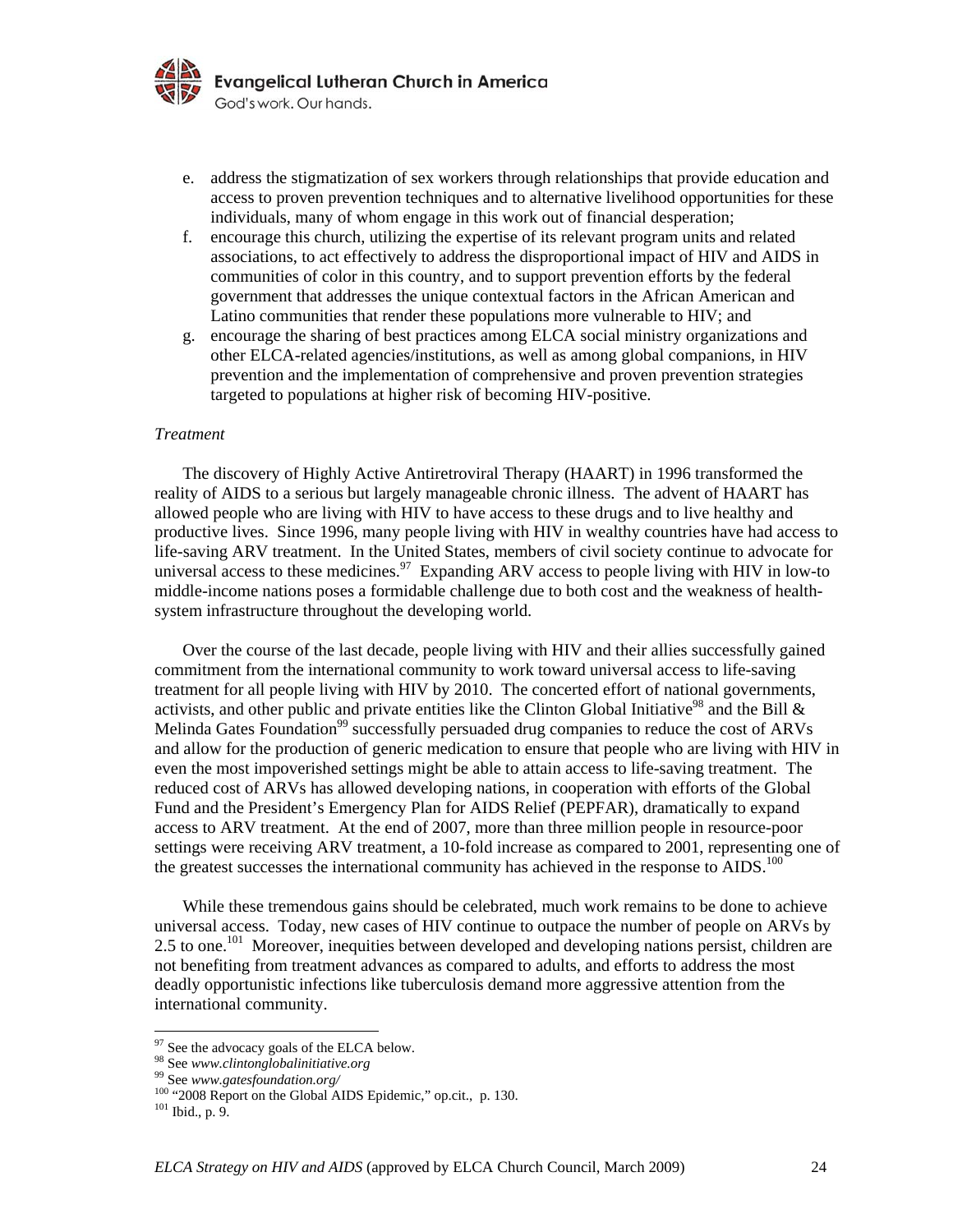

- e. address the stigmatization of sex workers through relationships that provide education and access to proven prevention techniques and to alternative livelihood opportunities for these individuals, many of whom engage in this work out of financial desperation;
- f. encourage this church, utilizing the expertise of its relevant program units and related associations, to act effectively to address the disproportional impact of HIV and AIDS in communities of color in this country, and to support prevention efforts by the federal government that addresses the unique contextual factors in the African American and Latino communities that render these populations more vulnerable to HIV; and
- g. encourage the sharing of best practices among ELCA social ministry organizations and other ELCA-related agencies/institutions, as well as among global companions, in HIV prevention and the implementation of comprehensive and proven prevention strategies targeted to populations at higher risk of becoming HIV-positive.

#### *Treatment*

The discovery of Highly Active Antiretroviral Therapy (HAART) in 1996 transformed the reality of AIDS to a serious but largely manageable chronic illness. The advent of HAART has allowed people who are living with HIV to have access to these drugs and to live healthy and productive lives. Since 1996, many people living with HIV in wealthy countries have had access to life-saving ARV treatment. In the United States, members of civil society continue to advocate for universal access to these medicines.<sup>97</sup> Expanding ARV access to people living with HIV in low-to middle-income nations poses a formidable challenge due to both cost and the weakness of healthsystem infrastructure throughout the developing world.

 Over the course of the last decade, people living with HIV and their allies successfully gained commitment from the international community to work toward universal access to life-saving treatment for all people living with HIV by 2010. The concerted effort of national governments, activists, and other public and private entities like the Clinton Global Initiative<sup>98</sup> and the Bill  $\&$ Melinda Gates Foundation<sup>99</sup> successfully persuaded drug companies to reduce the cost of ARVs and allow for the production of generic medication to ensure that people who are living with HIV in even the most impoverished settings might be able to attain access to life-saving treatment. The reduced cost of ARVs has allowed developing nations, in cooperation with efforts of the Global Fund and the President's Emergency Plan for AIDS Relief (PEPFAR), dramatically to expand access to ARV treatment. At the end of 2007, more than three million people in resource-poor settings were receiving ARV treatment, a 10-fold increase as compared to 2001, representing one of the greatest successes the international community has achieved in the response to  $\overline{A}$ IDS.<sup>100</sup>

 While these tremendous gains should be celebrated, much work remains to be done to achieve universal access. Today, new cases of HIV continue to outpace the number of people on ARVs by 2.5 to one.<sup>101</sup> Moreover, inequities between developed and developing nations persist, children are not benefiting from treatment advances as compared to adults, and efforts to address the most deadly opportunistic infections like tuberculosis demand more aggressive attention from the international community.

 $\frac{97}{98}$  See the advocacy goals of the ELCA below.<br><sup>98</sup> See *www.clintonglobalinitiative.org* 

<sup>99</sup> See *www.gatesfoundation.org/* <sup>99</sup> See *www.gatesfoundation.org/* 100 "2008 Report on the Global AIDS Epidemic," op.cit., p. 130. <sup>101</sup> Ibid., p. 9.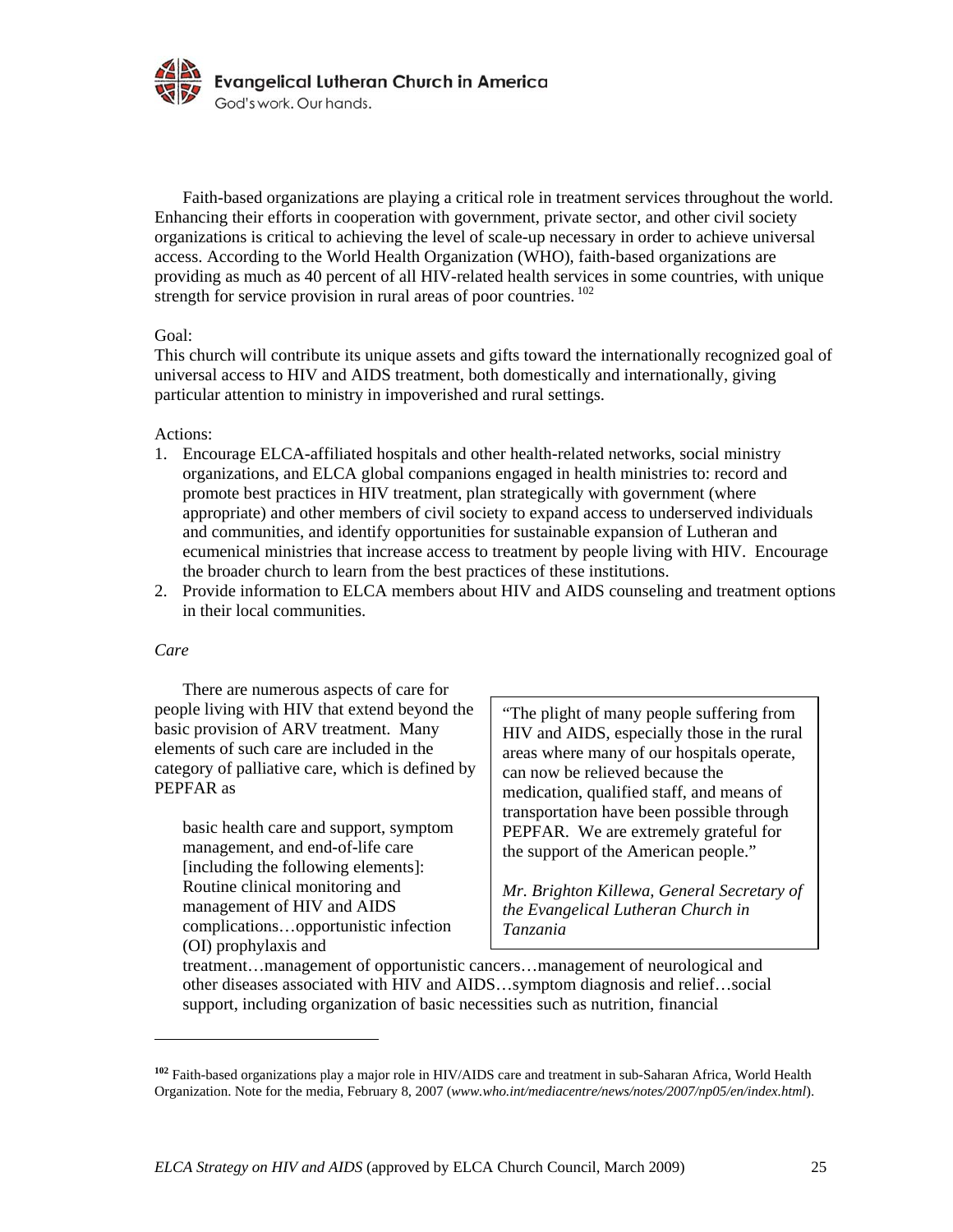

 Faith-based organizations are playing a critical role in treatment services throughout the world. Enhancing their efforts in cooperation with government, private sector, and other civil society organizations is critical to achieving the level of scale-up necessary in order to achieve universal access. According to the World Health Organization (WHO), faith-based organizations are providing as much as 40 percent of all HIV-related health services in some countries, with unique strength for service provision in rural areas of poor countries. <sup>102</sup>

### Goal:

This church will contribute its unique assets and gifts toward the internationally recognized goal of universal access to HIV and AIDS treatment, both domestically and internationally, giving particular attention to ministry in impoverished and rural settings.

Actions:

- 1. Encourage ELCA-affiliated hospitals and other health-related networks, social ministry organizations, and ELCA global companions engaged in health ministries to: record and promote best practices in HIV treatment, plan strategically with government (where appropriate) and other members of civil society to expand access to underserved individuals and communities, and identify opportunities for sustainable expansion of Lutheran and ecumenical ministries that increase access to treatment by people living with HIV. Encourage the broader church to learn from the best practices of these institutions.
- 2. Provide information to ELCA members about HIV and AIDS counseling and treatment options in their local communities.

### *Care*

<u>.</u>

There are numerous aspects of care for people living with HIV that extend beyond the basic provision of ARV treatment. Many elements of such care are included in the category of palliative care, which is defined by PEPFAR as

basic health care and support, symptom management, and end-of-life care [including the following elements]: Routine clinical monitoring and management of HIV and AIDS complications…opportunistic infection (OI) prophylaxis and

"The plight of many people suffering from HIV and AIDS, especially those in the rural areas where many of our hospitals operate, can now be relieved because the medication, qualified staff, and means of transportation have been possible through PEPFAR. We are extremely grateful for the support of the American people."

*Mr. Brighton Killewa, General Secretary of the Evangelical Lutheran Church in Tanzania*

treatment…management of opportunistic cancers…management of neurological and other diseases associated with HIV and AIDS…symptom diagnosis and relief…social support, including organization of basic necessities such as nutrition, financial

**<sup>102</sup>** Faith-based organizations play a major role in HIV/AIDS care and treatment in sub-Saharan Africa, World Health Organization. Note for the media, February 8, 2007 (*www.who.int/mediacentre/news/notes/2007/np05/en/index.html*).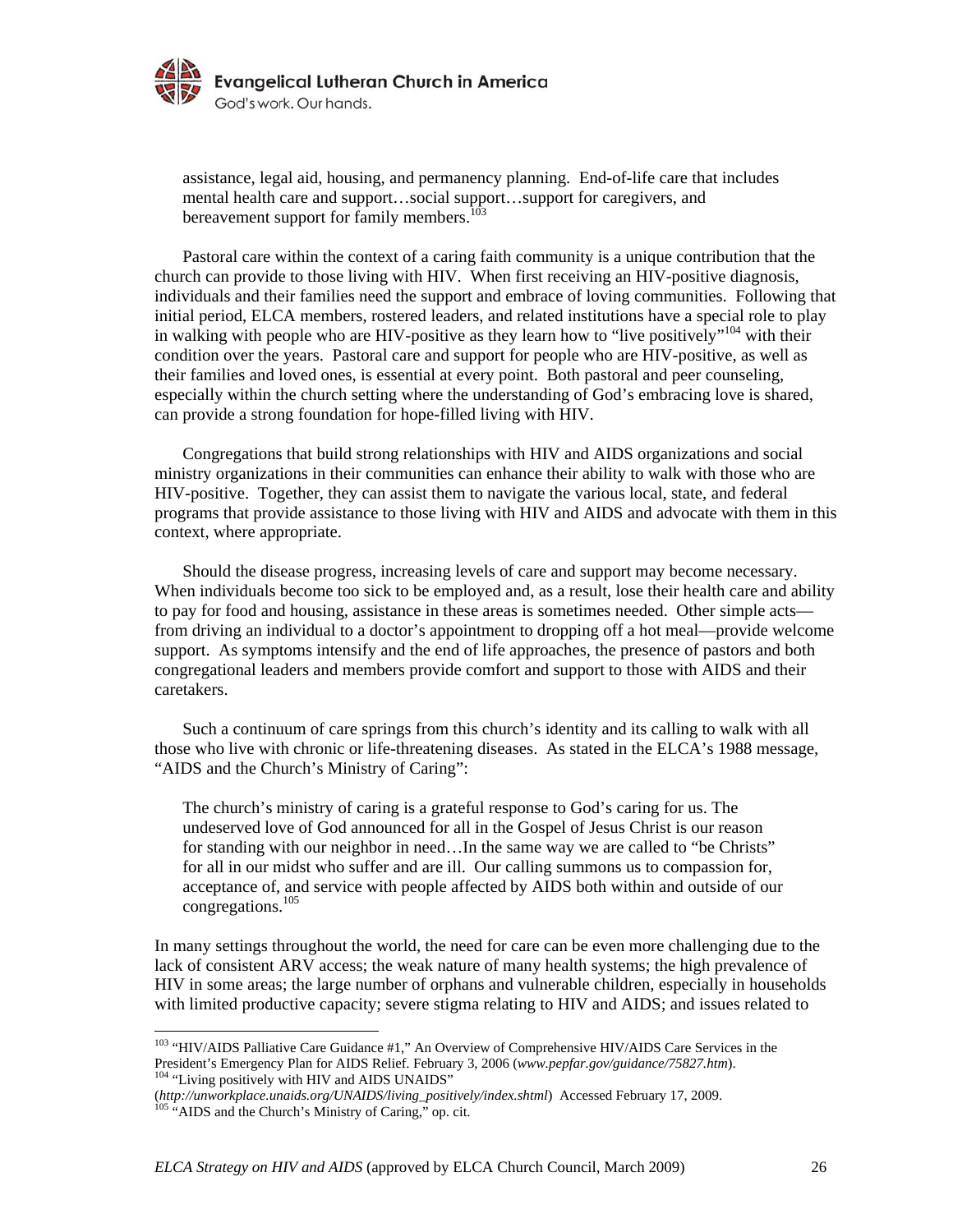

assistance, legal aid, housing, and permanency planning. End-of-life care that includes mental health care and support…social support…support for caregivers, and bereavement support for family members.<sup>103</sup>

Pastoral care within the context of a caring faith community is a unique contribution that the church can provide to those living with HIV. When first receiving an HIV-positive diagnosis, individuals and their families need the support and embrace of loving communities. Following that initial period, ELCA members, rostered leaders, and related institutions have a special role to play in walking with people who are HIV-positive as they learn how to "live positively"<sup>104</sup> with their condition over the years. Pastoral care and support for people who are HIV-positive, as well as their families and loved ones, is essential at every point. Both pastoral and peer counseling, especially within the church setting where the understanding of God's embracing love is shared, can provide a strong foundation for hope-filled living with HIV.

 Congregations that build strong relationships with HIV and AIDS organizations and social ministry organizations in their communities can enhance their ability to walk with those who are HIV-positive. Together, they can assist them to navigate the various local, state, and federal programs that provide assistance to those living with HIV and AIDS and advocate with them in this context, where appropriate.

 Should the disease progress, increasing levels of care and support may become necessary. When individuals become too sick to be employed and, as a result, lose their health care and ability to pay for food and housing, assistance in these areas is sometimes needed. Other simple acts from driving an individual to a doctor's appointment to dropping off a hot meal—provide welcome support. As symptoms intensify and the end of life approaches, the presence of pastors and both congregational leaders and members provide comfort and support to those with AIDS and their caretakers.

 Such a continuum of care springs from this church's identity and its calling to walk with all those who live with chronic or life-threatening diseases. As stated in the ELCA's 1988 message, "AIDS and the Church's Ministry of Caring":

The church's ministry of caring is a grateful response to God's caring for us. The undeserved love of God announced for all in the Gospel of Jesus Christ is our reason for standing with our neighbor in need…In the same way we are called to "be Christs" for all in our midst who suffer and are ill. Our calling summons us to compassion for, acceptance of, and service with people affected by AIDS both within and outside of our congregations.<sup>105</sup>

In many settings throughout the world, the need for care can be even more challenging due to the lack of consistent ARV access; the weak nature of many health systems; the high prevalence of HIV in some areas; the large number of orphans and vulnerable children, especially in households with limited productive capacity; severe stigma relating to HIV and AIDS; and issues related to

<sup>&</sup>lt;sup>103</sup> "HIV/AIDS Palliative Care Guidance #1," An Overview of Comprehensive HIV/AIDS Care Services in the President's Emergency Plan for AIDS Relief. February 3, 2006 (*www.pepfar.gov/guidance/75827.htm*). 104 "Living positively with HIV and AIDS UNAIDS"

<sup>(</sup>*http://unworkplace.unaids.org/UNAIDS/living\_positively/index.shtml*) Accessed February 17, 2009.<br><sup>105</sup> "AIDS and the Church's Ministry of Caring," op. cit.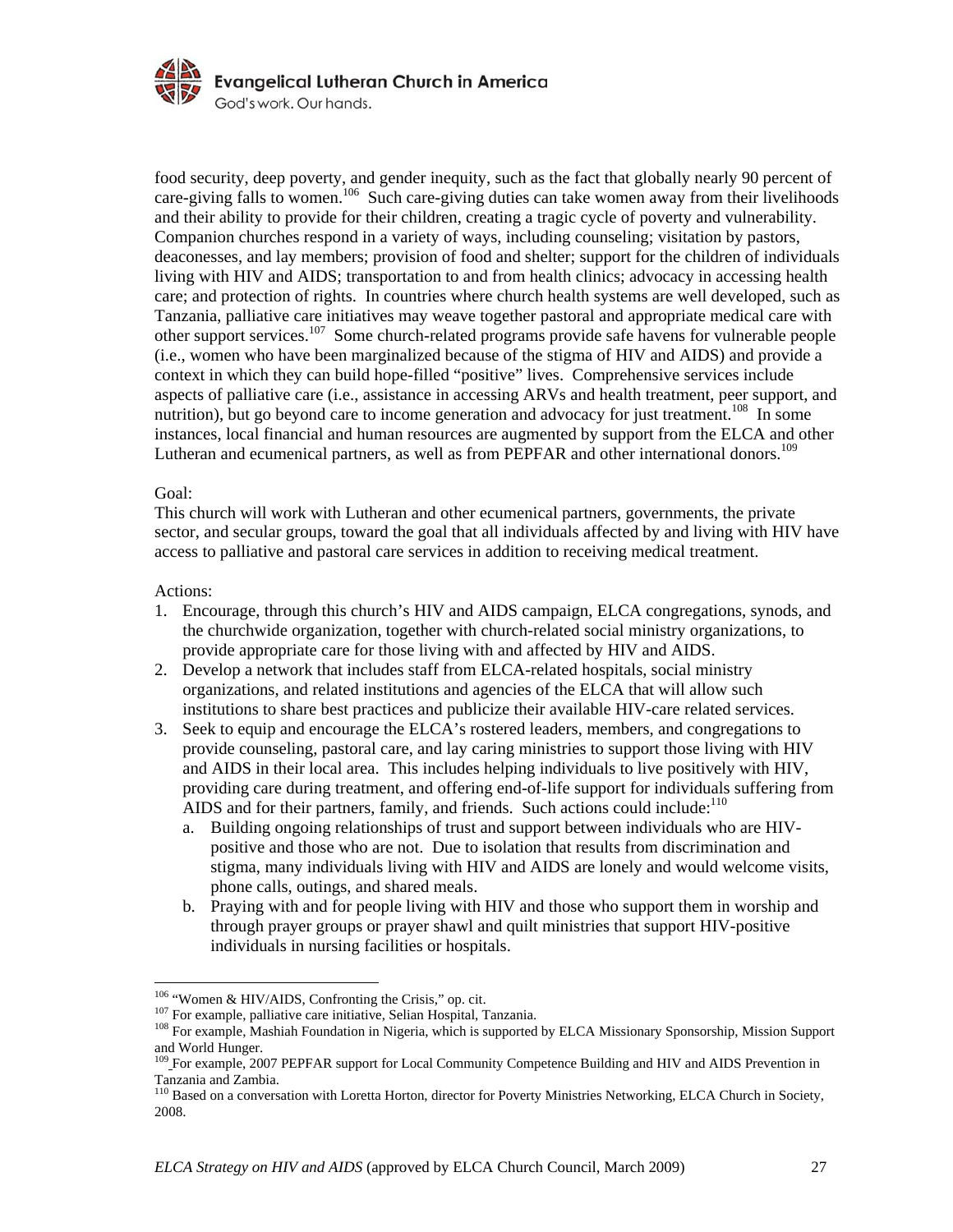

food security, deep poverty, and gender inequity, such as the fact that globally nearly 90 percent of care-giving falls to women.<sup>106</sup> Such care-giving duties can take women away from their livelihoods and their ability to provide for their children, creating a tragic cycle of poverty and vulnerability. Companion churches respond in a variety of ways, including counseling; visitation by pastors, deaconesses, and lay members; provision of food and shelter; support for the children of individuals living with HIV and AIDS; transportation to and from health clinics; advocacy in accessing health care; and protection of rights. In countries where church health systems are well developed, such as Tanzania, palliative care initiatives may weave together pastoral and appropriate medical care with other support services.107 Some church-related programs provide safe havens for vulnerable people (i.e., women who have been marginalized because of the stigma of HIV and AIDS) and provide a context in which they can build hope-filled "positive" lives. Comprehensive services include aspects of palliative care (i.e., assistance in accessing ARVs and health treatment, peer support, and nutrition), but go beyond care to income generation and advocacy for just treatment.<sup>108</sup> In some instances, local financial and human resources are augmented by support from the ELCA and other Lutheran and ecumenical partners, as well as from PEPFAR and other international donors.<sup>109</sup>

### Goal:

This church will work with Lutheran and other ecumenical partners, governments, the private sector, and secular groups, toward the goal that all individuals affected by and living with HIV have access to palliative and pastoral care services in addition to receiving medical treatment.

### Actions:

<u>.</u>

- 1. Encourage, through this church's HIV and AIDS campaign, ELCA congregations, synods, and the churchwide organization, together with church-related social ministry organizations, to provide appropriate care for those living with and affected by HIV and AIDS.
- 2. Develop a network that includes staff from ELCA-related hospitals, social ministry organizations, and related institutions and agencies of the ELCA that will allow such institutions to share best practices and publicize their available HIV-care related services.
- 3. Seek to equip and encourage the ELCA's rostered leaders, members, and congregations to provide counseling, pastoral care, and lay caring ministries to support those living with HIV and AIDS in their local area. This includes helping individuals to live positively with HIV, providing care during treatment, and offering end-of-life support for individuals suffering from AIDS and for their partners, family, and friends. Such actions could include: $110$ 
	- a. Building ongoing relationships of trust and support between individuals who are HIVpositive and those who are not. Due to isolation that results from discrimination and stigma, many individuals living with HIV and AIDS are lonely and would welcome visits, phone calls, outings, and shared meals.
	- b. Praying with and for people living with HIV and those who support them in worship and through prayer groups or prayer shawl and quilt ministries that support HIV-positive individuals in nursing facilities or hospitals.

<sup>&</sup>lt;sup>106</sup> "Women & HIV/AIDS, Confronting the Crisis," op. cit.<br><sup>107</sup> For example, palliative care initiative, Selian Hospital, Tanzania.<br><sup>108</sup> For example, Mashiah Foundation in Nigeria, which is supported by ELCA Missionary S and World Hunger.

<sup>&</sup>lt;sup>109</sup> For example, 2007 PEPFAR support for Local Community Competence Building and HIV and AIDS Prevention in Tanzania and Zambia.

<sup>&</sup>lt;sup>110</sup> Based on a conversation with Loretta Horton, director for Poverty Ministries Networking, ELCA Church in Society, 2008.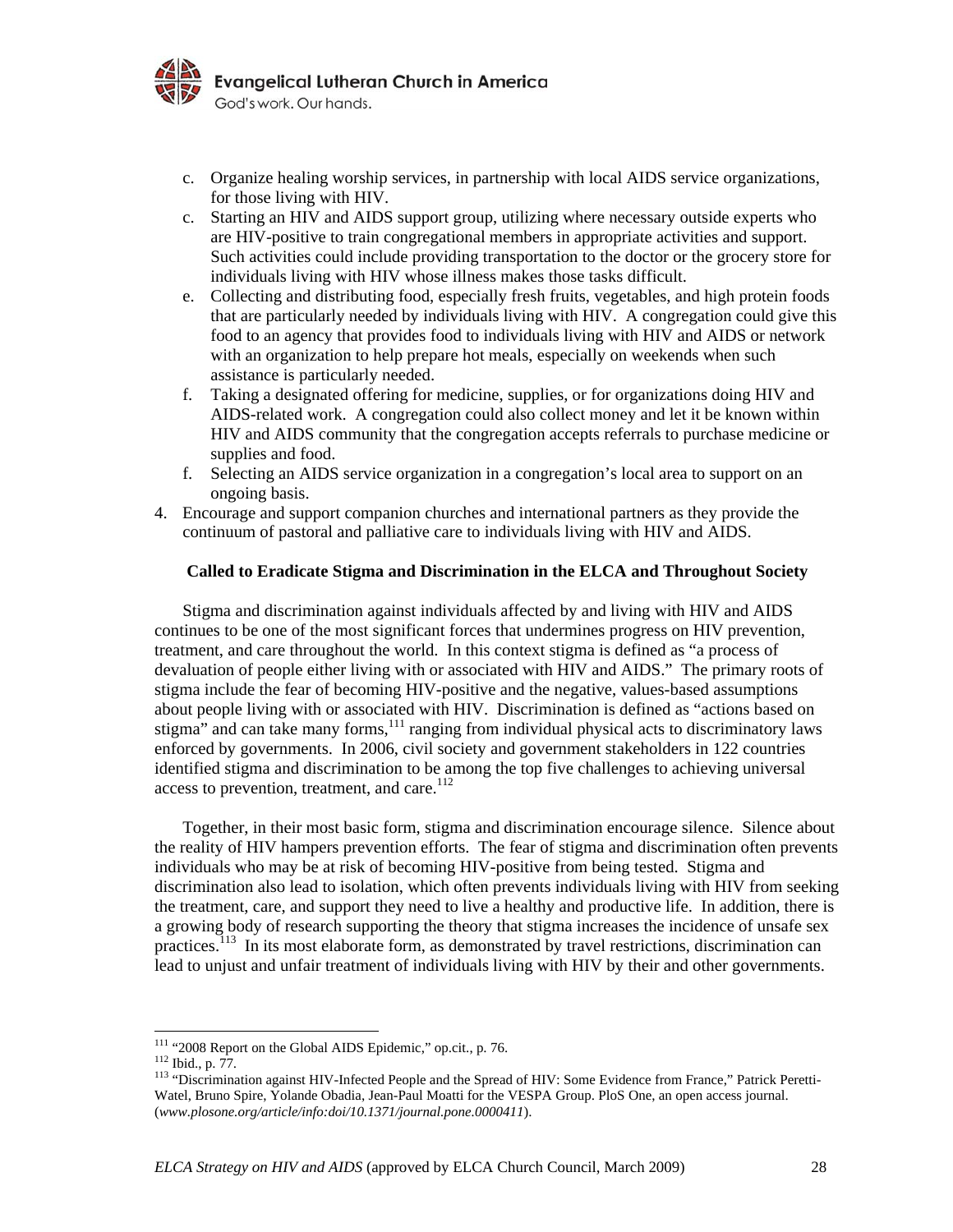

- c. Organize healing worship services, in partnership with local AIDS service organizations, for those living with HIV.
- c. Starting an HIV and AIDS support group, utilizing where necessary outside experts who are HIV-positive to train congregational members in appropriate activities and support. Such activities could include providing transportation to the doctor or the grocery store for individuals living with HIV whose illness makes those tasks difficult.
- e. Collecting and distributing food, especially fresh fruits, vegetables, and high protein foods that are particularly needed by individuals living with HIV. A congregation could give this food to an agency that provides food to individuals living with HIV and AIDS or network with an organization to help prepare hot meals, especially on weekends when such assistance is particularly needed.
- f. Taking a designated offering for medicine, supplies, or for organizations doing HIV and AIDS-related work. A congregation could also collect money and let it be known within HIV and AIDS community that the congregation accepts referrals to purchase medicine or supplies and food.
- f. Selecting an AIDS service organization in a congregation's local area to support on an ongoing basis.
- 4. Encourage and support companion churches and international partners as they provide the continuum of pastoral and palliative care to individuals living with HIV and AIDS.

#### **Called to Eradicate Stigma and Discrimination in the ELCA and Throughout Society**

Stigma and discrimination against individuals affected by and living with HIV and AIDS continues to be one of the most significant forces that undermines progress on HIV prevention, treatment, and care throughout the world. In this context stigma is defined as "a process of devaluation of people either living with or associated with HIV and AIDS." The primary roots of stigma include the fear of becoming HIV-positive and the negative, values-based assumptions about people living with or associated with HIV. Discrimination is defined as "actions based on stigma" and can take many forms,<sup>111</sup> ranging from individual physical acts to discriminatory laws enforced by governments. In 2006, civil society and government stakeholders in 122 countries identified stigma and discrimination to be among the top five challenges to achieving universal access to prevention, treatment, and care. $112$ 

 Together, in their most basic form, stigma and discrimination encourage silence. Silence about the reality of HIV hampers prevention efforts. The fear of stigma and discrimination often prevents individuals who may be at risk of becoming HIV-positive from being tested. Stigma and discrimination also lead to isolation, which often prevents individuals living with HIV from seeking the treatment, care, and support they need to live a healthy and productive life. In addition, there is a growing body of research supporting the theory that stigma increases the incidence of unsafe sex practices.<sup>113</sup> In its most elaborate form, as demonstrated by travel restrictions, discrimination can lead to unjust and unfair treatment of individuals living with HIV by their and other governments.

<sup>&</sup>lt;sup>111</sup> "2008 Report on the Global AIDS Epidemic," op.cit., p. 76.<br><sup>112</sup> Ibid., p. 77.<br><sup>113</sup> "Discrimination against HIV-Infected People and the Spread of HIV: Some Evidence from France," Patrick Peretti-Watel, Bruno Spire, Yolande Obadia, Jean-Paul Moatti for the VESPA Group. PloS One, an open access journal. (*www.plosone.org/article/info:doi/10.1371/journal.pone.0000411*).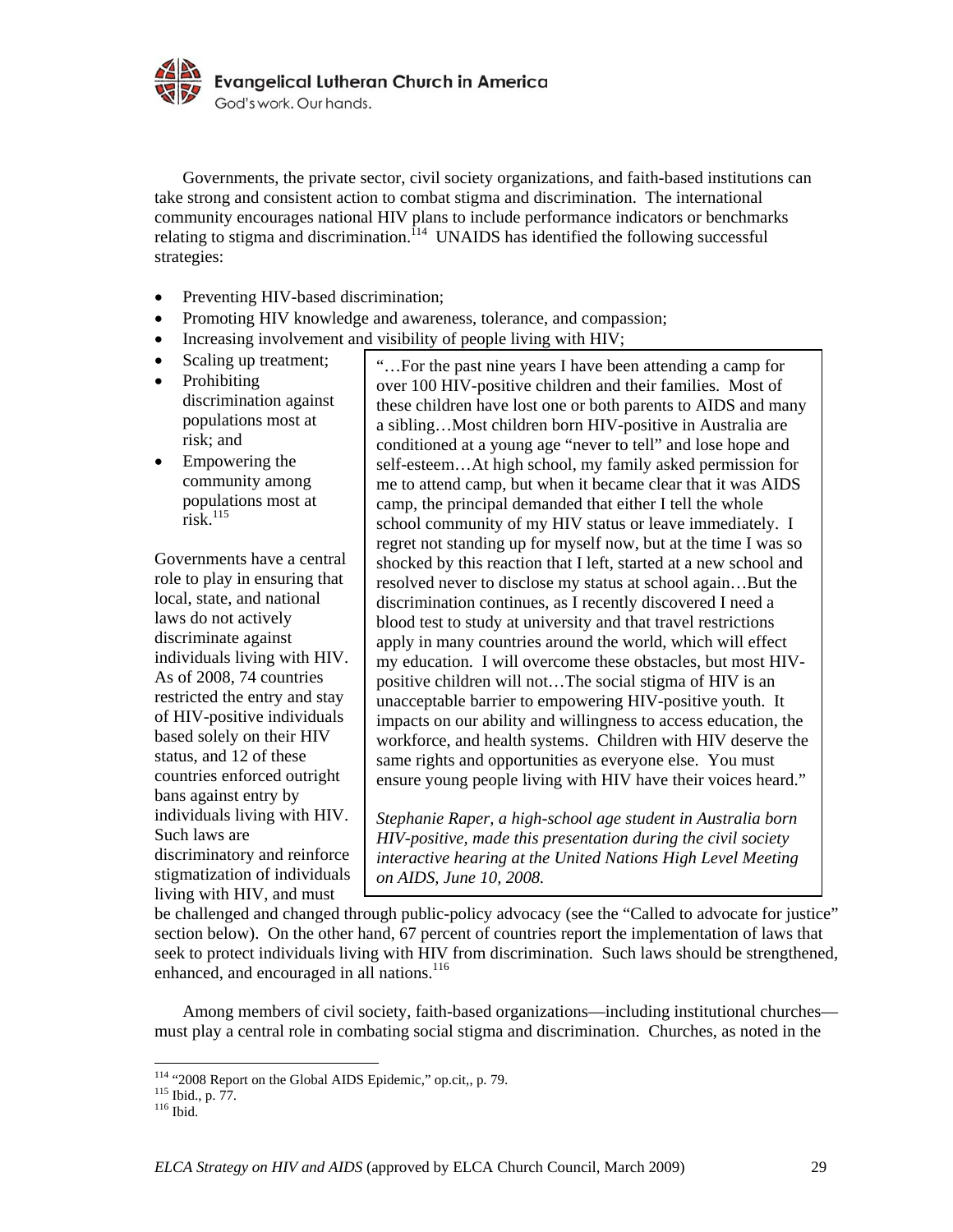

 Governments, the private sector, civil society organizations, and faith-based institutions can take strong and consistent action to combat stigma and discrimination. The international community encourages national HIV plans to include performance indicators or benchmarks relating to stigma and discrimination.<sup>114</sup> UNAIDS has identified the following successful strategies:

- Preventing HIV-based discrimination;
- Promoting HIV knowledge and awareness, tolerance, and compassion;
- Increasing involvement and visibility of people living with HIV;
- Scaling up treatment; • Prohibiting discrimination against populations most at risk; and
- Empowering the community among populations most at risk. $^{115}$

Governments have a central role to play in ensuring that local, state, and national laws do not actively discriminate against individuals living with HIV. As of 2008, 74 countries restricted the entry and stay of HIV-positive individuals based solely on their HIV status, and 12 of these countries enforced outright bans against entry by individuals living with HIV. Such laws are discriminatory and reinforce stigmatization of individuals living with HIV, and must

"…For the past nine years I have been attending a camp for over 100 HIV-positive children and their families. Most of these children have lost one or both parents to AIDS and many a sibling…Most children born HIV-positive in Australia are conditioned at a young age "never to tell" and lose hope and self-esteem…At high school, my family asked permission for me to attend camp, but when it became clear that it was AIDS camp, the principal demanded that either I tell the whole school community of my HIV status or leave immediately. I regret not standing up for myself now, but at the time I was so shocked by this reaction that I left, started at a new school and resolved never to disclose my status at school again…But the discrimination continues, as I recently discovered I need a blood test to study at university and that travel restrictions apply in many countries around the world, which will effect my education. I will overcome these obstacles, but most HIVpositive children will not…The social stigma of HIV is an unacceptable barrier to empowering HIV-positive youth. It impacts on our ability and willingness to access education, the workforce, and health systems. Children with HIV deserve the same rights and opportunities as everyone else. You must ensure young people living with HIV have their voices heard."

*Stephanie Raper, a high-school age student in Australia born HIV-positive, made this presentation during the civil society interactive hearing at the United Nations High Level Meeting on AIDS, June 10, 2008.* 

be challenged and changed through public-policy advocacy (see the "Called to advocate for justice" section below). On the other hand, 67 percent of countries report the implementation of laws that seek to protect individuals living with HIV from discrimination. Such laws should be strengthened, enhanced, and encouraged in all nations.<sup>116</sup>

 Among members of civil society, faith-based organizations—including institutional churches must play a central role in combating social stigma and discrimination. Churches, as noted in the

<u>.</u>

<sup>&</sup>lt;sup>114</sup> "2008 Report on the Global AIDS Epidemic," op.cit,, p. 79.<br><sup>115</sup> Ibid., p. 77.<br><sup>116</sup> Ibid.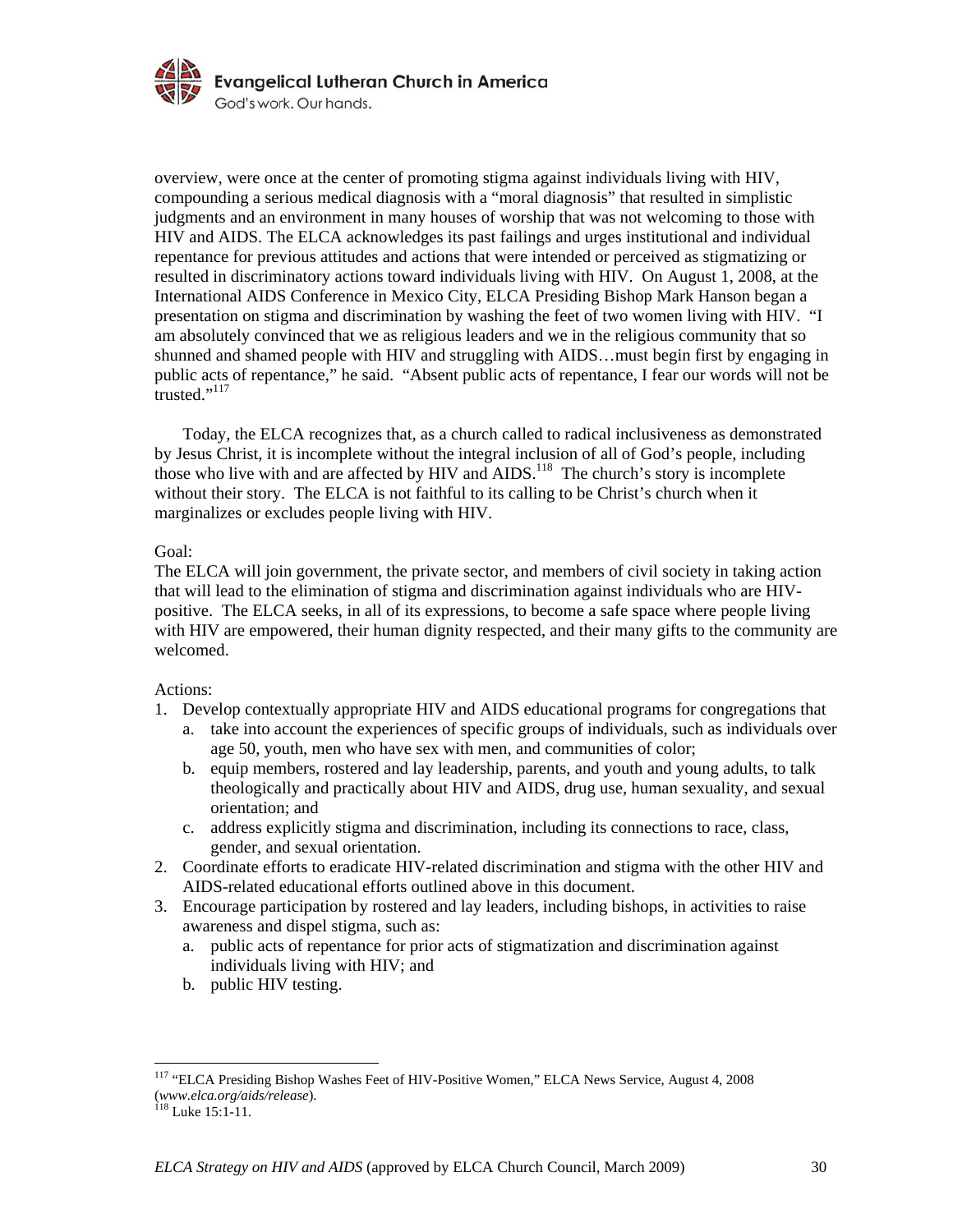

overview, were once at the center of promoting stigma against individuals living with HIV, compounding a serious medical diagnosis with a "moral diagnosis" that resulted in simplistic judgments and an environment in many houses of worship that was not welcoming to those with HIV and AIDS. The ELCA acknowledges its past failings and urges institutional and individual repentance for previous attitudes and actions that were intended or perceived as stigmatizing or resulted in discriminatory actions toward individuals living with HIV. On August 1, 2008, at the International AIDS Conference in Mexico City, ELCA Presiding Bishop Mark Hanson began a presentation on stigma and discrimination by washing the feet of two women living with HIV. "I am absolutely convinced that we as religious leaders and we in the religious community that so shunned and shamed people with HIV and struggling with AIDS…must begin first by engaging in public acts of repentance," he said. "Absent public acts of repentance, I fear our words will not be  $\frac{1}{117}$ 

 Today, the ELCA recognizes that, as a church called to radical inclusiveness as demonstrated by Jesus Christ, it is incomplete without the integral inclusion of all of God's people, including those who live with and are affected by HIV and AIDS.<sup>118</sup> The church's story is incomplete without their story. The ELCA is not faithful to its calling to be Christ's church when it marginalizes or excludes people living with HIV.

### Goal:

The ELCA will join government, the private sector, and members of civil society in taking action that will lead to the elimination of stigma and discrimination against individuals who are HIVpositive. The ELCA seeks, in all of its expressions, to become a safe space where people living with HIV are empowered, their human dignity respected, and their many gifts to the community are welcomed.

# Actions:

- 1. Develop contextually appropriate HIV and AIDS educational programs for congregations that
	- a. take into account the experiences of specific groups of individuals, such as individuals over age 50, youth, men who have sex with men, and communities of color;
	- b. equip members, rostered and lay leadership, parents, and youth and young adults, to talk theologically and practically about HIV and AIDS, drug use, human sexuality, and sexual orientation; and
	- c. address explicitly stigma and discrimination, including its connections to race, class, gender, and sexual orientation.
- 2. Coordinate efforts to eradicate HIV-related discrimination and stigma with the other HIV and AIDS-related educational efforts outlined above in this document.
- 3. Encourage participation by rostered and lay leaders, including bishops, in activities to raise awareness and dispel stigma, such as:
	- a. public acts of repentance for prior acts of stigmatization and discrimination against individuals living with HIV; and
	- b. public HIV testing.

<u>.</u>

<sup>&</sup>lt;sup>117</sup> "ELCA Presiding Bishop Washes Feet of HIV-Positive Women," ELCA News Service, August 4, 2008 (*www.elca.org/aids/release*). 118 Luke 15:1-11.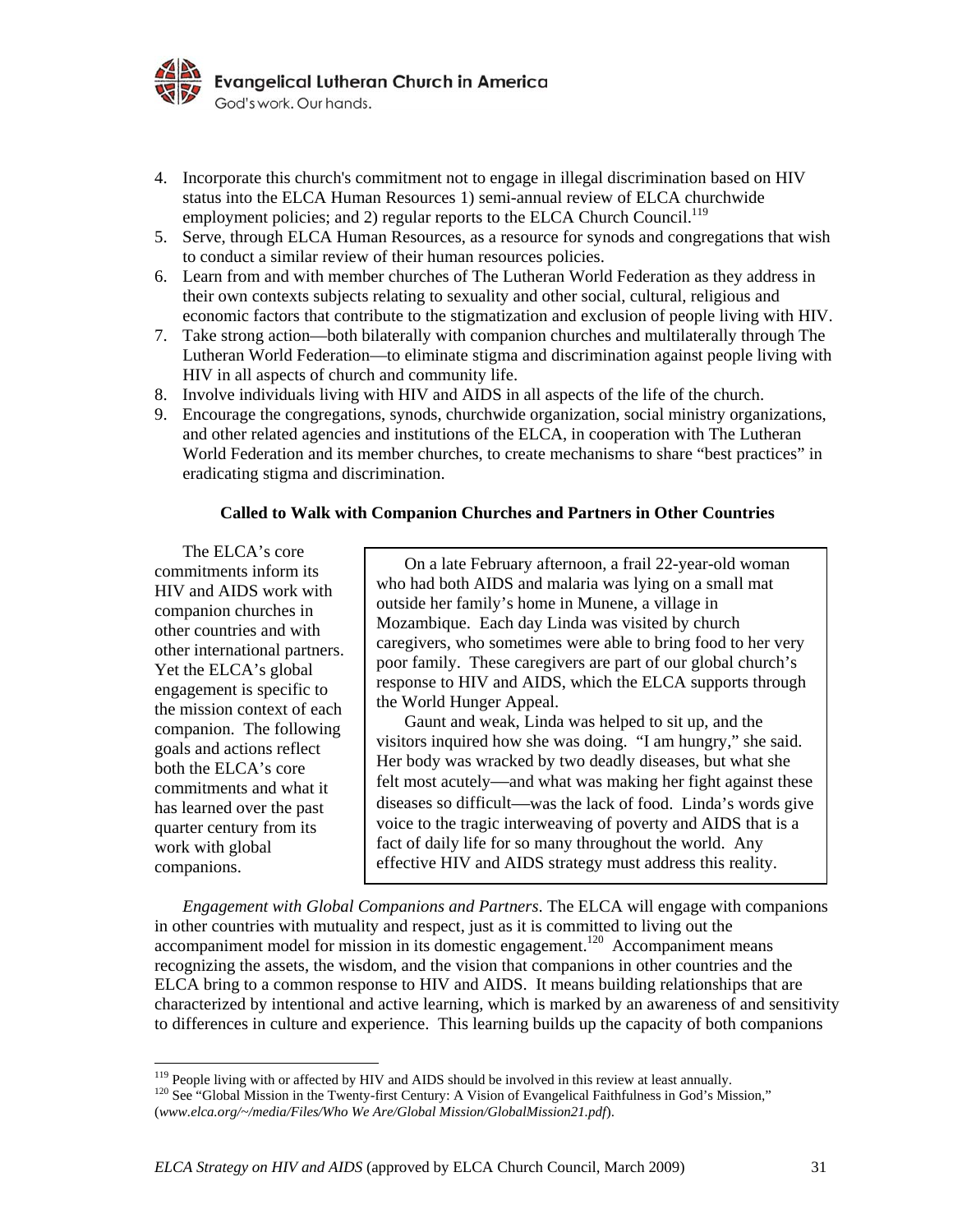

- 4. Incorporate this church's commitment not to engage in illegal discrimination based on HIV status into the ELCA Human Resources 1) semi-annual review of ELCA churchwide employment policies; and 2) regular reports to the ELCA Church Council.<sup>119</sup>
- 5. Serve, through ELCA Human Resources, as a resource for synods and congregations that wish to conduct a similar review of their human resources policies.
- 6. Learn from and with member churches of The Lutheran World Federation as they address in their own contexts subjects relating to sexuality and other social, cultural, religious and economic factors that contribute to the stigmatization and exclusion of people living with HIV.
- 7. Take strong action—both bilaterally with companion churches and multilaterally through The Lutheran World Federation—to eliminate stigma and discrimination against people living with HIV in all aspects of church and community life.
- 8. Involve individuals living with HIV and AIDS in all aspects of the life of the church.
- 9. Encourage the congregations, synods, churchwide organization, social ministry organizations, and other related agencies and institutions of the ELCA, in cooperation with The Lutheran World Federation and its member churches, to create mechanisms to share "best practices" in eradicating stigma and discrimination.

### **Called to Walk with Companion Churches and Partners in Other Countries**

The ELCA's core commitments inform its HIV and AIDS work with companion churches in other countries and with other international partners. Yet the ELCA's global engagement is specific to the mission context of each companion. The following goals and actions reflect both the ELCA's core commitments and what it has learned over the past quarter century from its work with global companions.

On a late February afternoon, a frail 22-year-old woman who had both AIDS and malaria was lying on a small mat outside her family's home in Munene, a village in Mozambique. Each day Linda was visited by church caregivers, who sometimes were able to bring food to her very poor family. These caregivers are part of our global church's response to HIV and AIDS, which the ELCA supports through the World Hunger Appeal.

Gaunt and weak, Linda was helped to sit up, and the visitors inquired how she was doing. "I am hungry," she said. Her body was wracked by two deadly diseases, but what she felt most acutely—and what was making her fight against these diseases so difficult—was the lack of food. Linda's words give voice to the tragic interweaving of poverty and AIDS that is a fact of daily life for so many throughout the world. Any effective HIV and AIDS strategy must address this reality.

*Engagement with Global Companions and Partners*. The ELCA will engage with companions in other countries with mutuality and respect, just as it is committed to living out the  $accompanion method$  for mission in its domestic engagement.<sup>120</sup> Accompaniment means recognizing the assets, the wisdom, and the vision that companions in other countries and the ELCA bring to a common response to HIV and AIDS. It means building relationships that are characterized by intentional and active learning, which is marked by an awareness of and sensitivity to differences in culture and experience. This learning builds up the capacity of both companions

<sup>&</sup>lt;sup>119</sup> People living with or affected by HIV and AIDS should be involved in this review at least annually.

<sup>&</sup>lt;sup>120</sup> See "Global Mission in the Twenty-first Century: A Vision of Evangelical Faithfulness in God's Mission," (*www.elca.org/~/media/Files/Who We Are/Global Mission/GlobalMission21.pdf*).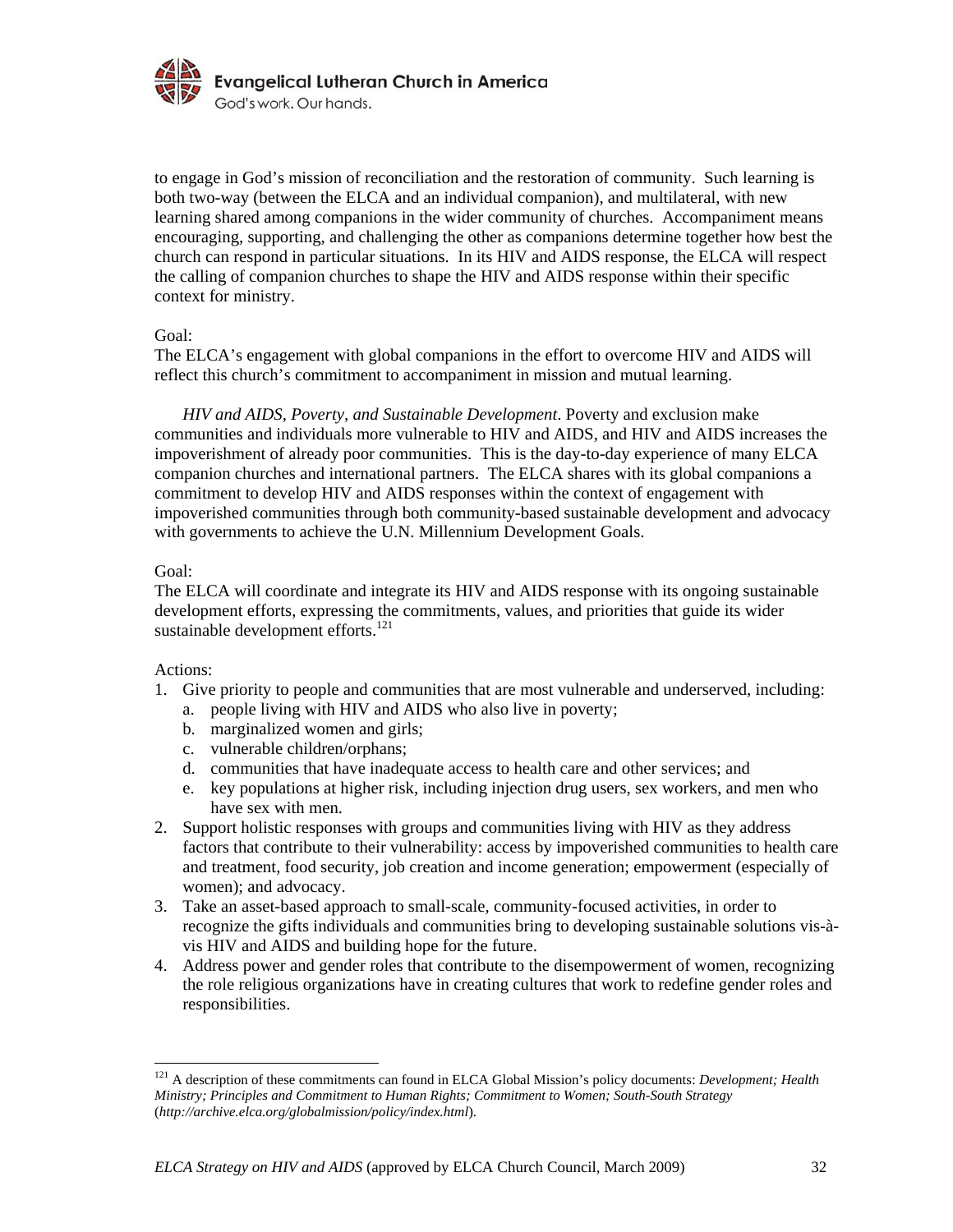

to engage in God's mission of reconciliation and the restoration of community. Such learning is both two-way (between the ELCA and an individual companion), and multilateral, with new learning shared among companions in the wider community of churches. Accompaniment means encouraging, supporting, and challenging the other as companions determine together how best the church can respond in particular situations. In its HIV and AIDS response, the ELCA will respect the calling of companion churches to shape the HIV and AIDS response within their specific context for ministry.

### Goal:

The ELCA's engagement with global companions in the effort to overcome HIV and AIDS will reflect this church's commitment to accompaniment in mission and mutual learning.

*HIV and AIDS, Poverty, and Sustainable Development*. Poverty and exclusion make communities and individuals more vulnerable to HIV and AIDS, and HIV and AIDS increases the impoverishment of already poor communities. This is the day-to-day experience of many ELCA companion churches and international partners. The ELCA shares with its global companions a commitment to develop HIV and AIDS responses within the context of engagement with impoverished communities through both community-based sustainable development and advocacy with governments to achieve the U.N. Millennium Development Goals.

#### Goal:

The ELCA will coordinate and integrate its HIV and AIDS response with its ongoing sustainable development efforts, expressing the commitments, values, and priorities that guide its wider sustainable development efforts. $^{121}$ 

# Actions:

<u>.</u>

- 1. Give priority to people and communities that are most vulnerable and underserved, including:
	- a. people living with HIV and AIDS who also live in poverty;
	- b. marginalized women and girls;
	- c. vulnerable children/orphans;
	- d. communities that have inadequate access to health care and other services; and
	- e. key populations at higher risk, including injection drug users, sex workers, and men who have sex with men.
- 2. Support holistic responses with groups and communities living with HIV as they address factors that contribute to their vulnerability: access by impoverished communities to health care and treatment, food security, job creation and income generation; empowerment (especially of women); and advocacy.
- 3. Take an asset-based approach to small-scale, community-focused activities, in order to recognize the gifts individuals and communities bring to developing sustainable solutions vis-àvis HIV and AIDS and building hope for the future.
- 4. Address power and gender roles that contribute to the disempowerment of women, recognizing the role religious organizations have in creating cultures that work to redefine gender roles and responsibilities.

<sup>&</sup>lt;sup>121</sup> A description of these commitments can found in ELCA Global Mission's policy documents: *Development; Health Ministry; Principles and Commitment to Human Rights; Commitment to Women; South-South Strategy*  (*http://archive.elca.org/globalmission/policy/index.html*).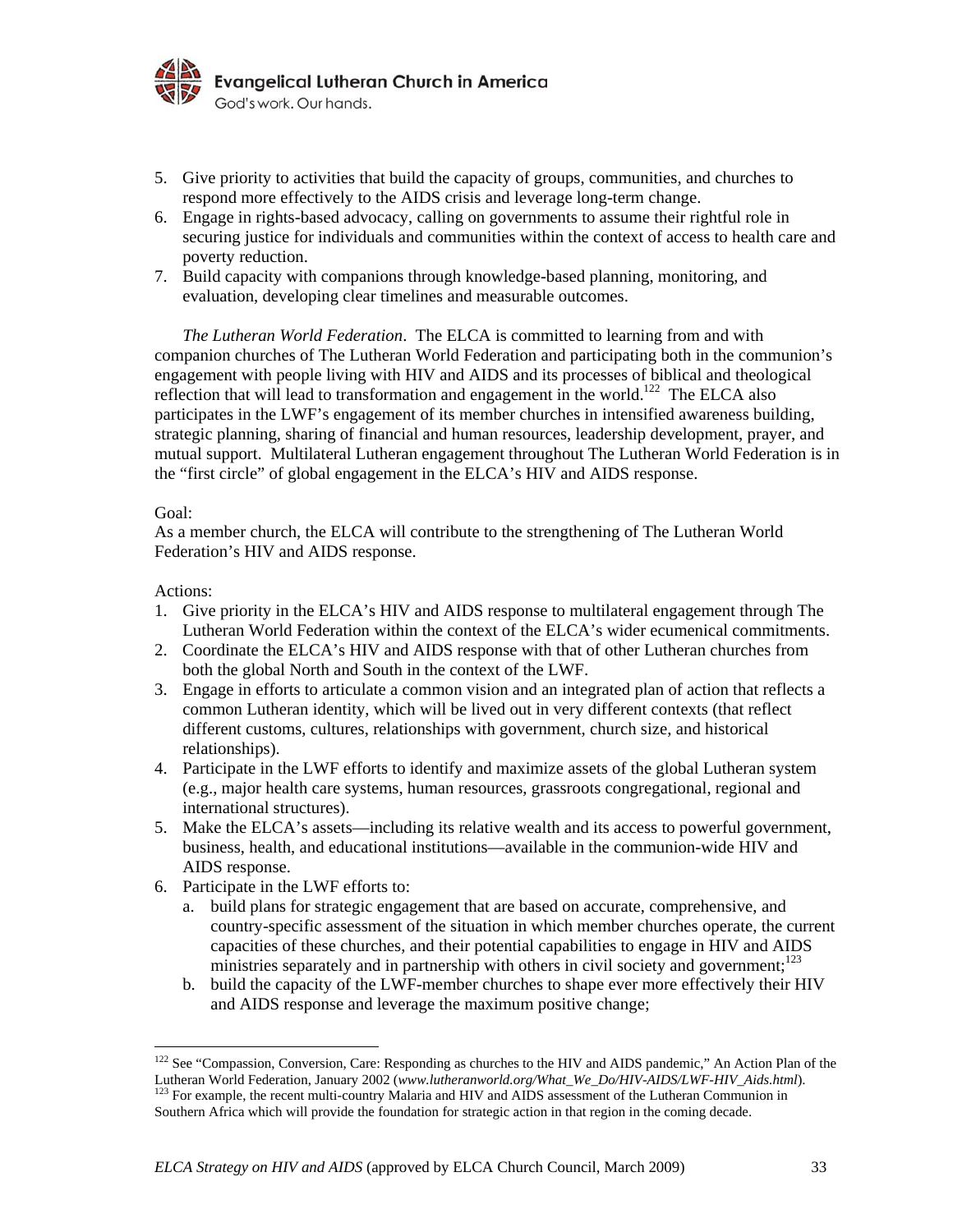

- 5. Give priority to activities that build the capacity of groups, communities, and churches to respond more effectively to the AIDS crisis and leverage long-term change.
- 6. Engage in rights-based advocacy, calling on governments to assume their rightful role in securing justice for individuals and communities within the context of access to health care and poverty reduction.
- 7. Build capacity with companions through knowledge-based planning, monitoring, and evaluation, developing clear timelines and measurable outcomes.

*The Lutheran World Federation*. The ELCA is committed to learning from and with companion churches of The Lutheran World Federation and participating both in the communion's engagement with people living with HIV and AIDS and its processes of biblical and theological reflection that will lead to transformation and engagement in the world.<sup>122</sup> The ELCA also participates in the LWF's engagement of its member churches in intensified awareness building, strategic planning, sharing of financial and human resources, leadership development, prayer, and mutual support. Multilateral Lutheran engagement throughout The Lutheran World Federation is in the "first circle" of global engagement in the ELCA's HIV and AIDS response.

### Goal:

As a member church, the ELCA will contribute to the strengthening of The Lutheran World Federation's HIV and AIDS response.

### Actions:

- 1. Give priority in the ELCA's HIV and AIDS response to multilateral engagement through The Lutheran World Federation within the context of the ELCA's wider ecumenical commitments.
- 2. Coordinate the ELCA's HIV and AIDS response with that of other Lutheran churches from both the global North and South in the context of the LWF.
- 3. Engage in efforts to articulate a common vision and an integrated plan of action that reflects a common Lutheran identity, which will be lived out in very different contexts (that reflect different customs, cultures, relationships with government, church size, and historical relationships).
- 4. Participate in the LWF efforts to identify and maximize assets of the global Lutheran system (e.g., major health care systems, human resources, grassroots congregational, regional and international structures).
- 5. Make the ELCA's assets—including its relative wealth and its access to powerful government, business, health, and educational institutions—available in the communion-wide HIV and AIDS response.
- 6. Participate in the LWF efforts to:
	- a. build plans for strategic engagement that are based on accurate, comprehensive, and country-specific assessment of the situation in which member churches operate, the current capacities of these churches, and their potential capabilities to engage in HIV and AIDS ministries separately and in partnership with others in civil society and government; $1^{23}$
	- b. build the capacity of the LWF-member churches to shape ever more effectively their HIV and AIDS response and leverage the maximum positive change;

<sup>&</sup>lt;sup>122</sup> See "Compassion, Conversion, Care: Responding as churches to the HIV and AIDS pandemic," An Action Plan of the Lutheran World Federation, January 2002 (*www.lutheranworld.org/What\_We\_Do/HIV-AIDS/LWF-HIV\_Aids.html*). <sup>123</sup> For example, the recent multi-country Malaria and HIV and AIDS assessment of the Lutheran Communion in

Southern Africa which will provide the foundation for strategic action in that region in the coming decade.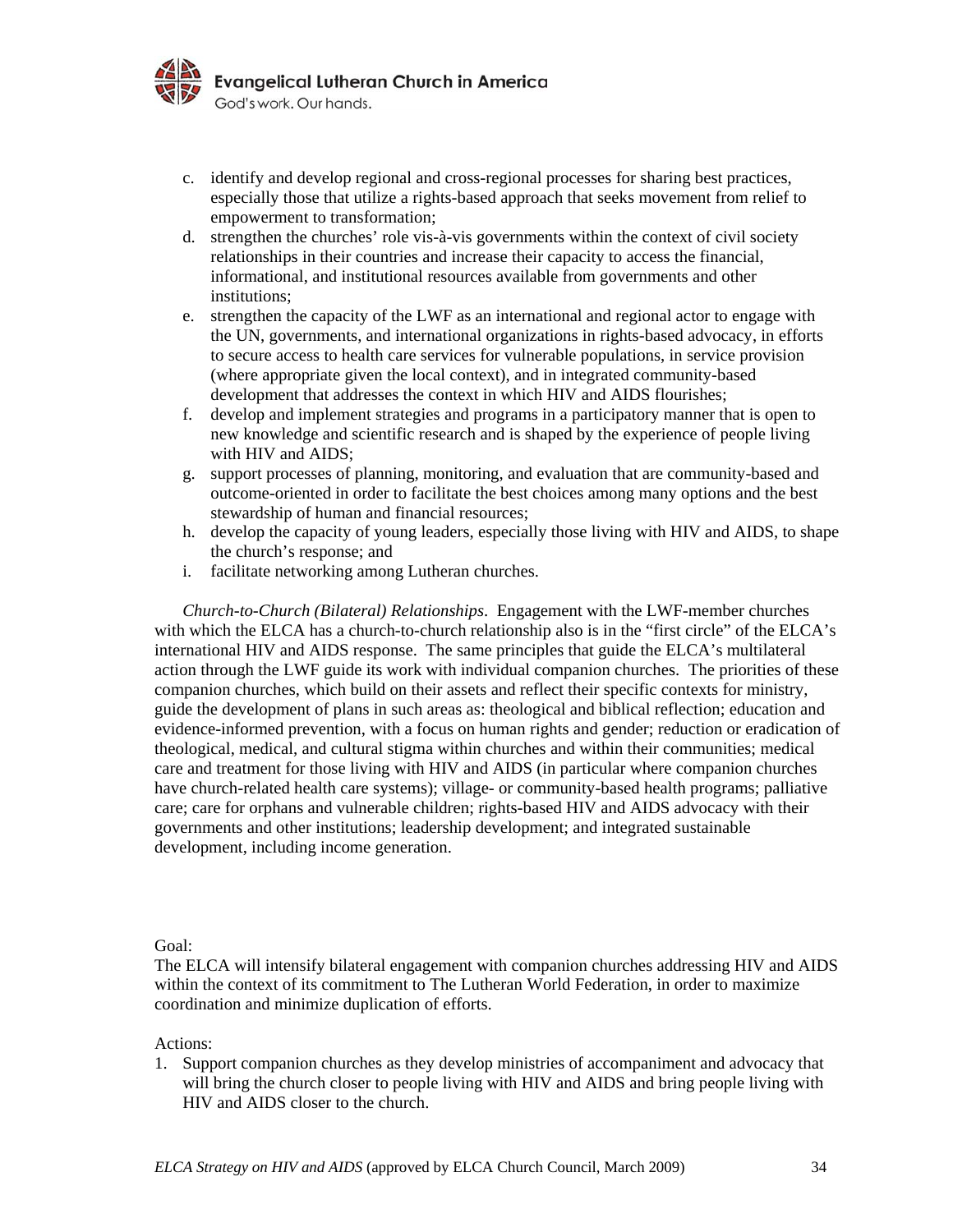

- c. identify and develop regional and cross-regional processes for sharing best practices, especially those that utilize a rights-based approach that seeks movement from relief to empowerment to transformation;
- d. strengthen the churches' role vis-à-vis governments within the context of civil society relationships in their countries and increase their capacity to access the financial, informational, and institutional resources available from governments and other institutions;
- e. strengthen the capacity of the LWF as an international and regional actor to engage with the UN, governments, and international organizations in rights-based advocacy, in efforts to secure access to health care services for vulnerable populations, in service provision (where appropriate given the local context), and in integrated community-based development that addresses the context in which HIV and AIDS flourishes;
- f. develop and implement strategies and programs in a participatory manner that is open to new knowledge and scientific research and is shaped by the experience of people living with HIV and AIDS;
- g. support processes of planning, monitoring, and evaluation that are community-based and outcome-oriented in order to facilitate the best choices among many options and the best stewardship of human and financial resources;
- h. develop the capacity of young leaders, especially those living with HIV and AIDS, to shape the church's response; and
- i. facilitate networking among Lutheran churches.

*Church-to-Church (Bilateral) Relationships*. Engagement with the LWF-member churches with which the ELCA has a church-to-church relationship also is in the "first circle" of the ELCA's international HIV and AIDS response. The same principles that guide the ELCA's multilateral action through the LWF guide its work with individual companion churches. The priorities of these companion churches, which build on their assets and reflect their specific contexts for ministry, guide the development of plans in such areas as: theological and biblical reflection; education and evidence-informed prevention, with a focus on human rights and gender; reduction or eradication of theological, medical, and cultural stigma within churches and within their communities; medical care and treatment for those living with HIV and AIDS (in particular where companion churches have church-related health care systems); village- or community-based health programs; palliative care; care for orphans and vulnerable children; rights-based HIV and AIDS advocacy with their governments and other institutions; leadership development; and integrated sustainable development, including income generation.

#### Goal:

The ELCA will intensify bilateral engagement with companion churches addressing HIV and AIDS within the context of its commitment to The Lutheran World Federation, in order to maximize coordination and minimize duplication of efforts.

Actions:

1. Support companion churches as they develop ministries of accompaniment and advocacy that will bring the church closer to people living with HIV and AIDS and bring people living with HIV and AIDS closer to the church.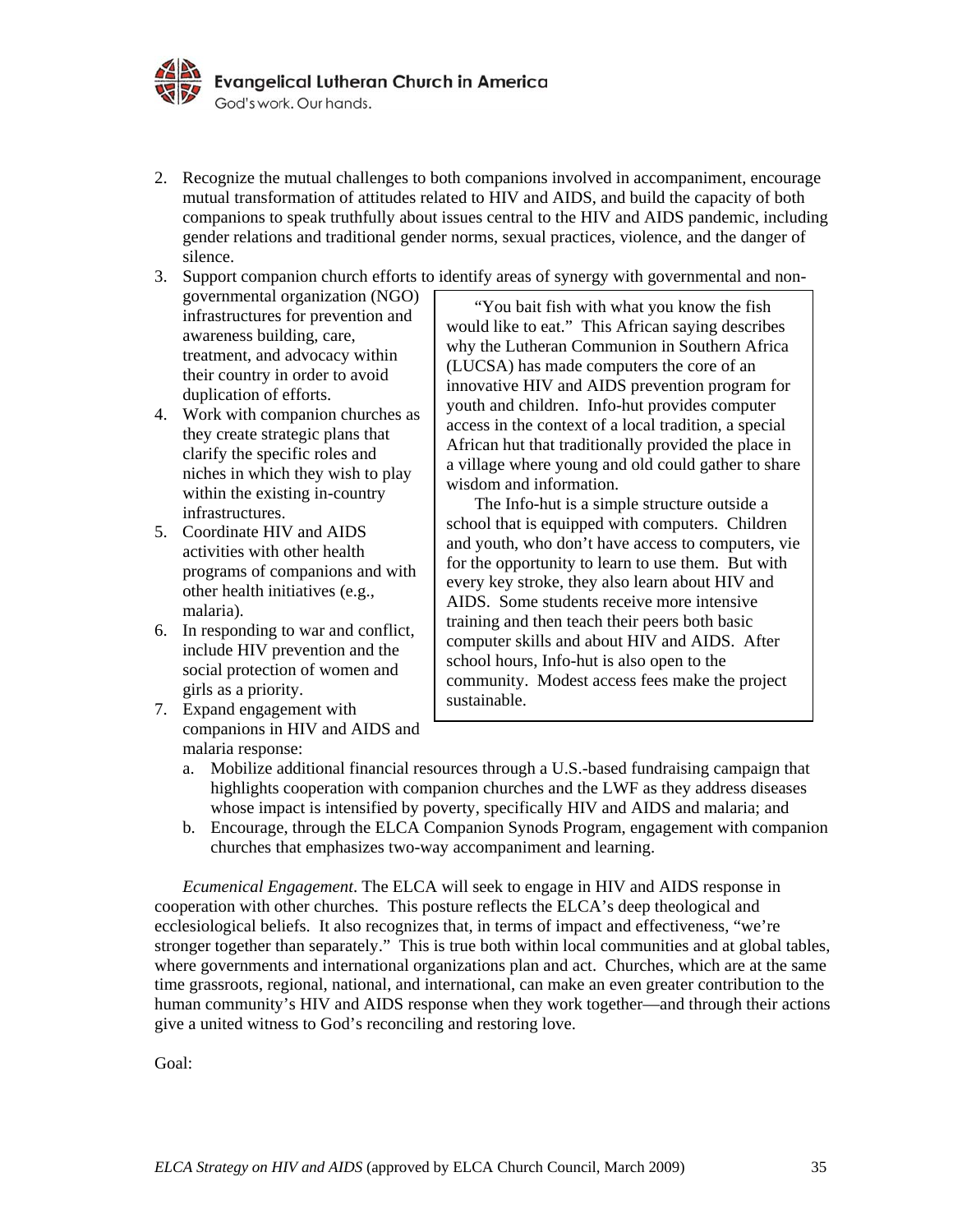

- 2. Recognize the mutual challenges to both companions involved in accompaniment, encourage mutual transformation of attitudes related to HIV and AIDS, and build the capacity of both companions to speak truthfully about issues central to the HIV and AIDS pandemic, including gender relations and traditional gender norms, sexual practices, violence, and the danger of silence.
- 3. Support companion church efforts to identify areas of synergy with governmental and non-
- governmental organization (NGO) infrastructures for prevention and awareness building, care, treatment, and advocacy within their country in order to avoid duplication of efforts.
- 4. Work with companion churches as they create strategic plans that clarify the specific roles and niches in which they wish to play within the existing in-country infrastructures.
- 5. Coordinate HIV and AIDS activities with other health programs of companions and with other health initiatives (e.g., malaria).
- 6. In responding to war and conflict, include HIV prevention and the social protection of women and girls as a priority.
- 7. Expand engagement with companions in HIV and AIDS and malaria response:

"You bait fish with what you know the fish would like to eat." This African saying describes why the Lutheran Communion in Southern Africa (LUCSA) has made computers the core of an innovative HIV and AIDS prevention program for youth and children. Info-hut provides computer access in the context of a local tradition, a special African hut that traditionally provided the place in a village where young and old could gather to share wisdom and information.

The Info-hut is a simple structure outside a school that is equipped with computers. Children and youth, who don't have access to computers, vie for the opportunity to learn to use them. But with every key stroke, they also learn about HIV and AIDS. Some students receive more intensive training and then teach their peers both basic computer skills and about HIV and AIDS. After school hours, Info-hut is also open to the community. Modest access fees make the project sustainable.

- a. Mobilize additional financial resources through a U.S.-based fundraising campaign that highlights cooperation with companion churches and the LWF as they address diseases whose impact is intensified by poverty, specifically HIV and AIDS and malaria; and
- b. Encourage, through the ELCA Companion Synods Program, engagement with companion churches that emphasizes two-way accompaniment and learning.

 *Ecumenical Engagement*. The ELCA will seek to engage in HIV and AIDS response in cooperation with other churches. This posture reflects the ELCA's deep theological and ecclesiological beliefs. It also recognizes that, in terms of impact and effectiveness, "we're stronger together than separately." This is true both within local communities and at global tables, where governments and international organizations plan and act. Churches, which are at the same time grassroots, regional, national, and international, can make an even greater contribution to the human community's HIV and AIDS response when they work together—and through their actions give a united witness to God's reconciling and restoring love.

Goal: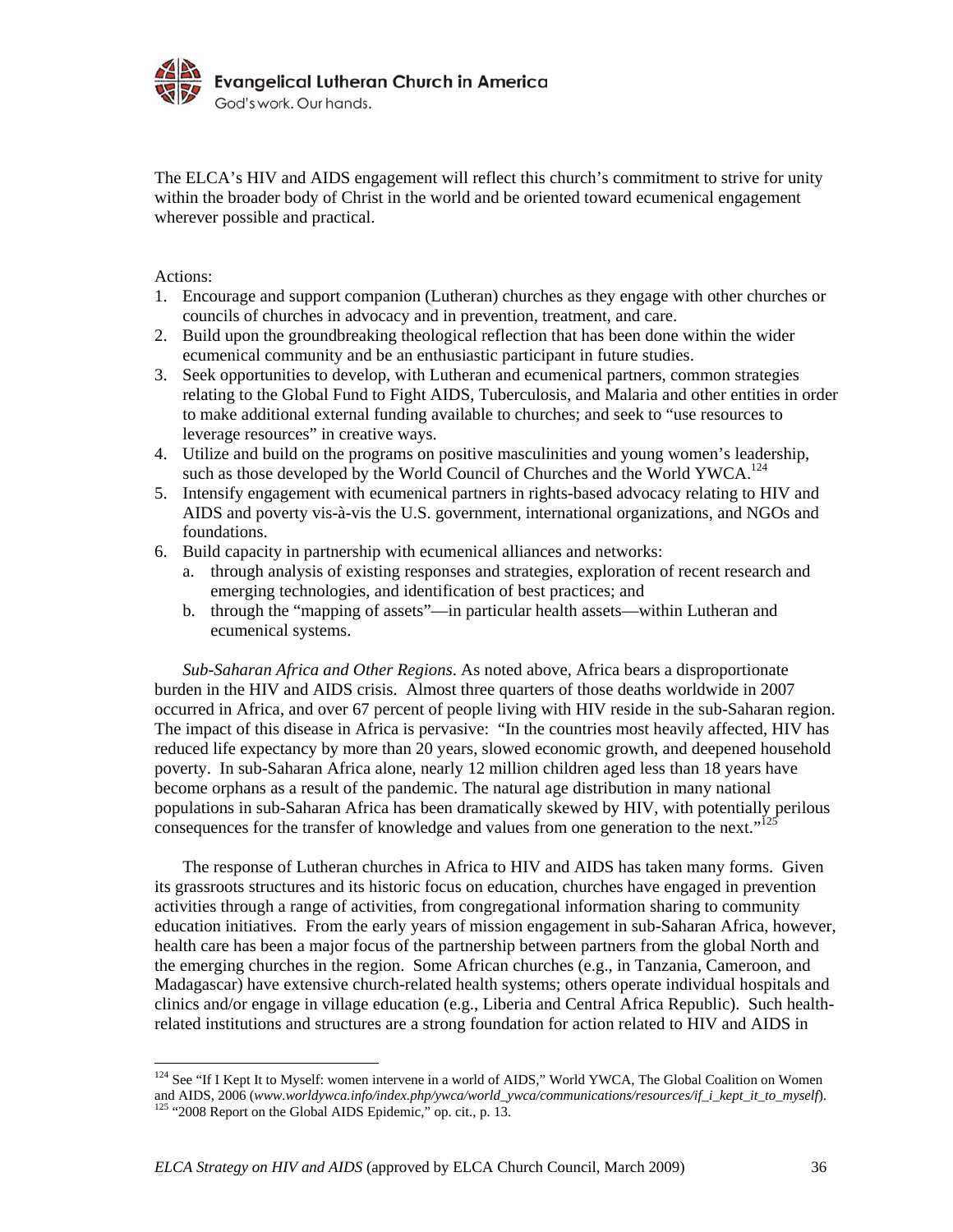

The ELCA's HIV and AIDS engagement will reflect this church's commitment to strive for unity within the broader body of Christ in the world and be oriented toward ecumenical engagement wherever possible and practical.

Actions:

<u>.</u>

- 1. Encourage and support companion (Lutheran) churches as they engage with other churches or councils of churches in advocacy and in prevention, treatment, and care.
- 2. Build upon the groundbreaking theological reflection that has been done within the wider ecumenical community and be an enthusiastic participant in future studies.
- 3. Seek opportunities to develop, with Lutheran and ecumenical partners, common strategies relating to the Global Fund to Fight AIDS, Tuberculosis, and Malaria and other entities in order to make additional external funding available to churches; and seek to "use resources to leverage resources" in creative ways.
- 4. Utilize and build on the programs on positive masculinities and young women's leadership, such as those developed by the World Council of Churches and the World YWCA.<sup>124</sup>
- 5. Intensify engagement with ecumenical partners in rights-based advocacy relating to HIV and AIDS and poverty vis-à-vis the U.S. government, international organizations, and NGOs and foundations.
- 6. Build capacity in partnership with ecumenical alliances and networks:
	- a. through analysis of existing responses and strategies, exploration of recent research and emerging technologies, and identification of best practices; and
	- b. through the "mapping of assets"—in particular health assets—within Lutheran and ecumenical systems.

*Sub-Saharan Africa and Other Regions*. As noted above, Africa bears a disproportionate burden in the HIV and AIDS crisis. Almost three quarters of those deaths worldwide in 2007 occurred in Africa, and over 67 percent of people living with HIV reside in the sub-Saharan region. The impact of this disease in Africa is pervasive: "In the countries most heavily affected, HIV has reduced life expectancy by more than 20 years, slowed economic growth, and deepened household poverty. In sub-Saharan Africa alone, nearly 12 million children aged less than 18 years have become orphans as a result of the pandemic. The natural age distribution in many national populations in sub-Saharan Africa has been dramatically skewed by HIV, with potentially perilous consequences for the transfer of knowledge and values from one generation to the next."<sup>125</sup>

 The response of Lutheran churches in Africa to HIV and AIDS has taken many forms. Given its grassroots structures and its historic focus on education, churches have engaged in prevention activities through a range of activities, from congregational information sharing to community education initiatives. From the early years of mission engagement in sub-Saharan Africa, however, health care has been a major focus of the partnership between partners from the global North and the emerging churches in the region. Some African churches (e.g., in Tanzania, Cameroon, and Madagascar) have extensive church-related health systems; others operate individual hospitals and clinics and/or engage in village education (e.g., Liberia and Central Africa Republic). Such healthrelated institutions and structures are a strong foundation for action related to HIV and AIDS in

 $124$  See "If I Kept It to Myself: women intervene in a world of AIDS," World YWCA, The Global Coalition on Women and AIDS, 2006 (*www.worldywca.info/index.php/ywca/world\_ywca/communications/resources/if\_i\_kept\_it\_to\_myself*). 125 "2008 Report on the Global AIDS Epidemic," op. cit., p. 13.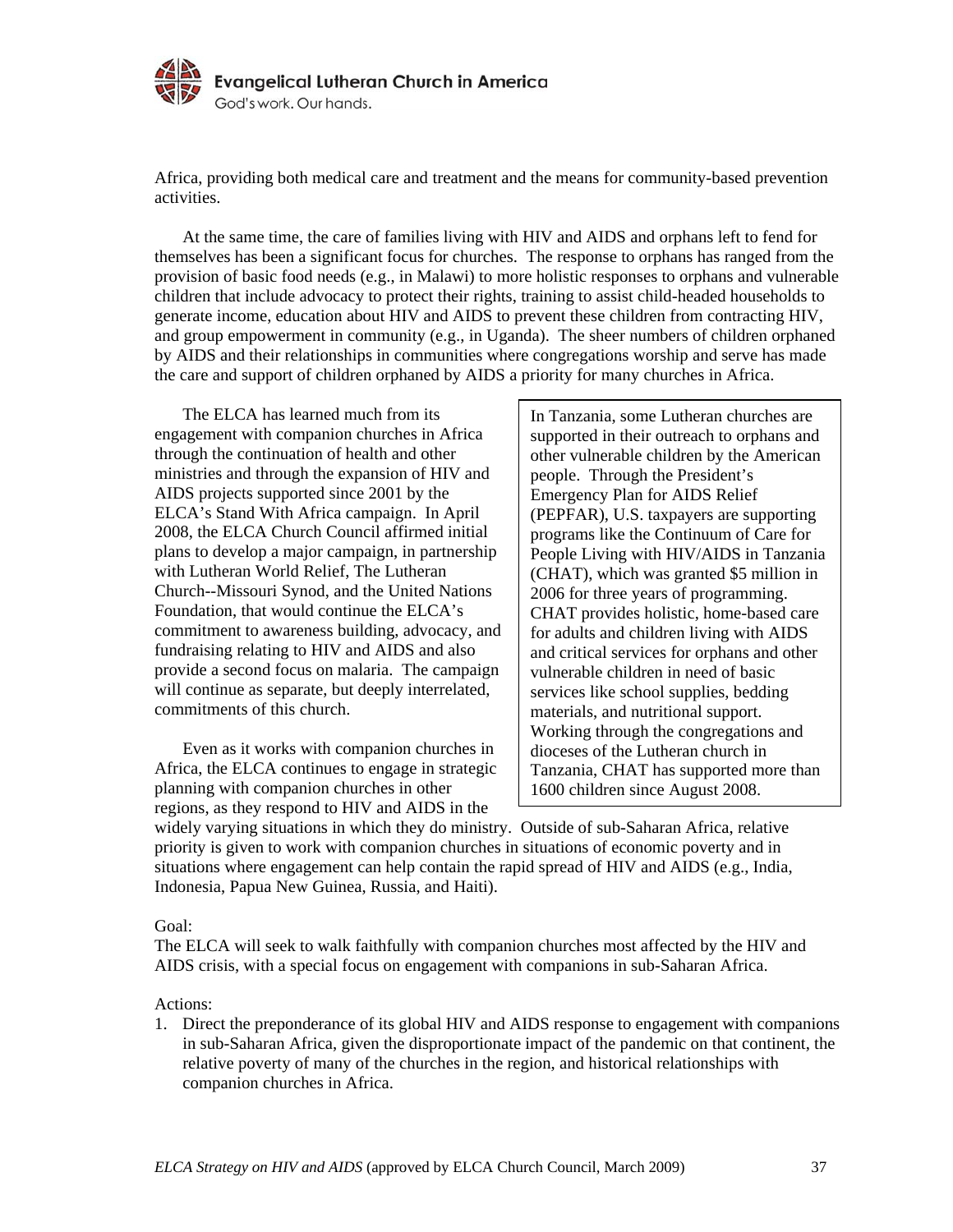

Africa, providing both medical care and treatment and the means for community-based prevention activities.

 At the same time, the care of families living with HIV and AIDS and orphans left to fend for themselves has been a significant focus for churches. The response to orphans has ranged from the provision of basic food needs (e.g., in Malawi) to more holistic responses to orphans and vulnerable children that include advocacy to protect their rights, training to assist child-headed households to generate income, education about HIV and AIDS to prevent these children from contracting HIV, and group empowerment in community (e.g., in Uganda). The sheer numbers of children orphaned by AIDS and their relationships in communities where congregations worship and serve has made the care and support of children orphaned by AIDS a priority for many churches in Africa.

 The ELCA has learned much from its engagement with companion churches in Africa through the continuation of health and other ministries and through the expansion of HIV and AIDS projects supported since 2001 by the ELCA's Stand With Africa campaign. In April 2008, the ELCA Church Council affirmed initial plans to develop a major campaign, in partnership with Lutheran World Relief, The Lutheran Church--Missouri Synod, and the United Nations Foundation, that would continue the ELCA's commitment to awareness building, advocacy, and fundraising relating to HIV and AIDS and also provide a second focus on malaria. The campaign will continue as separate, but deeply interrelated, commitments of this church.

 Even as it works with companion churches in Africa, the ELCA continues to engage in strategic planning with companion churches in other regions, as they respond to HIV and AIDS in the

In Tanzania, some Lutheran churches are supported in their outreach to orphans and other vulnerable children by the American people. Through the President's Emergency Plan for AIDS Relief (PEPFAR), U.S. taxpayers are supporting programs like the Continuum of Care for People Living with HIV/AIDS in Tanzania (CHAT), which was granted \$5 million in 2006 for three years of programming. CHAT provides holistic, home-based care for adults and children living with AIDS and critical services for orphans and other vulnerable children in need of basic services like school supplies, bedding materials, and nutritional support. Working through the congregations and dioceses of the Lutheran church in Tanzania, CHAT has supported more than 1600 children since August 2008.

widely varying situations in which they do ministry. Outside of sub-Saharan Africa, relative priority is given to work with companion churches in situations of economic poverty and in situations where engagement can help contain the rapid spread of HIV and AIDS (e.g., India, Indonesia, Papua New Guinea, Russia, and Haiti).

#### Goal:

The ELCA will seek to walk faithfully with companion churches most affected by the HIV and AIDS crisis, with a special focus on engagement with companions in sub-Saharan Africa.

#### Actions:

1. Direct the preponderance of its global HIV and AIDS response to engagement with companions in sub-Saharan Africa, given the disproportionate impact of the pandemic on that continent, the relative poverty of many of the churches in the region, and historical relationships with companion churches in Africa.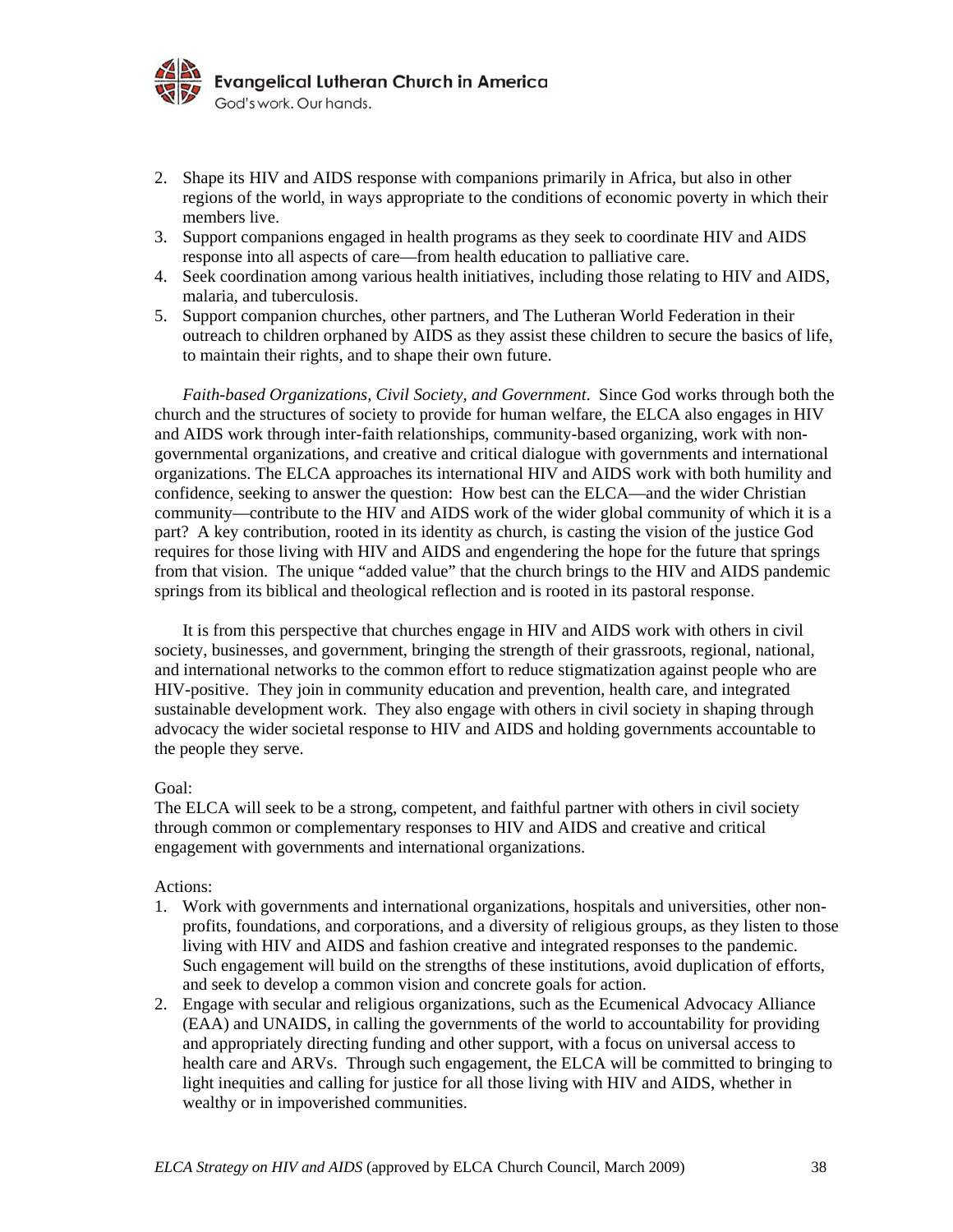

- 2. Shape its HIV and AIDS response with companions primarily in Africa, but also in other regions of the world, in ways appropriate to the conditions of economic poverty in which their members live.
- 3. Support companions engaged in health programs as they seek to coordinate HIV and AIDS response into all aspects of care—from health education to palliative care.
- 4. Seek coordination among various health initiatives, including those relating to HIV and AIDS, malaria, and tuberculosis.
- 5. Support companion churches, other partners, and The Lutheran World Federation in their outreach to children orphaned by AIDS as they assist these children to secure the basics of life, to maintain their rights, and to shape their own future.

*Faith-based Organizations, Civil Society, and Government*. Since God works through both the church and the structures of society to provide for human welfare, the ELCA also engages in HIV and AIDS work through inter-faith relationships, community-based organizing, work with nongovernmental organizations, and creative and critical dialogue with governments and international organizations. The ELCA approaches its international HIV and AIDS work with both humility and confidence, seeking to answer the question: How best can the ELCA—and the wider Christian community—contribute to the HIV and AIDS work of the wider global community of which it is a part? A key contribution, rooted in its identity as church, is casting the vision of the justice God requires for those living with HIV and AIDS and engendering the hope for the future that springs from that vision. The unique "added value" that the church brings to the HIV and AIDS pandemic springs from its biblical and theological reflection and is rooted in its pastoral response.

 It is from this perspective that churches engage in HIV and AIDS work with others in civil society, businesses, and government, bringing the strength of their grassroots, regional, national, and international networks to the common effort to reduce stigmatization against people who are HIV-positive. They join in community education and prevention, health care, and integrated sustainable development work. They also engage with others in civil society in shaping through advocacy the wider societal response to HIV and AIDS and holding governments accountable to the people they serve.

#### Goal:

The ELCA will seek to be a strong, competent, and faithful partner with others in civil society through common or complementary responses to HIV and AIDS and creative and critical engagement with governments and international organizations.

# Actions:

- 1. Work with governments and international organizations, hospitals and universities, other nonprofits, foundations, and corporations, and a diversity of religious groups, as they listen to those living with HIV and AIDS and fashion creative and integrated responses to the pandemic. Such engagement will build on the strengths of these institutions, avoid duplication of efforts, and seek to develop a common vision and concrete goals for action.
- 2. Engage with secular and religious organizations, such as the Ecumenical Advocacy Alliance (EAA) and UNAIDS, in calling the governments of the world to accountability for providing and appropriately directing funding and other support, with a focus on universal access to health care and ARVs. Through such engagement, the ELCA will be committed to bringing to light inequities and calling for justice for all those living with HIV and AIDS, whether in wealthy or in impoverished communities.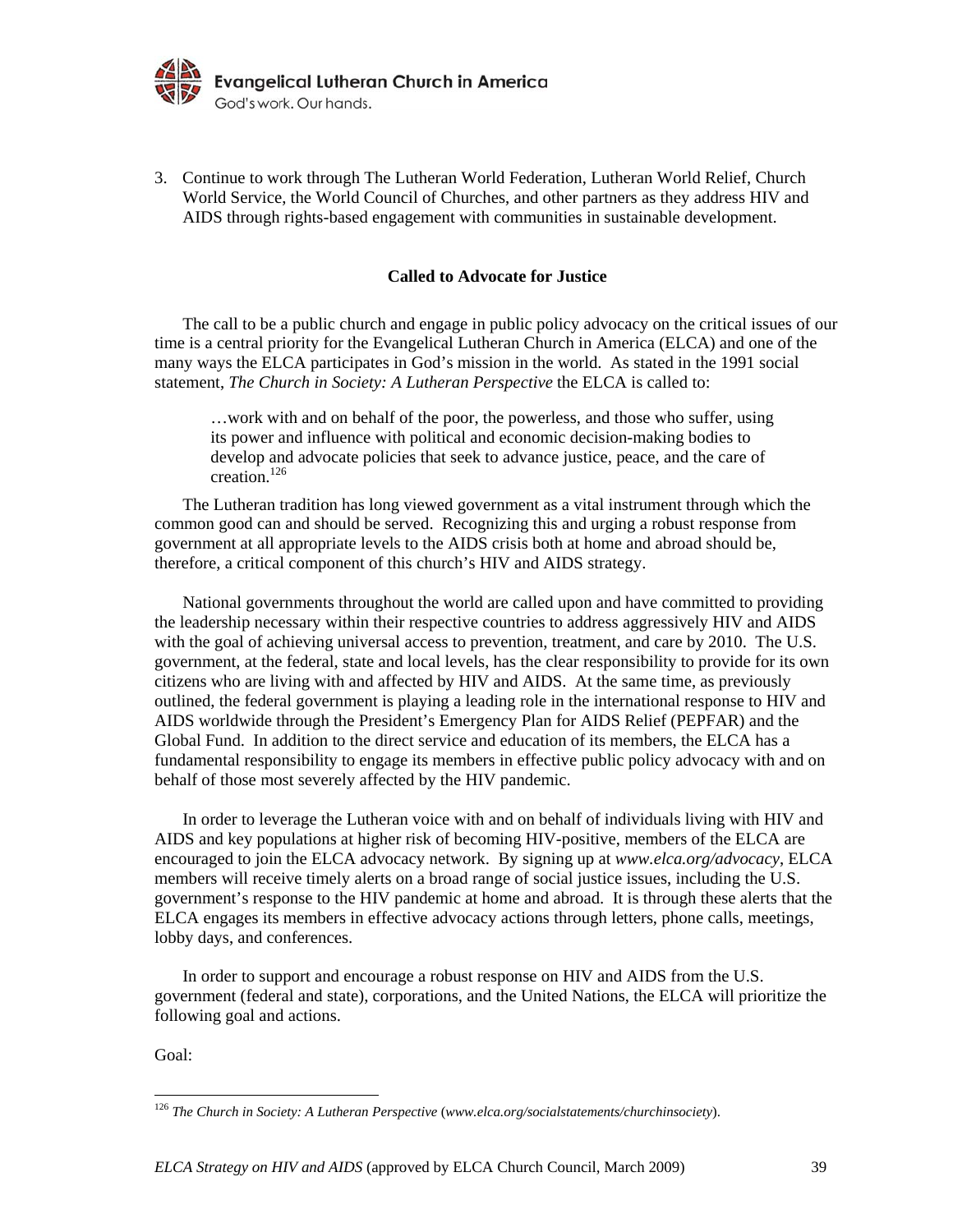

3. Continue to work through The Lutheran World Federation, Lutheran World Relief, Church World Service, the World Council of Churches, and other partners as they address HIV and AIDS through rights-based engagement with communities in sustainable development.

#### **Called to Advocate for Justice**

The call to be a public church and engage in public policy advocacy on the critical issues of our time is a central priority for the Evangelical Lutheran Church in America (ELCA) and one of the many ways the ELCA participates in God's mission in the world. As stated in the 1991 social statement, *The Church in Society: A Lutheran Perspective* the ELCA is called to:

…work with and on behalf of the poor, the powerless, and those who suffer, using its power and influence with political and economic decision-making bodies to develop and advocate policies that seek to advance justice, peace, and the care of creation.126

The Lutheran tradition has long viewed government as a vital instrument through which the common good can and should be served. Recognizing this and urging a robust response from government at all appropriate levels to the AIDS crisis both at home and abroad should be, therefore, a critical component of this church's HIV and AIDS strategy.

 National governments throughout the world are called upon and have committed to providing the leadership necessary within their respective countries to address aggressively HIV and AIDS with the goal of achieving universal access to prevention, treatment, and care by 2010. The U.S. government, at the federal, state and local levels, has the clear responsibility to provide for its own citizens who are living with and affected by HIV and AIDS. At the same time, as previously outlined, the federal government is playing a leading role in the international response to HIV and AIDS worldwide through the President's Emergency Plan for AIDS Relief (PEPFAR) and the Global Fund. In addition to the direct service and education of its members, the ELCA has a fundamental responsibility to engage its members in effective public policy advocacy with and on behalf of those most severely affected by the HIV pandemic.

 In order to leverage the Lutheran voice with and on behalf of individuals living with HIV and AIDS and key populations at higher risk of becoming HIV-positive, members of the ELCA are encouraged to join the ELCA advocacy network. By signing up at *www.elca.org/advocacy*, ELCA members will receive timely alerts on a broad range of social justice issues, including the U.S. government's response to the HIV pandemic at home and abroad. It is through these alerts that the ELCA engages its members in effective advocacy actions through letters, phone calls, meetings, lobby days, and conferences.

 In order to support and encourage a robust response on HIV and AIDS from the U.S. government (federal and state), corporations, and the United Nations, the ELCA will prioritize the following goal and actions.

Goal:

<sup>126</sup> *The Church in Society: A Lutheran Perspective* (*www.elca.org/socialstatements/churchinsociety*).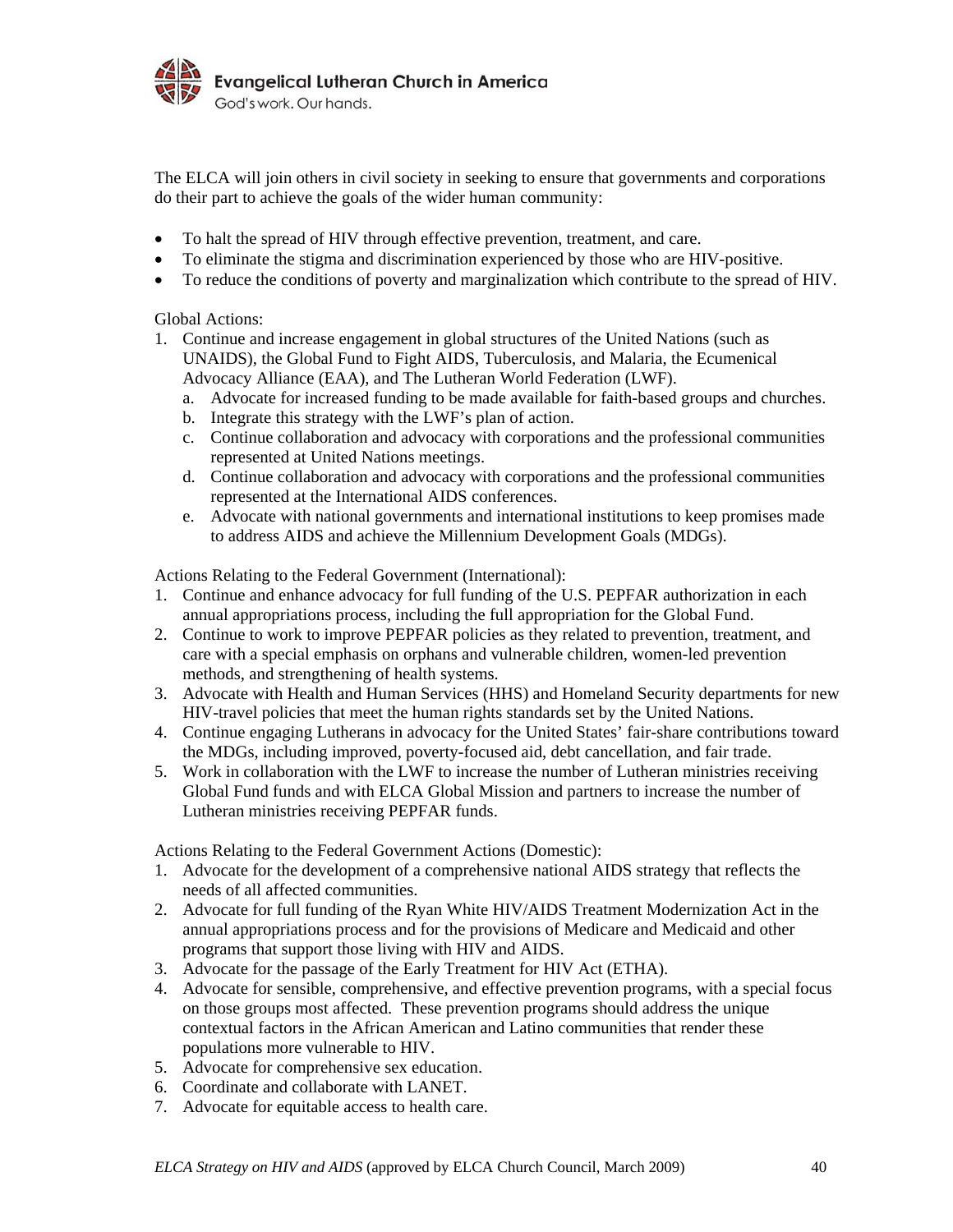

The ELCA will join others in civil society in seeking to ensure that governments and corporations do their part to achieve the goals of the wider human community:

- To halt the spread of HIV through effective prevention, treatment, and care.
- To eliminate the stigma and discrimination experienced by those who are HIV-positive.
- To reduce the conditions of poverty and marginalization which contribute to the spread of HIV.

Global Actions:

- 1. Continue and increase engagement in global structures of the United Nations (such as UNAIDS), the Global Fund to Fight AIDS, Tuberculosis, and Malaria, the Ecumenical Advocacy Alliance (EAA), and The Lutheran World Federation (LWF).
	- a. Advocate for increased funding to be made available for faith-based groups and churches.
	- b. Integrate this strategy with the LWF's plan of action.
	- c. Continue collaboration and advocacy with corporations and the professional communities represented at United Nations meetings.
	- d. Continue collaboration and advocacy with corporations and the professional communities represented at the International AIDS conferences.
	- e. Advocate with national governments and international institutions to keep promises made to address AIDS and achieve the Millennium Development Goals (MDGs).

Actions Relating to the Federal Government (International):

- 1. Continue and enhance advocacy for full funding of the U.S. PEPFAR authorization in each annual appropriations process, including the full appropriation for the Global Fund.
- 2. Continue to work to improve PEPFAR policies as they related to prevention, treatment, and care with a special emphasis on orphans and vulnerable children, women-led prevention methods, and strengthening of health systems.
- 3. Advocate with Health and Human Services (HHS) and Homeland Security departments for new HIV-travel policies that meet the human rights standards set by the United Nations.
- 4. Continue engaging Lutherans in advocacy for the United States' fair-share contributions toward the MDGs, including improved, poverty-focused aid, debt cancellation, and fair trade.
- 5. Work in collaboration with the LWF to increase the number of Lutheran ministries receiving Global Fund funds and with ELCA Global Mission and partners to increase the number of Lutheran ministries receiving PEPFAR funds.

Actions Relating to the Federal Government Actions (Domestic):

- 1. Advocate for the development of a comprehensive national AIDS strategy that reflects the needs of all affected communities.
- 2. Advocate for full funding of the Ryan White HIV/AIDS Treatment Modernization Act in the annual appropriations process and for the provisions of Medicare and Medicaid and other programs that support those living with HIV and AIDS.
- 3. Advocate for the passage of the Early Treatment for HIV Act (ETHA).
- 4. Advocate for sensible, comprehensive, and effective prevention programs, with a special focus on those groups most affected. These prevention programs should address the unique contextual factors in the African American and Latino communities that render these populations more vulnerable to HIV.
- 5. Advocate for comprehensive sex education.
- 6. Coordinate and collaborate with LANET.
- 7. Advocate for equitable access to health care.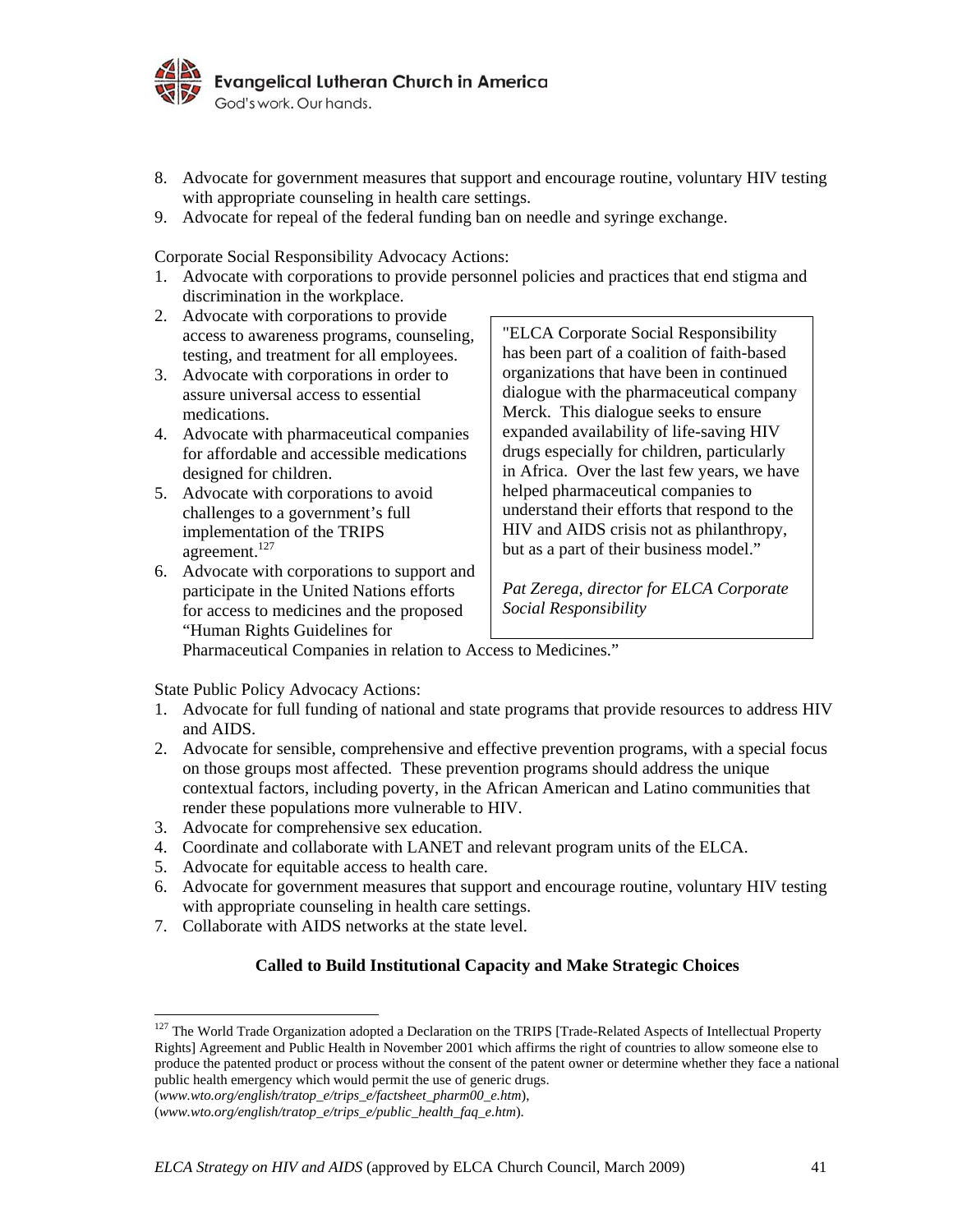

- 8. Advocate for government measures that support and encourage routine, voluntary HIV testing with appropriate counseling in health care settings.
- 9. Advocate for repeal of the federal funding ban on needle and syringe exchange.

Corporate Social Responsibility Advocacy Actions:

- 1. Advocate with corporations to provide personnel policies and practices that end stigma and discrimination in the workplace.
- 2. Advocate with corporations to provide access to awareness programs, counseling, testing, and treatment for all employees.
- 3. Advocate with corporations in order to assure universal access to essential medications.
- 4. Advocate with pharmaceutical companies for affordable and accessible medications designed for children.
- 5. Advocate with corporations to avoid challenges to a government's full implementation of the TRIPS agreement.<sup>127</sup>
- 6. Advocate with corporations to support and participate in the United Nations efforts for access to medicines and the proposed "Human Rights Guidelines for

"ELCA Corporate Social Responsibility has been part of a coalition of faith-based organizations that have been in continued dialogue with the pharmaceutical company Merck. This dialogue seeks to ensure expanded availability of life-saving HIV drugs especially for children, particularly in Africa. Over the last few years, we have helped pharmaceutical companies to understand their efforts that respond to the HIV and AIDS crisis not as philanthropy, but as a part of their business model."

*Pat Zerega, director for ELCA Corporate Social Responsibility* 

Pharmaceutical Companies in relation to Access to Medicines."

State Public Policy Advocacy Actions:

- 1. Advocate for full funding of national and state programs that provide resources to address HIV and AIDS.
- 2. Advocate for sensible, comprehensive and effective prevention programs, with a special focus on those groups most affected. These prevention programs should address the unique contextual factors, including poverty, in the African American and Latino communities that render these populations more vulnerable to HIV.
- 3. Advocate for comprehensive sex education.
- 4. Coordinate and collaborate with LANET and relevant program units of the ELCA.
- 5. Advocate for equitable access to health care.

1

- 6. Advocate for government measures that support and encourage routine, voluntary HIV testing with appropriate counseling in health care settings.
- 7. Collaborate with AIDS networks at the state level.

# **Called to Build Institutional Capacity and Make Strategic Choices**

<sup>&</sup>lt;sup>127</sup> The World Trade Organization adopted a Declaration on the TRIPS [Trade-Related Aspects of Intellectual Property Rights] Agreement and Public Health in November 2001 which affirms the right of countries to allow someone else to produce the patented product or process without the consent of the patent owner or determine whether they face a national public health emergency which would permit the use of generic drugs.

<sup>(</sup>*www.wto.org/english/tratop\_e/trips\_e/factsheet\_pharm00\_e.htm*),

<sup>(</sup>*www.wto.org/english/tratop\_e/trips\_e/public\_health\_faq\_e.htm*).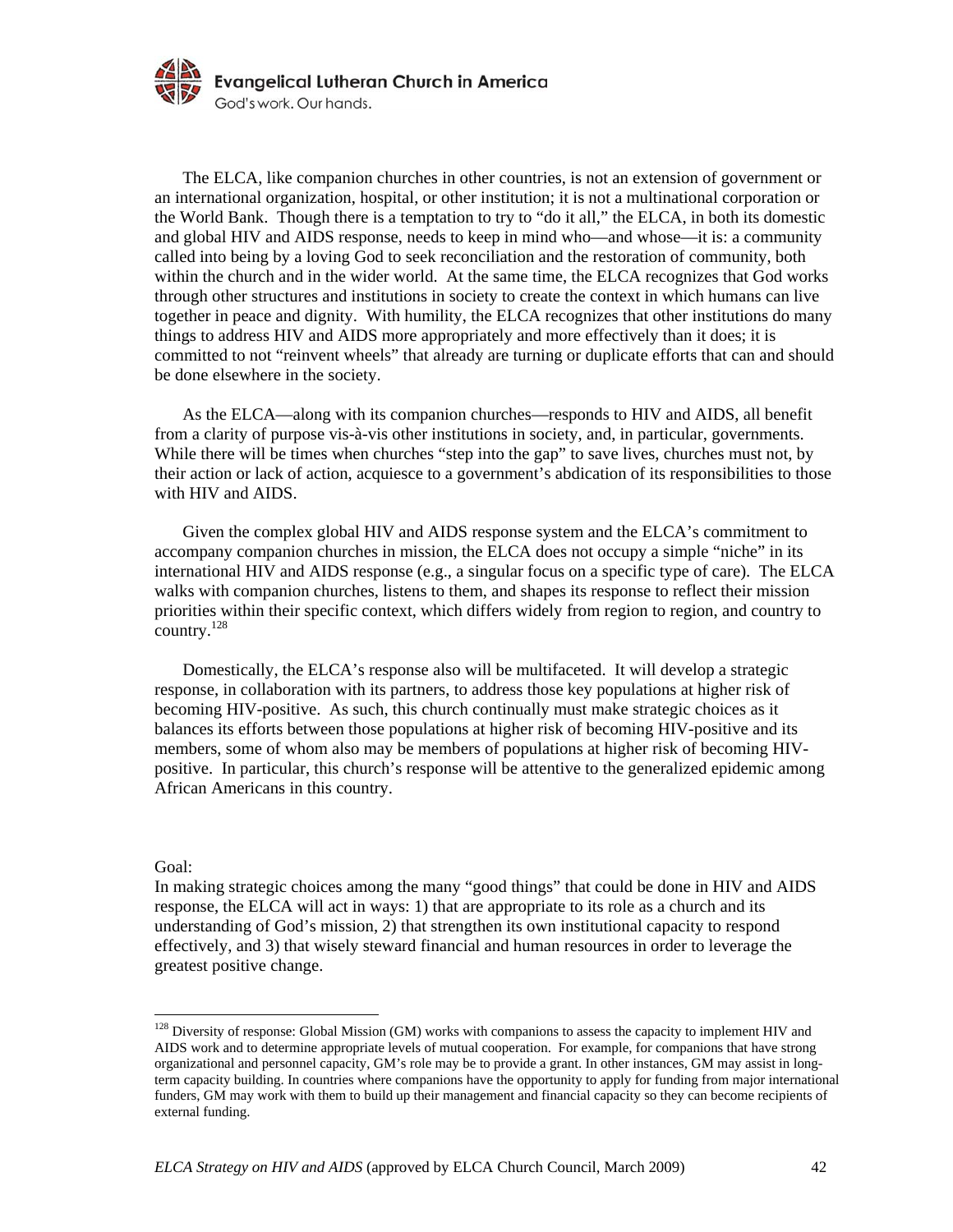

The ELCA, like companion churches in other countries, is not an extension of government or an international organization, hospital, or other institution; it is not a multinational corporation or the World Bank. Though there is a temptation to try to "do it all," the ELCA, in both its domestic and global HIV and AIDS response, needs to keep in mind who—and whose—it is: a community called into being by a loving God to seek reconciliation and the restoration of community, both within the church and in the wider world. At the same time, the ELCA recognizes that God works through other structures and institutions in society to create the context in which humans can live together in peace and dignity. With humility, the ELCA recognizes that other institutions do many things to address HIV and AIDS more appropriately and more effectively than it does; it is committed to not "reinvent wheels" that already are turning or duplicate efforts that can and should be done elsewhere in the society.

 As the ELCA—along with its companion churches—responds to HIV and AIDS, all benefit from a clarity of purpose vis-à-vis other institutions in society, and, in particular, governments. While there will be times when churches "step into the gap" to save lives, churches must not, by their action or lack of action, acquiesce to a government's abdication of its responsibilities to those with HIV and AIDS.

 Given the complex global HIV and AIDS response system and the ELCA's commitment to accompany companion churches in mission, the ELCA does not occupy a simple "niche" in its international HIV and AIDS response (e.g., a singular focus on a specific type of care). The ELCA walks with companion churches, listens to them, and shapes its response to reflect their mission priorities within their specific context, which differs widely from region to region, and country to country.128

 Domestically, the ELCA's response also will be multifaceted. It will develop a strategic response, in collaboration with its partners, to address those key populations at higher risk of becoming HIV-positive. As such, this church continually must make strategic choices as it balances its efforts between those populations at higher risk of becoming HIV-positive and its members, some of whom also may be members of populations at higher risk of becoming HIVpositive. In particular, this church's response will be attentive to the generalized epidemic among African Americans in this country.

#### Goal:

1

In making strategic choices among the many "good things" that could be done in HIV and AIDS response, the ELCA will act in ways: 1) that are appropriate to its role as a church and its understanding of God's mission, 2) that strengthen its own institutional capacity to respond effectively, and 3) that wisely steward financial and human resources in order to leverage the greatest positive change.

 $128$  Diversity of response: Global Mission (GM) works with companions to assess the capacity to implement HIV and AIDS work and to determine appropriate levels of mutual cooperation. For example, for companions that have strong organizational and personnel capacity, GM's role may be to provide a grant. In other instances, GM may assist in longterm capacity building. In countries where companions have the opportunity to apply for funding from major international funders, GM may work with them to build up their management and financial capacity so they can become recipients of external funding.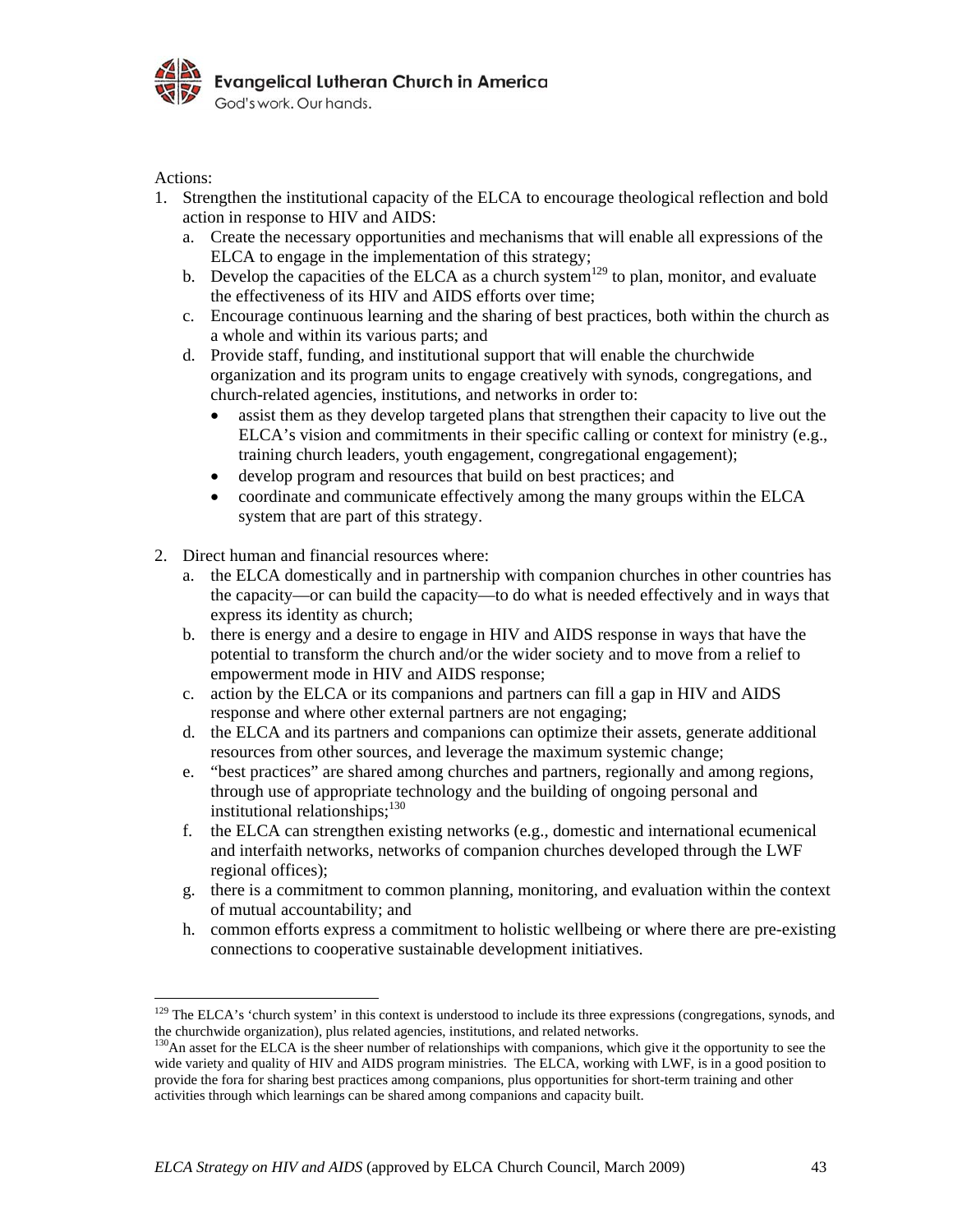

Actions:

- 1. Strengthen the institutional capacity of the ELCA to encourage theological reflection and bold action in response to HIV and AIDS:
	- a. Create the necessary opportunities and mechanisms that will enable all expressions of the ELCA to engage in the implementation of this strategy;
	- b. Develop the capacities of the ELCA as a church system<sup>129</sup> to plan, monitor, and evaluate the effectiveness of its HIV and AIDS efforts over time;
	- c. Encourage continuous learning and the sharing of best practices, both within the church as a whole and within its various parts; and
	- d. Provide staff, funding, and institutional support that will enable the churchwide organization and its program units to engage creatively with synods, congregations, and church-related agencies, institutions, and networks in order to:
		- assist them as they develop targeted plans that strengthen their capacity to live out the ELCA's vision and commitments in their specific calling or context for ministry (e.g., training church leaders, youth engagement, congregational engagement);
		- develop program and resources that build on best practices; and
		- coordinate and communicate effectively among the many groups within the ELCA system that are part of this strategy.
- 2. Direct human and financial resources where:
	- a. the ELCA domestically and in partnership with companion churches in other countries has the capacity—or can build the capacity—to do what is needed effectively and in ways that express its identity as church;
	- b. there is energy and a desire to engage in HIV and AIDS response in ways that have the potential to transform the church and/or the wider society and to move from a relief to empowerment mode in HIV and AIDS response;
	- c. action by the ELCA or its companions and partners can fill a gap in HIV and AIDS response and where other external partners are not engaging;
	- d. the ELCA and its partners and companions can optimize their assets, generate additional resources from other sources, and leverage the maximum systemic change;
	- e. "best practices" are shared among churches and partners, regionally and among regions, through use of appropriate technology and the building of ongoing personal and institutional relationships;<sup>130</sup>
	- f. the ELCA can strengthen existing networks (e.g., domestic and international ecumenical and interfaith networks, networks of companion churches developed through the LWF regional offices);
	- g. there is a commitment to common planning, monitoring, and evaluation within the context of mutual accountability; and
	- h. common efforts express a commitment to holistic wellbeing or where there are pre-existing connections to cooperative sustainable development initiatives.

 $129$  The ELCA's 'church system' in this context is understood to include its three expressions (congregations, synods, and the churchwide organization), plus related agencies, institutions, and related networks.<br><sup>130</sup>An asset for the ELCA is the sheer number of relationships with companions, which give it the opportunity to see the

wide variety and quality of HIV and AIDS program ministries. The ELCA, working with LWF, is in a good position to provide the fora for sharing best practices among companions, plus opportunities for short-term training and other activities through which learnings can be shared among companions and capacity built.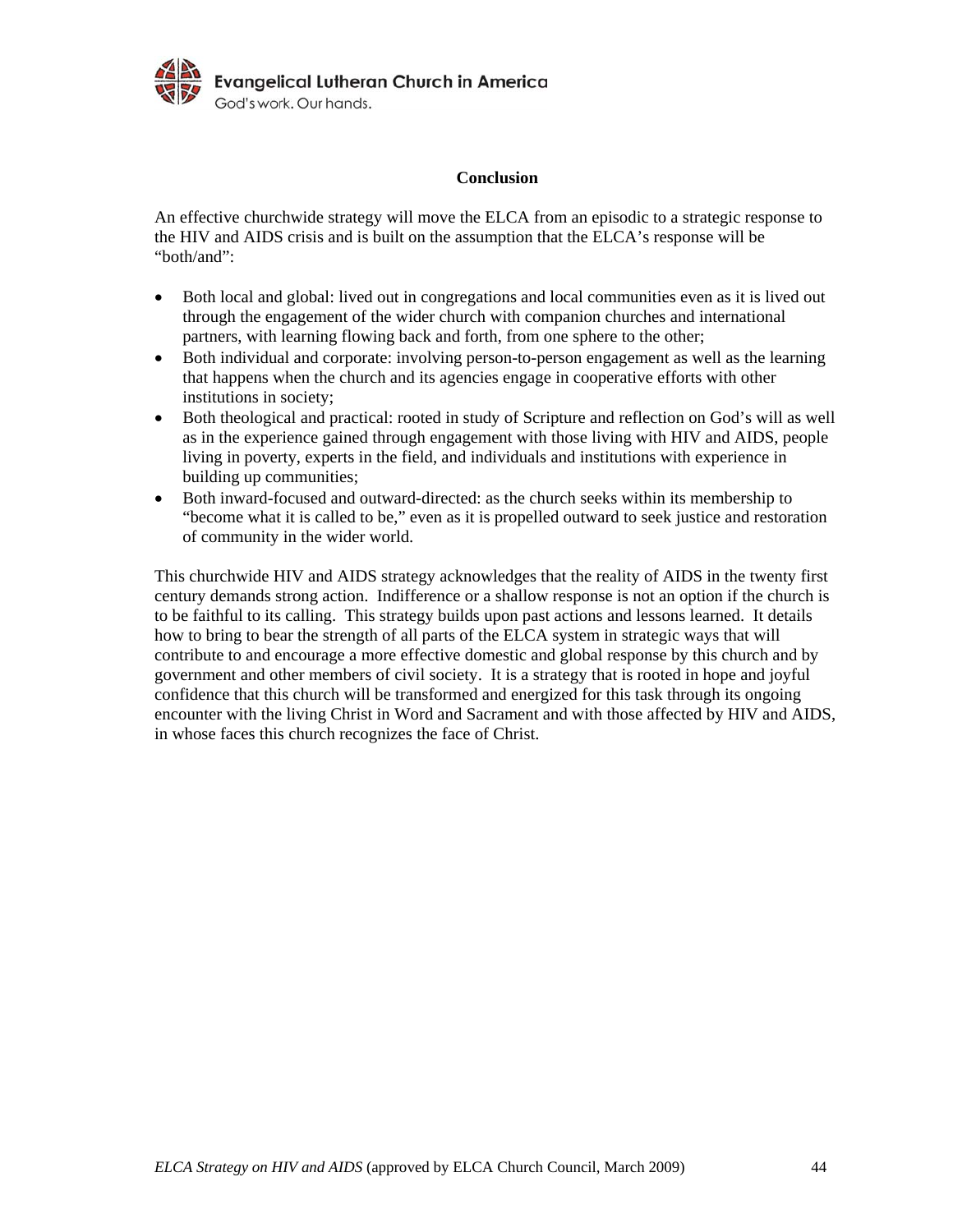

### **Conclusion**

An effective churchwide strategy will move the ELCA from an episodic to a strategic response to the HIV and AIDS crisis and is built on the assumption that the ELCA's response will be "both/and":

- Both local and global: lived out in congregations and local communities even as it is lived out through the engagement of the wider church with companion churches and international partners, with learning flowing back and forth, from one sphere to the other;
- Both individual and corporate: involving person-to-person engagement as well as the learning that happens when the church and its agencies engage in cooperative efforts with other institutions in society;
- Both theological and practical: rooted in study of Scripture and reflection on God's will as well as in the experience gained through engagement with those living with HIV and AIDS, people living in poverty, experts in the field, and individuals and institutions with experience in building up communities;
- Both inward-focused and outward-directed: as the church seeks within its membership to "become what it is called to be," even as it is propelled outward to seek justice and restoration of community in the wider world.

This churchwide HIV and AIDS strategy acknowledges that the reality of AIDS in the twenty first century demands strong action. Indifference or a shallow response is not an option if the church is to be faithful to its calling. This strategy builds upon past actions and lessons learned. It details how to bring to bear the strength of all parts of the ELCA system in strategic ways that will contribute to and encourage a more effective domestic and global response by this church and by government and other members of civil society. It is a strategy that is rooted in hope and joyful confidence that this church will be transformed and energized for this task through its ongoing encounter with the living Christ in Word and Sacrament and with those affected by HIV and AIDS, in whose faces this church recognizes the face of Christ.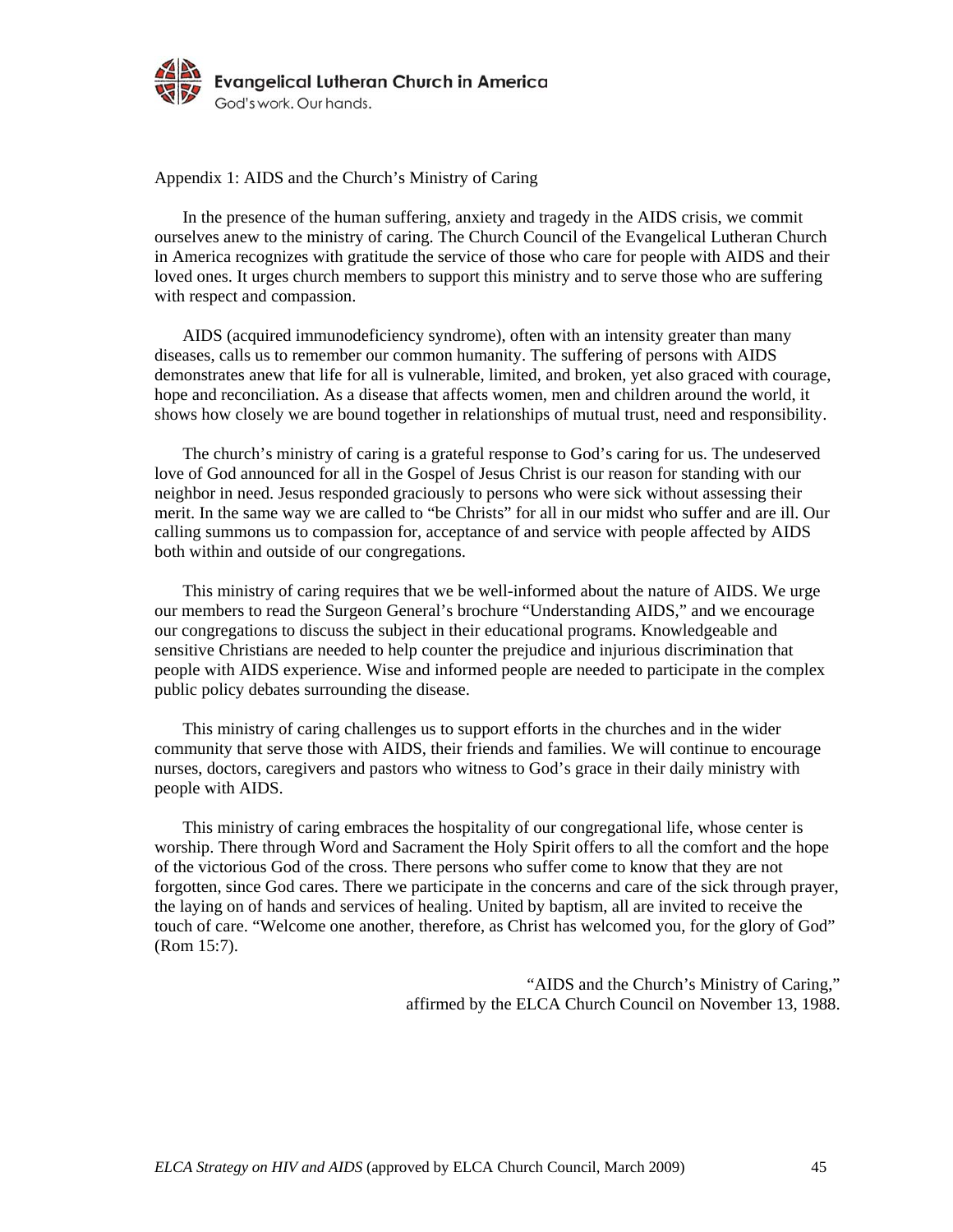

Appendix 1: AIDS and the Church's Ministry of Caring

 In the presence of the human suffering, anxiety and tragedy in the AIDS crisis, we commit ourselves anew to the ministry of caring. The Church Council of the Evangelical Lutheran Church in America recognizes with gratitude the service of those who care for people with AIDS and their loved ones. It urges church members to support this ministry and to serve those who are suffering with respect and compassion.

 AIDS (acquired immunodeficiency syndrome), often with an intensity greater than many diseases, calls us to remember our common humanity. The suffering of persons with AIDS demonstrates anew that life for all is vulnerable, limited, and broken, yet also graced with courage, hope and reconciliation. As a disease that affects women, men and children around the world, it shows how closely we are bound together in relationships of mutual trust, need and responsibility.

 The church's ministry of caring is a grateful response to God's caring for us. The undeserved love of God announced for all in the Gospel of Jesus Christ is our reason for standing with our neighbor in need. Jesus responded graciously to persons who were sick without assessing their merit. In the same way we are called to "be Christs" for all in our midst who suffer and are ill. Our calling summons us to compassion for, acceptance of and service with people affected by AIDS both within and outside of our congregations.

 This ministry of caring requires that we be well-informed about the nature of AIDS. We urge our members to read the Surgeon General's brochure "Understanding AIDS," and we encourage our congregations to discuss the subject in their educational programs. Knowledgeable and sensitive Christians are needed to help counter the prejudice and injurious discrimination that people with AIDS experience. Wise and informed people are needed to participate in the complex public policy debates surrounding the disease.

 This ministry of caring challenges us to support efforts in the churches and in the wider community that serve those with AIDS, their friends and families. We will continue to encourage nurses, doctors, caregivers and pastors who witness to God's grace in their daily ministry with people with AIDS.

 This ministry of caring embraces the hospitality of our congregational life, whose center is worship. There through Word and Sacrament the Holy Spirit offers to all the comfort and the hope of the victorious God of the cross. There persons who suffer come to know that they are not forgotten, since God cares. There we participate in the concerns and care of the sick through prayer, the laying on of hands and services of healing. United by baptism, all are invited to receive the touch of care. "Welcome one another, therefore, as Christ has welcomed you, for the glory of God" (Rom 15:7).

> "AIDS and the Church's Ministry of Caring," affirmed by the ELCA Church Council on November 13, 1988.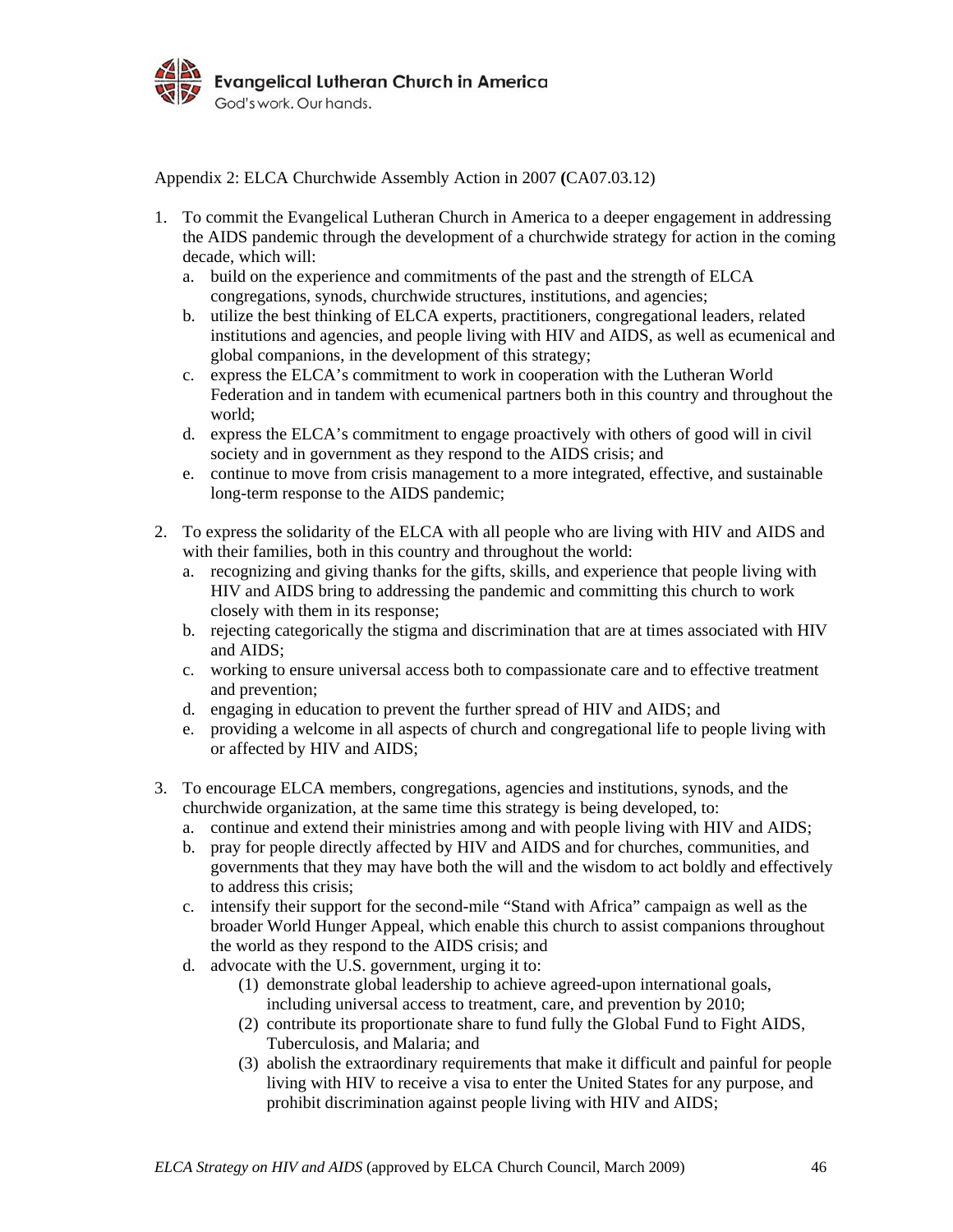

Appendix 2: ELCA Churchwide Assembly Action in 2007 **(**CA07.03.12)

- 1. To commit the Evangelical Lutheran Church in America to a deeper engagement in addressing the AIDS pandemic through the development of a churchwide strategy for action in the coming decade, which will:
	- a. build on the experience and commitments of the past and the strength of ELCA congregations, synods, churchwide structures, institutions, and agencies;
	- b. utilize the best thinking of ELCA experts, practitioners, congregational leaders, related institutions and agencies, and people living with HIV and AIDS, as well as ecumenical and global companions, in the development of this strategy;
	- c. express the ELCA's commitment to work in cooperation with the Lutheran World Federation and in tandem with ecumenical partners both in this country and throughout the world;
	- d. express the ELCA's commitment to engage proactively with others of good will in civil society and in government as they respond to the AIDS crisis; and
	- e. continue to move from crisis management to a more integrated, effective, and sustainable long-term response to the AIDS pandemic;
- 2. To express the solidarity of the ELCA with all people who are living with HIV and AIDS and with their families, both in this country and throughout the world:
	- a. recognizing and giving thanks for the gifts, skills, and experience that people living with HIV and AIDS bring to addressing the pandemic and committing this church to work closely with them in its response;
	- b. rejecting categorically the stigma and discrimination that are at times associated with HIV and AIDS;
	- c. working to ensure universal access both to compassionate care and to effective treatment and prevention;
	- d. engaging in education to prevent the further spread of HIV and AIDS; and
	- e. providing a welcome in all aspects of church and congregational life to people living with or affected by HIV and AIDS;
- 3. To encourage ELCA members, congregations, agencies and institutions, synods, and the churchwide organization, at the same time this strategy is being developed, to:
	- a. continue and extend their ministries among and with people living with HIV and AIDS;
	- b. pray for people directly affected by HIV and AIDS and for churches, communities, and governments that they may have both the will and the wisdom to act boldly and effectively to address this crisis;
	- c. intensify their support for the second-mile "Stand with Africa" campaign as well as the broader World Hunger Appeal, which enable this church to assist companions throughout the world as they respond to the AIDS crisis; and
	- d. advocate with the U.S. government, urging it to:
		- (1) demonstrate global leadership to achieve agreed-upon international goals, including universal access to treatment, care, and prevention by 2010;
		- (2) contribute its proportionate share to fund fully the Global Fund to Fight AIDS, Tuberculosis, and Malaria; and
		- (3) abolish the extraordinary requirements that make it difficult and painful for people living with HIV to receive a visa to enter the United States for any purpose, and prohibit discrimination against people living with HIV and AIDS;